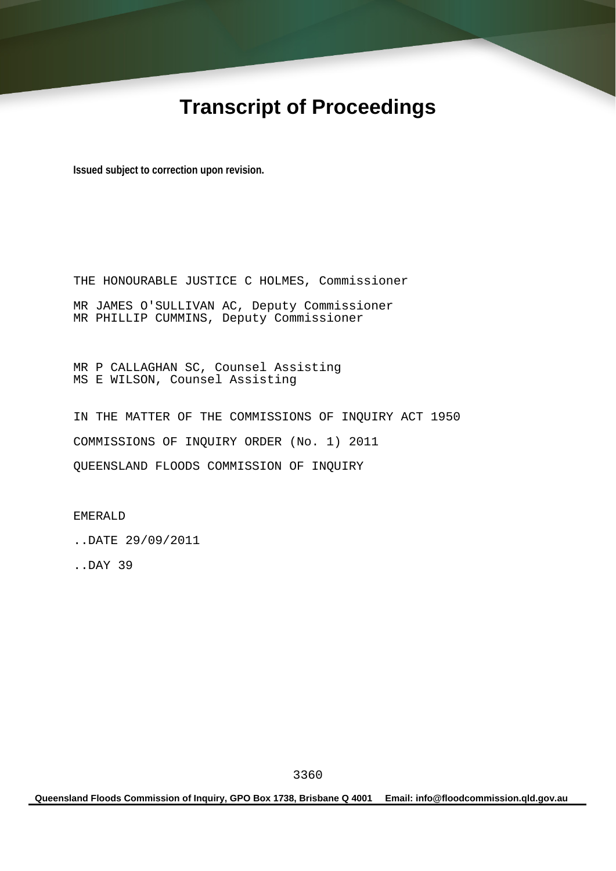# **Transcript of Proceedings**

**Issued subject to correction upon revision.** 

THE HONOURABLE JUSTICE C HOLMES, Commissioner MR JAMES O'SULLIVAN AC, Deputy Commissioner MR PHILLIP CUMMINS, Deputy Commissioner

MR P CALLAGHAN SC, Counsel Assisting MS E WILSON, Counsel Assisting

IN THE MATTER OF THE COMMISSIONS OF INQUIRY ACT 1950 COMMISSIONS OF INQUIRY ORDER (No. 1) 2011 QUEENSLAND FLOODS COMMISSION OF INQUIRY

EMERALD

..DATE 29/09/2011

..DAY 39

**Queensland Floods Commission of Inquiry, GPO Box 1738, Brisbane Q 4001 Email: info@floodcommission.qld.gov.au**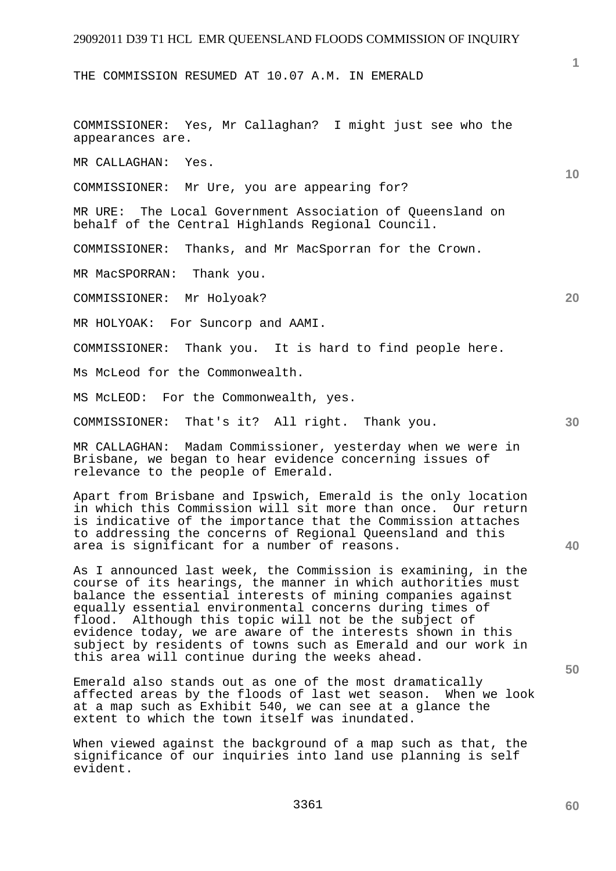THE COMMISSION RESUMED AT 10.07 A.M. IN EMERALD

COMMISSIONER: Yes, Mr Callaghan? I might just see who the appearances are.

MR CALLAGHAN: Yes.

COMMISSIONER: Mr Ure, you are appearing for?

MR URE: The Local Government Association of Queensland on behalf of the Central Highlands Regional Council.

COMMISSIONER: Thanks, and Mr MacSporran for the Crown.

MR MacSPORRAN: Thank you.

COMMISSIONER: Mr Holyoak?

MR HOLYOAK: For Suncorp and AAMI.

COMMISSIONER: Thank you. It is hard to find people here.

Ms McLeod for the Commonwealth.

MS McLEOD: For the Commonwealth, yes.

COMMISSIONER: That's it? All right. Thank you.

MR CALLAGHAN: Madam Commissioner, yesterday when we were in Brisbane, we began to hear evidence concerning issues of relevance to the people of Emerald.

Apart from Brisbane and Ipswich, Emerald is the only location in which this Commission will sit more than once. Our return is indicative of the importance that the Commission attaches to addressing the concerns of Regional Queensland and this area is significant for a number of reasons.

As I announced last week, the Commission is examining, in the course of its hearings, the manner in which authorities must balance the essential interests of mining companies against equally essential environmental concerns during times of flood. Although this topic will not be the subject of evidence today, we are aware of the interests shown in this subject by residents of towns such as Emerald and our work in this area will continue during the weeks ahead.

Emerald also stands out as one of the most dramatically affected areas by the floods of last wet season. When we look at a map such as Exhibit 540, we can see at a glance the extent to which the town itself was inundated.

When viewed against the background of a map such as that, the significance of our inquiries into land use planning is self evident.

**50** 

**20** 

**1**

**10**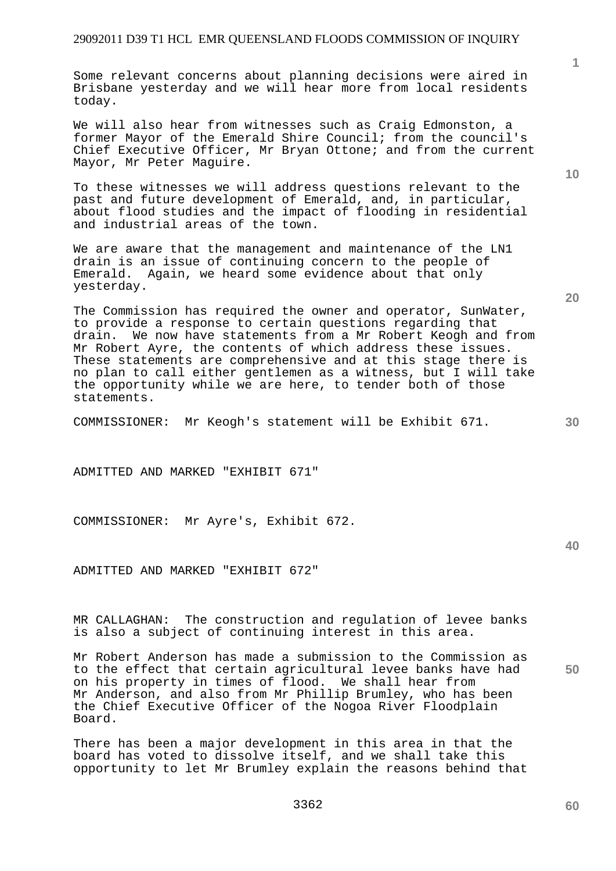Some relevant concerns about planning decisions were aired in Brisbane yesterday and we will hear more from local residents today.

We will also hear from witnesses such as Craig Edmonston, a former Mayor of the Emerald Shire Council; from the council's Chief Executive Officer, Mr Bryan Ottone; and from the current Mayor, Mr Peter Maguire.

To these witnesses we will address questions relevant to the past and future development of Emerald, and, in particular, about flood studies and the impact of flooding in residential and industrial areas of the town.

We are aware that the management and maintenance of the LN1 drain is an issue of continuing concern to the people of Emerald. Again, we heard some evidence about that only yesterday.

The Commission has required the owner and operator, SunWater, to provide a response to certain questions regarding that drain. We now have statements from a Mr Robert Keogh and from Mr Robert Ayre, the contents of which address these issues. These statements are comprehensive and at this stage there is no plan to call either gentlemen as a witness, but I will take the opportunity while we are here, to tender both of those statements.

COMMISSIONER: Mr Keogh's statement will be Exhibit 671.

ADMITTED AND MARKED "EXHIBIT 671"

COMMISSIONER: Mr Ayre's, Exhibit 672.

ADMITTED AND MARKED "EXHIBIT 672"

MR CALLAGHAN: The construction and regulation of levee banks is also a subject of continuing interest in this area.

Mr Robert Anderson has made a submission to the Commission as to the effect that certain agricultural levee banks have had on his property in times of flood. We shall hear from Mr Anderson, and also from Mr Phillip Brumley, who has been the Chief Executive Officer of the Nogoa River Floodplain Board.

There has been a major development in this area in that the board has voted to dissolve itself, and we shall take this opportunity to let Mr Brumley explain the reasons behind that **10** 

**1**

**20** 

**40**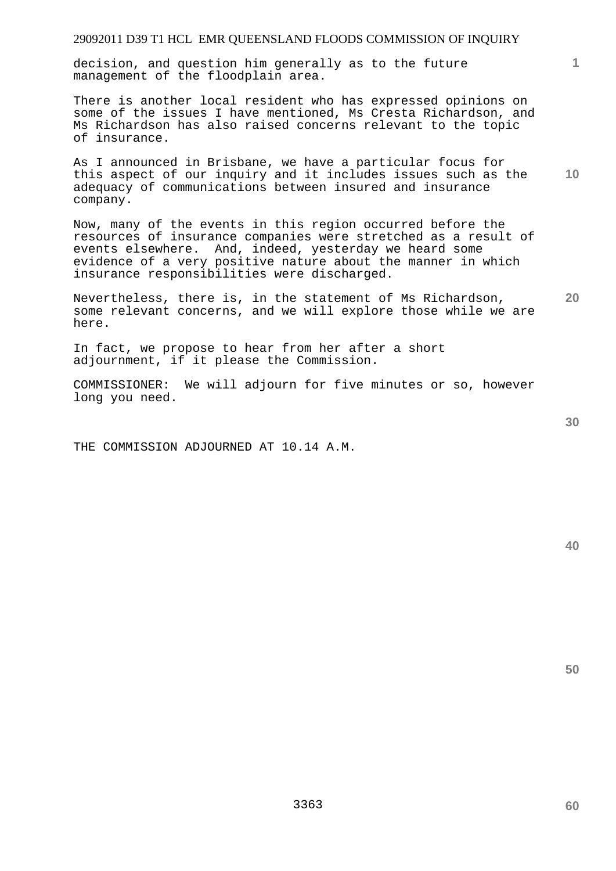decision, and question him generally as to the future management of the floodplain area.

There is another local resident who has expressed opinions on some of the issues I have mentioned, Ms Cresta Richardson, and Ms Richardson has also raised concerns relevant to the topic of insurance.

**10**  As I announced in Brisbane, we have a particular focus for this aspect of our inquiry and it includes issues such as the adequacy of communications between insured and insurance company.

Now, many of the events in this region occurred before the resources of insurance companies were stretched as a result of events elsewhere. And, indeed, yesterday we heard some evidence of a very positive nature about the manner in which insurance responsibilities were discharged.

Nevertheless, there is, in the statement of Ms Richardson, some relevant concerns, and we will explore those while we are here.

In fact, we propose to hear from her after a short adjournment, if it please the Commission.

COMMISSIONER: We will adjourn for five minutes or so, however long you need.

THE COMMISSION ADJOURNED AT 10.14 A.M.

**40** 

**50** 

**1**

**30**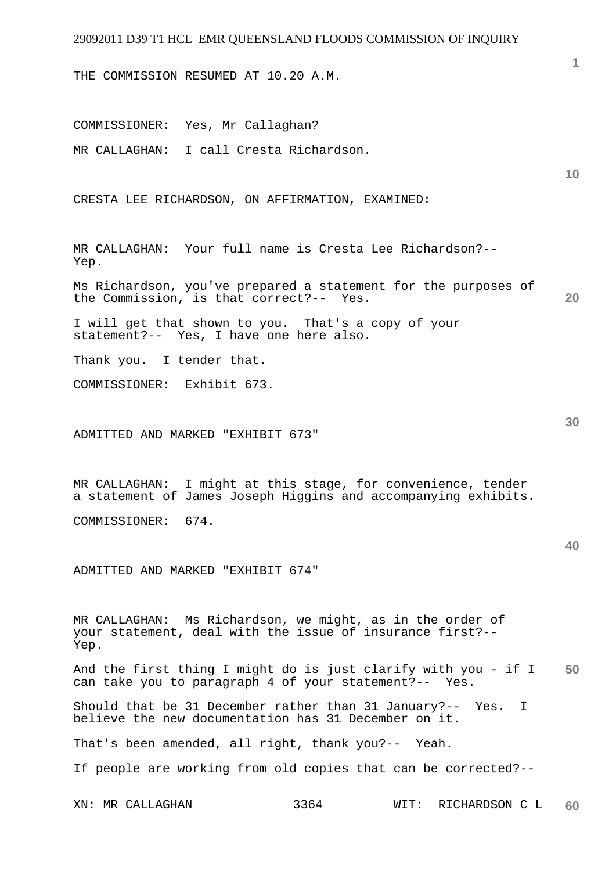THE COMMISSION RESUMED AT 10.20 A.M.

COMMISSIONER: Yes, Mr Callaghan? MR CALLAGHAN: I call Cresta Richardson.

CRESTA LEE RICHARDSON, ON AFFIRMATION, EXAMINED:

MR CALLAGHAN: Your full name is Cresta Lee Richardson?-- Yep.

**20**  Ms Richardson, you've prepared a statement for the purposes of the Commission, is that correct?-- Yes.

I will get that shown to you. That's a copy of your statement?-- Yes, I have one here also.

Thank you. I tender that.

COMMISSIONER: Exhibit 673.

ADMITTED AND MARKED "EXHIBIT 673"

MR CALLAGHAN: I might at this stage, for convenience, tender a statement of James Joseph Higgins and accompanying exhibits.

COMMISSIONER: 674.

ADMITTED AND MARKED "EXHIBIT 674"

MR CALLAGHAN: Ms Richardson, we might, as in the order of your statement, deal with the issue of insurance first?-- Yep.

**50**  And the first thing I might do is just clarify with you - if I can take you to paragraph 4 of your statement?-- Yes.

Should that be 31 December rather than 31 January?-- Yes. I believe the new documentation has 31 December on it.

That's been amended, all right, thank you?-- Yeah.

If people are working from old copies that can be corrected?--

**40** 

**10**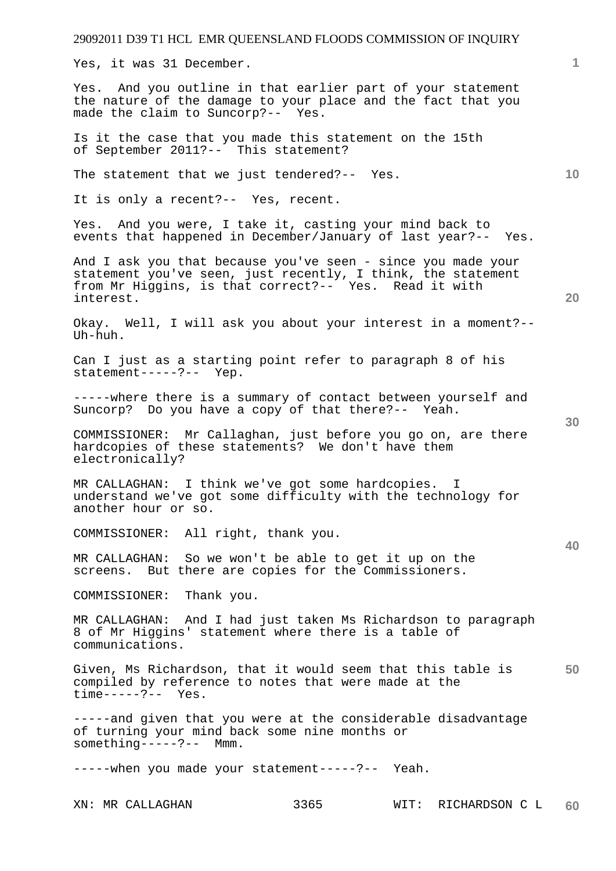Yes, it was 31 December.

Yes. And you outline in that earlier part of your statement the nature of the damage to your place and the fact that you made the claim to Suncorp?-- Yes.

Is it the case that you made this statement on the 15th of September 2011?-- This statement?

The statement that we just tendered?-- Yes.

It is only a recent?-- Yes, recent.

Yes. And you were, I take it, casting your mind back to events that happened in December/January of last year?-- Yes.

And I ask you that because you've seen - since you made your statement you've seen, just recently, I think, the statement from Mr Higgins, is that correct?-- Yes. Read it with interest.

Okay. Well, I will ask you about your interest in a moment?-- Uh-huh.

Can I just as a starting point refer to paragraph 8 of his statement-----?-- Yep.

-----where there is a summary of contact between yourself and Suncorp? Do you have a copy of that there?-- Yeah.

COMMISSIONER: Mr Callaghan, just before you go on, are there hardcopies of these statements? We don't have them electronically?

MR CALLAGHAN: I think we've got some hardcopies. I understand we've got some difficulty with the technology for another hour or so.

COMMISSIONER: All right, thank you.

MR CALLAGHAN: So we won't be able to get it up on the screens. But there are copies for the Commissioners.

COMMISSIONER: Thank you.

MR CALLAGHAN: And I had just taken Ms Richardson to paragraph 8 of Mr Higgins' statement where there is a table of communications.

**50**  Given, Ms Richardson, that it would seem that this table is compiled by reference to notes that were made at the time-----?-- Yes.

-----and given that you were at the considerable disadvantage of turning your mind back some nine months or something-----?-- Mmm.

-----when you made your statement-----?-- Yeah.

**40** 

**20** 

**10**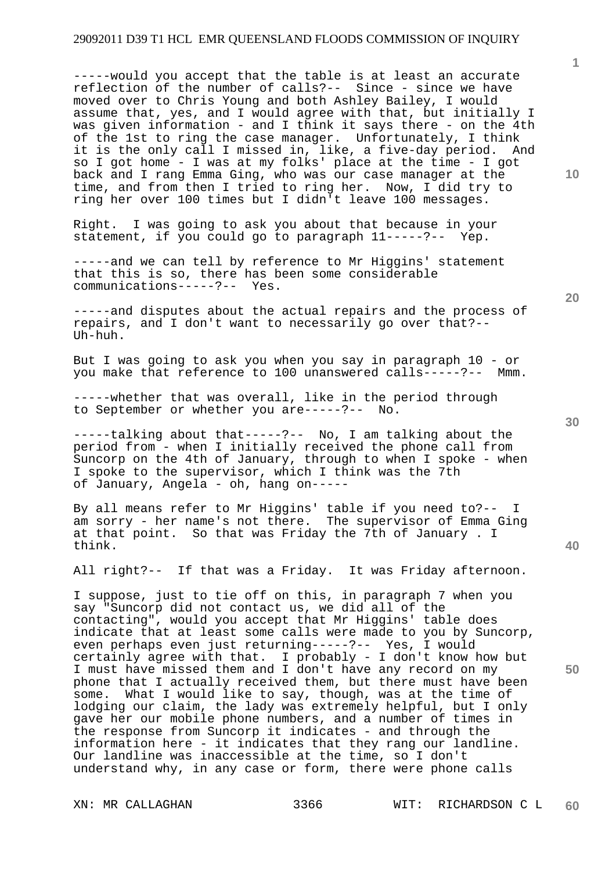-----would you accept that the table is at least an accurate reflection of the number of calls?-- Since - since we have moved over to Chris Young and both Ashley Bailey, I would assume that, yes, and I would agree with that, but initially I was given information - and I think it says there - on the 4th of the 1st to ring the case manager. Unfortunately, I think it is the only call I missed in, like, a five-day period. And so I got home - I was at my folks' place at the time - I got back and I rang Emma Ging, who was our case manager at the time, and from then I tried to ring her. Now, I did try to ring her over 100 times but I didn't leave 100 messages.

Right. I was going to ask you about that because in your statement, if you could go to paragraph 11-----?-- Yep.

-----and disputes about the actual repairs and the process of repairs, and I don't want to necessarily go over that?-- Uh-huh.

But I was going to ask you when you say in paragraph 10 - or you make that reference to 100 unanswered calls-----?-- Mmm.

-----whether that was overall, like in the period through to September or whether you are-----?-- No.

-----talking about that-----?-- No, I am talking about the period from - when I initially received the phone call from Suncorp on the 4th of January, through to when I spoke - when I spoke to the supervisor, which I think was the 7th of January, Angela - oh, hang on-----

By all means refer to Mr Higgins' table if you need to?-- I am sorry - her name's not there. The supervisor of Emma Ging at that point. So that was Friday the 7th of January . I think.

All right?-- If that was a Friday. It was Friday afternoon.

I suppose, just to tie off on this, in paragraph 7 when you say "Suncorp did not contact us, we did all of the contacting", would you accept that Mr Higgins' table does indicate that at least some calls were made to you by Suncorp, even perhaps even just returning-----?-- Yes, I would certainly agree with that. I probably - I don't know how but I must have missed them and I don't have any record on my phone that I actually received them, but there must have been some. What I would like to say, though, was at the time of lodging our claim, the lady was extremely helpful, but I only gave her our mobile phone numbers, and a number of times in the response from Suncorp it indicates - and through the information here - it indicates that they rang our landline. Our landline was inaccessible at the time, so I don't understand why, in any case or form, there were phone calls

**30** 

**20** 

**50** 

**10** 

<sup>-----</sup>and we can tell by reference to Mr Higgins' statement that this is so, there has been some considerable communications-----?-- Yes.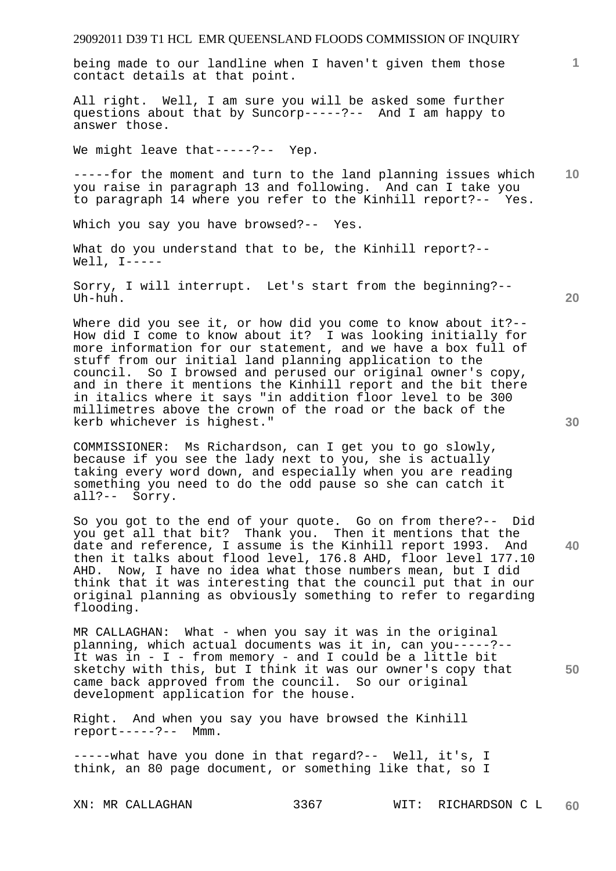being made to our landline when I haven't given them those contact details at that point.

All right. Well, I am sure you will be asked some further questions about that by Suncorp-----?-- And I am happy to answer those.

We might leave that-----?-- Yep.

**10**  -----for the moment and turn to the land planning issues which you raise in paragraph 13 and following. And can I take you to paragraph 14 where you refer to the Kinhill report?-- Yes.

Which you say you have browsed?-- Yes.

What do you understand that to be, the Kinhill report?-- Well,  $I-----$ 

Sorry, I will interrupt. Let's start from the beginning?-- Uh-huh.

Where did you see it, or how did you come to know about it ?--How did I come to know about it? I was looking initially for more information for our statement, and we have a box full of stuff from our initial land planning application to the council. So I browsed and perused our original owner's copy, and in there it mentions the Kinhill report and the bit there in italics where it says "in addition floor level to be 300 millimetres above the crown of the road or the back of the kerb whichever is highest."

COMMISSIONER: Ms Richardson, can I get you to go slowly, because if you see the lady next to you, she is actually taking every word down, and especially when you are reading something you need to do the odd pause so she can catch it all?-- Sorry.

So you got to the end of your quote. Go on from there?-- Did you get all that bit? Thank you. Then it mentions that the date and reference, I assume is the Kinhill report 1993. And then it talks about flood level, 176.8 AHD, floor level 177.10 AHD. Now, I have no idea what those numbers mean, but I did think that it was interesting that the council put that in our original planning as obviously something to refer to regarding flooding.

MR CALLAGHAN: What - when you say it was in the original planning, which actual documents was it in, can you-----?-- It was in - I - from memory - and I could be a little bit sketchy with this, but I think it was our owner's copy that came back approved from the council. So our original development application for the house.

Right. And when you say you have browsed the Kinhill report-----?-- Mmm.

-----what have you done in that regard?-- Well, it's, I think, an 80 page document, or something like that, so I

**30** 

**20** 

**40** 

**50**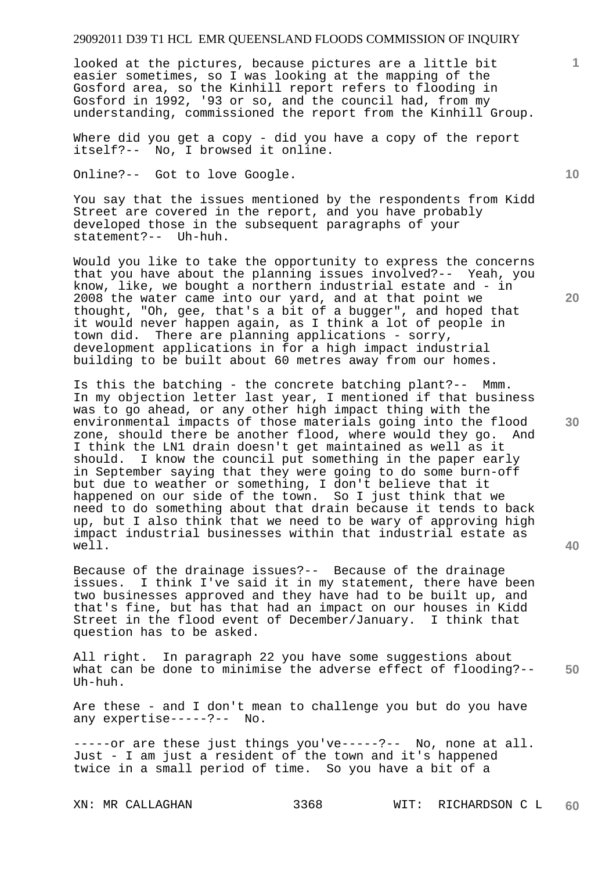looked at the pictures, because pictures are a little bit easier sometimes, so I was looking at the mapping of the Gosford area, so the Kinhill report refers to flooding in Gosford in 1992, '93 or so, and the council had, from my understanding, commissioned the report from the Kinhill Group.

Where did you get a copy - did you have a copy of the report itself?-- No, I browsed it online.

Online?-- Got to love Google.

You say that the issues mentioned by the respondents from Kidd Street are covered in the report, and you have probably developed those in the subsequent paragraphs of your statement?-- Uh-huh.

Would you like to take the opportunity to express the concerns that you have about the planning issues involved?-- Yeah, you know, like, we bought a northern industrial estate and - in 2008 the water came into our yard, and at that point we thought, "Oh, gee, that's a bit of a bugger", and hoped that it would never happen again, as I think a lot of people in town did. There are planning applications - sorry, development applications in for a high impact industrial building to be built about 60 metres away from our homes.

Is this the batching - the concrete batching plant?-- Mmm. In my objection letter last year, I mentioned if that business was to go ahead, or any other high impact thing with the environmental impacts of those materials going into the flood zone, should there be another flood, where would they go. And I think the LN1 drain doesn't get maintained as well as it<br>should. I know the council put something in the paper ear I know the council put something in the paper early in September saying that they were going to do some burn-off but due to weather or something, I don't believe that it happened on our side of the town. So I just think that we need to do something about that drain because it tends to back up, but I also think that we need to be wary of approving high impact industrial businesses within that industrial estate as well.

Because of the drainage issues?-- Because of the drainage issues. I think I've said it in my statement, there have been two businesses approved and they have had to be built up, and that's fine, but has that had an impact on our houses in Kidd Street in the flood event of December/January. I think that question has to be asked.

**50**  All right. In paragraph 22 you have some suggestions about what can be done to minimise the adverse effect of flooding?-- Uh-huh.

Are these - and I don't mean to challenge you but do you have any expertise-----?-- No.

-----or are these just things you've-----?-- No, none at all. Just - I am just a resident of the town and it's happened twice in a small period of time. So you have a bit of a

**10** 

**1**

**20**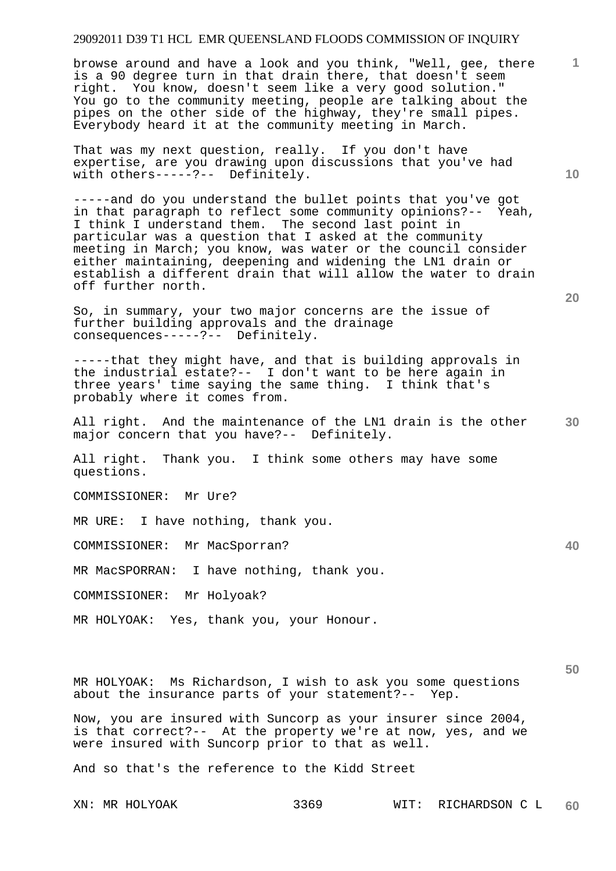browse around and have a look and you think, "Well, gee, there is a 90 degree turn in that drain there, that doesn't seem right. You know, doesn't seem like a very good solution." You go to the community meeting, people are talking about the pipes on the other side of the highway, they're small pipes. Everybody heard it at the community meeting in March.

That was my next question, really. If you don't have expertise, are you drawing upon discussions that you've had with others-----?-- Definitely.

-----and do you understand the bullet points that you've got in that paragraph to reflect some community opinions?-- Yeah, I think I understand them. The second last point in particular was a question that I asked at the community meeting in March; you know, was water or the council consider either maintaining, deepening and widening the LN1 drain or establish a different drain that will allow the water to drain off further north.

So, in summary, your two major concerns are the issue of further building approvals and the drainage consequences-----?-- Definitely.

-----that they might have, and that is building approvals in the industrial estate?-- I don't want to be here again in three years' time saying the same thing. I think that's probably where it comes from.

All right. And the maintenance of the LN1 drain is the other major concern that you have?-- Definitely.

All right. Thank you. I think some others may have some questions.

COMMISSIONER: Mr Ure?

MR URE: I have nothing, thank you.

COMMISSIONER: Mr MacSporran?

MR MacSPORRAN: I have nothing, thank you.

COMMISSIONER: Mr Holyoak?

MR HOLYOAK: Yes, thank you, your Honour.

**50** 

MR HOLYOAK: Ms Richardson, I wish to ask you some questions about the insurance parts of your statement?-- Yep.

Now, you are insured with Suncorp as your insurer since 2004, is that correct?-- At the property we're at now, yes, and we were insured with Suncorp prior to that as well.

And so that's the reference to the Kidd Street

**10** 

**1**

**20**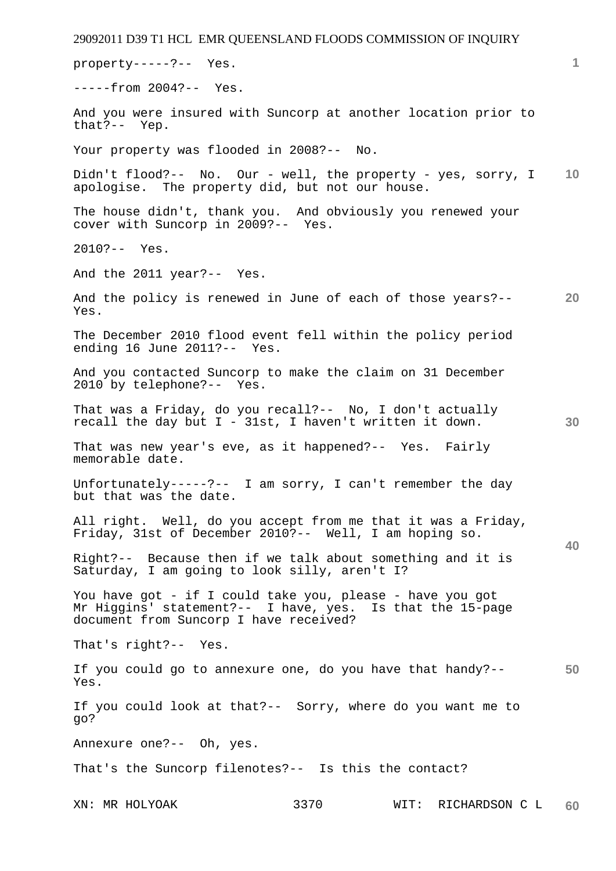29092011 D39 T1 HCL EMR QUEENSLAND FLOODS COMMISSION OF INQUIRY XN: MR HOLYOAK 3370 WIT: RICHARDSON C L **1 10 20 30 40 50 60**  property-----?-- Yes. -----from 2004?-- Yes. And you were insured with Suncorp at another location prior to that?-- Yep.  $that? --$ Your property was flooded in 2008?-- No. Didn't flood?-- No. Our - well, the property - yes, sorry, I apologise. The property did, but not our house. The house didn't, thank you. And obviously you renewed your cover with Suncorp in 2009?-- Yes. 2010?-- Yes. And the 2011 year?-- Yes. And the policy is renewed in June of each of those years?-- Yes. The December 2010 flood event fell within the policy period ending 16 June 2011?-- Yes. And you contacted Suncorp to make the claim on 31 December 2010 by telephone?-- Yes. That was a Friday, do you recall?-- No, I don't actually recall the day but  $I - 31st$ , I haven't written it down. That was new year's eve, as it happened?-- Yes. Fairly memorable date. Unfortunately-----?-- I am sorry, I can't remember the day but that was the date. All right. Well, do you accept from me that it was a Friday, Friday, 31st of December 2010?-- Well, I am hoping so. Right?-- Because then if we talk about something and it is Saturday, I am going to look silly, aren't I? You have got - if I could take you, please - have you got Mr Higgins' statement?-- I have, yes. Is that the 15-page document from Suncorp I have received? That's right?-- Yes. If you could go to annexure one, do you have that handy?-- Yes. If you could look at that?-- Sorry, where do you want me to go? Annexure one?-- Oh, yes. That's the Suncorp filenotes?-- Is this the contact?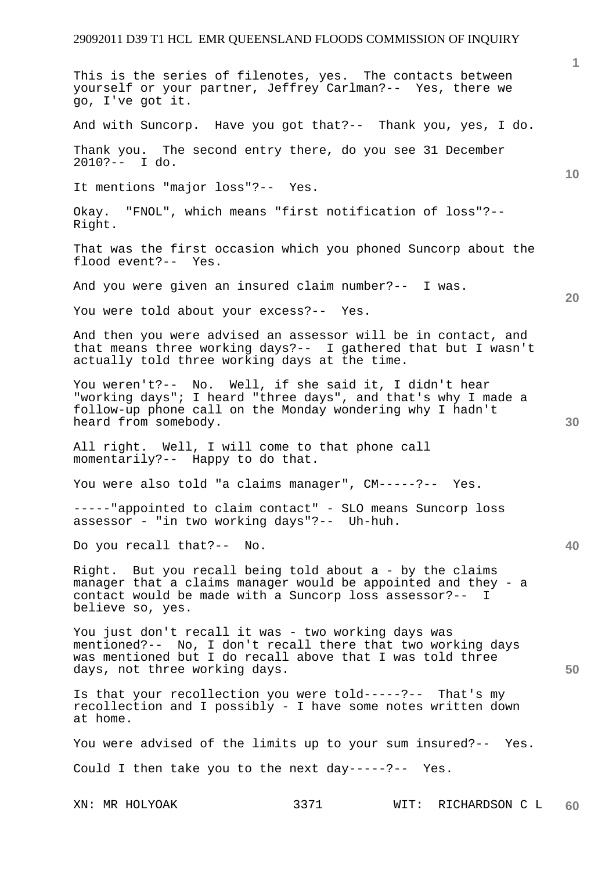XN: MR HOLYOAK 3371 WIT: RICHARDSON C L **1 10 20 30 40 50 60**  This is the series of filenotes, yes. The contacts between yourself or your partner, Jeffrey Carlman?-- Yes, there we go, I've got it. And with Suncorp. Have you got that?-- Thank you, yes, I do. Thank you. The second entry there, do you see 31 December 2010?-- I do. It mentions "major loss"?-- Yes. Okay. "FNOL", which means "first notification of loss"?-- Right. That was the first occasion which you phoned Suncorp about the flood event?-- Yes. And you were given an insured claim number?-- I was. You were told about your excess?-- Yes. And then you were advised an assessor will be in contact, and that means three working days?-- I gathered that but I wasn't actually told three working days at the time. You weren't?-- No. Well, if she said it, I didn't hear "working days"; I heard "three days", and that's why I made a follow-up phone call on the Monday wondering why I hadn't heard from somebody. All right. Well, I will come to that phone call momentarily?-- Happy to do that. You were also told "a claims manager", CM-----?-- Yes. -----"appointed to claim contact" - SLO means Suncorp loss assessor - "in two working days"?-- Uh-huh. Do you recall that?-- No. Right. But you recall being told about a - by the claims manager that a claims manager would be appointed and they - a contact would be made with a Suncorp loss assessor?-- I believe so, yes. You just don't recall it was - two working days was mentioned?-- No, I don't recall there that two working days was mentioned but I do recall above that I was told three days, not three working days. Is that your recollection you were told-----?-- That's my recollection and I possibly - I have some notes written down at home. You were advised of the limits up to your sum insured?-- Yes. Could I then take you to the next day-----?-- Yes.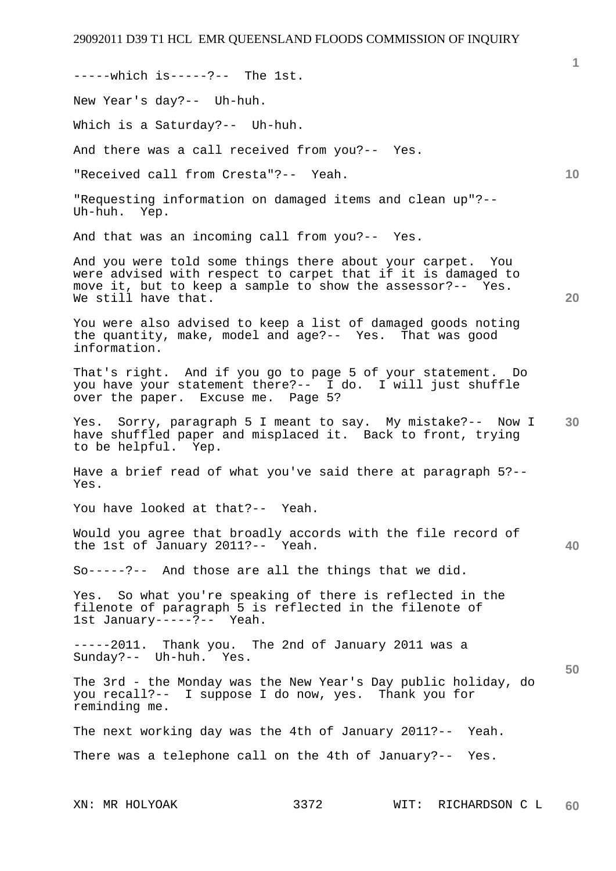-----which is-----?-- The 1st.

New Year's day?-- Uh-huh.

Which is a Saturday?-- Uh-huh.

And there was a call received from you?-- Yes.

"Received call from Cresta"?-- Yeah.

"Requesting information on damaged items and clean up"?-- Uh-huh. Yep.

And that was an incoming call from you?-- Yes.

And you were told some things there about your carpet. You were advised with respect to carpet that if it is damaged to move it, but to keep a sample to show the assessor?-- Yes. We still have that.

You were also advised to keep a list of damaged goods noting the quantity, make, model and age?-- Yes. That was good information.

That's right. And if you go to page 5 of your statement. Do you have your statement there?-- I do. I will just shuffle over the paper. Excuse me. Page 5?

**30**  Yes. Sorry, paragraph 5 I meant to say. My mistake?-- Now I have shuffled paper and misplaced it. Back to front, trying to be helpful. Yep.

Have a brief read of what you've said there at paragraph 5?-- Yes.

You have looked at that?-- Yeah.

Would you agree that broadly accords with the file record of the 1st of January 2011?-- Yeah.

So-----?-- And those are all the things that we did.

Yes. So what you're speaking of there is reflected in the filenote of paragraph 5 is reflected in the filenote of 1st January-----?-- Yeah.

-----2011. Thank you. The 2nd of January 2011 was a Sunday?-- Uh-huh. Yes.

The 3rd - the Monday was the New Year's Day public holiday, do you recall?-- I suppose I do now, yes. Thank you for reminding me.

The next working day was the 4th of January 2011?-- Yeah. There was a telephone call on the 4th of January?-- Yes.

**40** 

**50** 

**10** 

**20**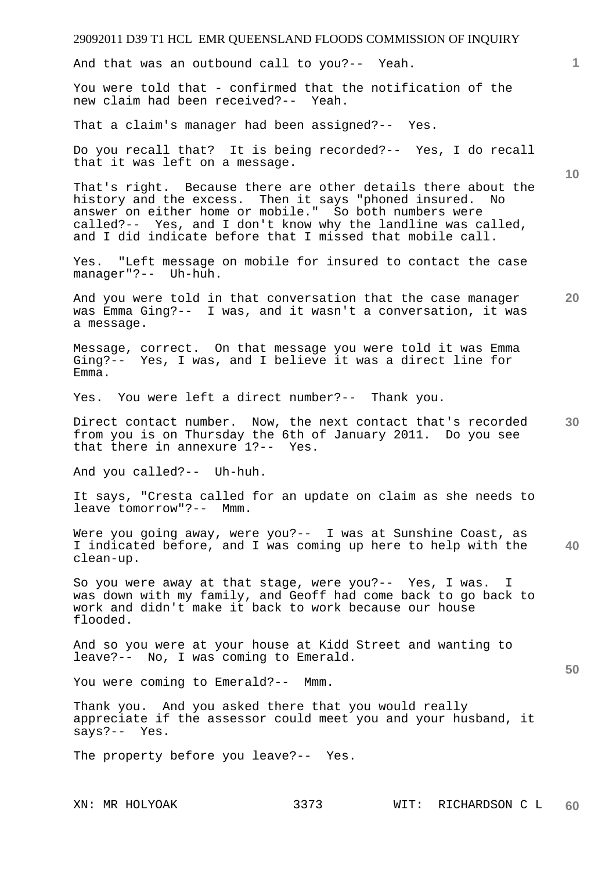And that was an outbound call to you?-- Yeah.

You were told that - confirmed that the notification of the new claim had been received?-- Yeah.

That a claim's manager had been assigned?-- Yes.

Do you recall that? It is being recorded?-- Yes, I do recall that it was left on a message.

That's right. Because there are other details there about the history and the excess. Then it says "phoned insured. No answer on either home or mobile." So both numbers were called?-- Yes, and I don't know why the landline was called, and I did indicate before that I missed that mobile call.

Yes. "Left message on mobile for insured to contact the case manager"?-- Uh-huh.

And you were told in that conversation that the case manager was Emma Ging?-- I was, and it wasn't a conversation, it was a message.

Message, correct. On that message you were told it was Emma Ging?-- Yes, I was, and I believe it was a direct line for Emma.

Yes. You were left a direct number?-- Thank you.

**30**  Direct contact number. Now, the next contact that's recorded from you is on Thursday the 6th of January 2011. Do you see that there in annexure 1?-- Yes.

And you called?-- Uh-huh.

It says, "Cresta called for an update on claim as she needs to leave tomorrow"?-- Mmm.

**40**  Were you going away, were you?-- I was at Sunshine Coast, as I indicated before, and I was coming up here to help with the clean-up.

So you were away at that stage, were you?-- Yes, I was. I was down with my family, and Geoff had come back to go back to work and didn't make it back to work because our house flooded.

And so you were at your house at Kidd Street and wanting to leave?-- No, I was coming to Emerald.

You were coming to Emerald?-- Mmm.

Thank you. And you asked there that you would really appreciate if the assessor could meet you and your husband, it says?-- Yes.

The property before you leave?-- Yes.

**1**

**10** 

**20**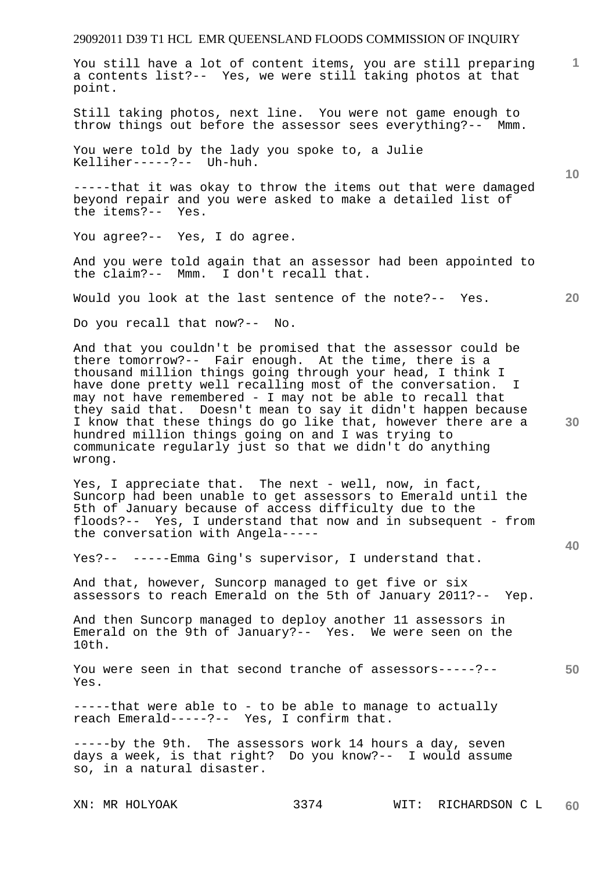You still have a lot of content items, you are still preparing a contents list?-- Yes, we were still taking photos at that point.

Still taking photos, next line. You were not game enough to throw things out before the assessor sees everything?-- Mmm.

You were told by the lady you spoke to, a Julie Kelliher-----?-- Uh-huh.

-----that it was okay to throw the items out that were damaged beyond repair and you were asked to make a detailed list of the items?-- Yes.

You agree?-- Yes, I do agree.

And you were told again that an assessor had been appointed to the claim?-- Mmm. I don't recall that.

Would you look at the last sentence of the note?-- Yes.

Do you recall that now?-- No.

And that you couldn't be promised that the assessor could be there tomorrow?-- Fair enough. At the time, there is a thousand million things going through your head, I think I have done pretty well recalling most of the conversation. I may not have remembered - I may not be able to recall that they said that. Doesn't mean to say it didn't happen because I know that these things do go like that, however there are a hundred million things going on and I was trying to communicate regularly just so that we didn't do anything wrong.

Yes, I appreciate that. The next - well, now, in fact, Suncorp had been unable to get assessors to Emerald until the 5th of January because of access difficulty due to the floods?-- Yes, I understand that now and in subsequent - from the conversation with Angela-----

Yes?-- -----Emma Ging's supervisor, I understand that.

And that, however, Suncorp managed to get five or six assessors to reach Emerald on the 5th of January 2011?-- Yep.

And then Suncorp managed to deploy another 11 assessors in Emerald on the 9th of January?-- Yes. We were seen on the 10th.

**50**  You were seen in that second tranche of assessors-----?-- Yes.

-----that were able to - to be able to manage to actually reach Emerald-----?-- Yes, I confirm that.

-----by the 9th. The assessors work 14 hours a day, seven days a week, is that right? Do you know?-- I would assume so, in a natural disaster.

**10** 

**20** 

**1**

**40**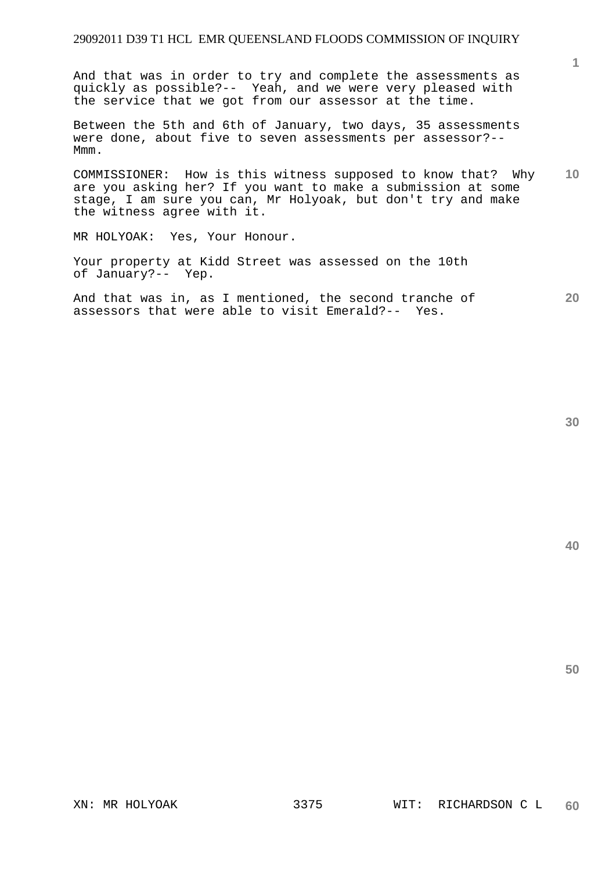And that was in order to try and complete the assessments as quickly as possible?-- Yeah, and we were very pleased with the service that we got from our assessor at the time.

Between the 5th and 6th of January, two days, 35 assessments were done, about five to seven assessments per assessor?-- Mmm.

**10**  COMMISSIONER: How is this witness supposed to know that? Why are you asking her? If you want to make a submission at some stage, I am sure you can, Mr Holyoak, but don't try and make the witness agree with it.

MR HOLYOAK: Yes, Your Honour.

Your property at Kidd Street was assessed on the 10th of January?-- Yep.

**20**  And that was in, as I mentioned, the second tranche of assessors that were able to visit Emerald?-- Yes.

**1**

**50**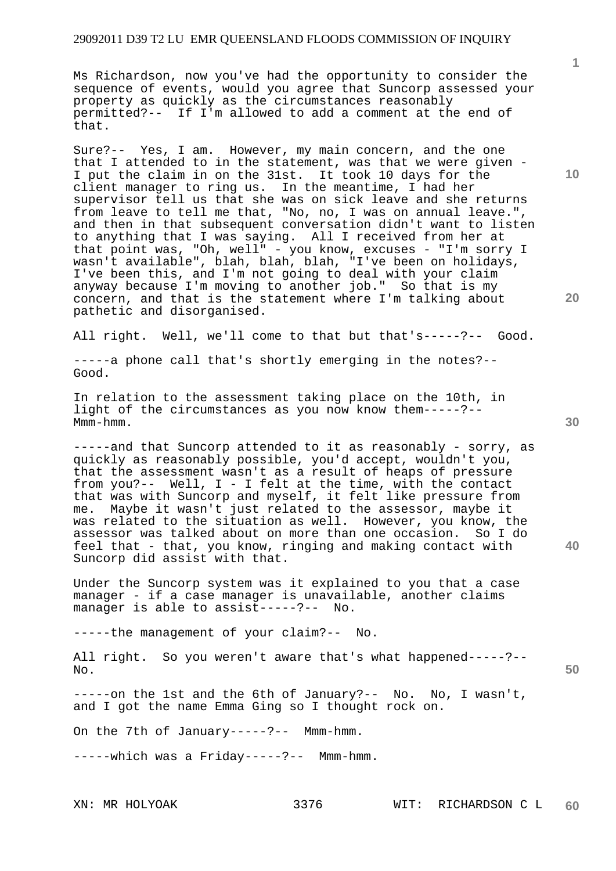Ms Richardson, now you've had the opportunity to consider the sequence of events, would you agree that Suncorp assessed your property as quickly as the circumstances reasonably permitted?-- If I'm allowed to add a comment at the end of that.

Sure?-- Yes, I am. However, my main concern, and the one that I attended to in the statement, was that we were given - I put the claim in on the 31st. It took 10 days for the client manager to ring us. In the meantime, I had her supervisor tell us that she was on sick leave and she returns from leave to tell me that, "No, no, I was on annual leave.", and then in that subsequent conversation didn't want to listen to anything that I was saying. All I received from her at that point was, "Oh, well" - you know, excuses - "I'm sorry I wasn't available", blah, blah, blah, "I've been on holidays, I've been this, and I'm not going to deal with your claim anyway because I'm moving to another job." So that is my concern, and that is the statement where I'm talking about pathetic and disorganised.

All right. Well, we'll come to that but that's-----?-- Good.

-----a phone call that's shortly emerging in the notes?-- Good.

In relation to the assessment taking place on the 10th, in light of the circumstances as you now know them-----?-- Mmm-hmm.

-----and that Suncorp attended to it as reasonably - sorry, as quickly as reasonably possible, you'd accept, wouldn't you, that the assessment wasn't as a result of heaps of pressure from you?-- Well, I - I felt at the time, with the contact that was with Suncorp and myself, it felt like pressure from me. Maybe it wasn't just related to the assessor, maybe it was related to the situation as well. However, you know, the assessor was talked about on more than one occasion. So I do feel that - that, you know, ringing and making contact with Suncorp did assist with that.

Under the Suncorp system was it explained to you that a case manager - if a case manager is unavailable, another claims manager is able to assist-----?-- No.

-----the management of your claim?-- No.

All right. So you weren't aware that's what happened-----?-- No.

-----on the 1st and the 6th of January?-- No. No, I wasn't, and I got the name Emma Ging so I thought rock on.

On the 7th of January-----?-- Mmm-hmm.

-----which was a Friday-----?-- Mmm-hmm.

**10** 

**1**

**20** 

**30** 

**40**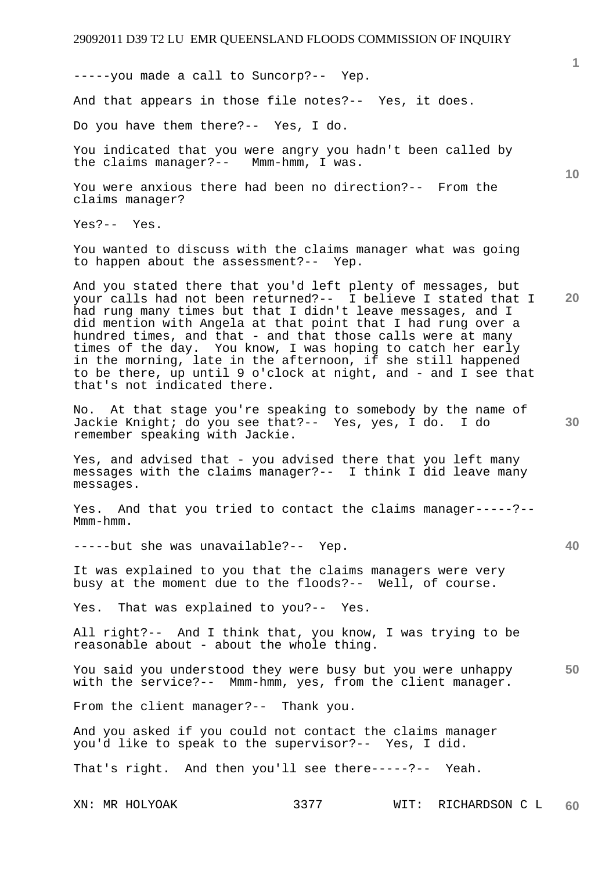-----you made a call to Suncorp?-- Yep.

And that appears in those file notes?-- Yes, it does.

Do you have them there?-- Yes, I do.

You indicated that you were angry you hadn't been called by<br>the claims manager?-- Mmm-hmm, I was. the claims manager?--

You were anxious there had been no direction?-- From the claims manager?

Yes?-- Yes.

You wanted to discuss with the claims manager what was going to happen about the assessment?-- Yep.

And you stated there that you'd left plenty of messages, but your calls had not been returned?-- I believe I stated that I had rung many times but that I didn't leave messages, and I did mention with Angela at that point that I had rung over a hundred times, and that - and that those calls were at many times of the day. You know, I was hoping to catch her early in the morning, late in the afternoon, if she still happened to be there, up until 9 o'clock at night, and - and I see that that's not indicated there.

No. At that stage you're speaking to somebody by the name of Jackie Knight; do you see that?-- Yes, yes, I do. I do remember speaking with Jackie.

Yes, and advised that - you advised there that you left many messages with the claims manager?-- I think I did leave many messages.

Yes. And that you tried to contact the claims manager-----?-- Mmm-hmm.

-----but she was unavailable?-- Yep.

It was explained to you that the claims managers were very busy at the moment due to the floods?-- Well, of course.

Yes. That was explained to you?-- Yes.

All right?-- And I think that, you know, I was trying to be reasonable about - about the whole thing.

**50**  You said you understood they were busy but you were unhappy with the service?-- Mmm-hmm, yes, from the client manager.

From the client manager?-- Thank you.

And you asked if you could not contact the claims manager you'd like to speak to the supervisor?-- Yes, I did.

That's right. And then you'll see there-----?-- Yeah.

**10** 

**1**

**30** 

**40**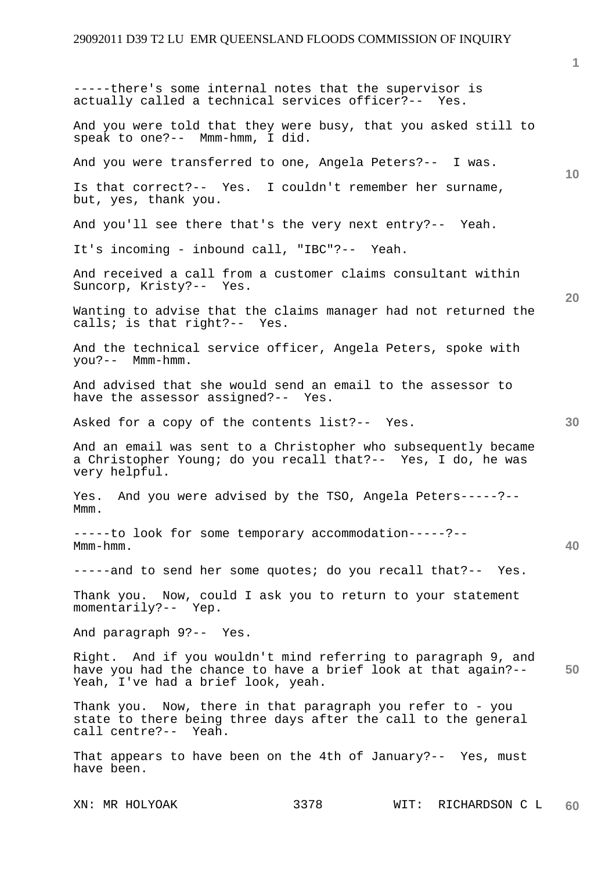**10 20 30 40 50**  -----there's some internal notes that the supervisor is actually called a technical services officer?-- Yes. And you were told that they were busy, that you asked still to speak to one?-- Mmm-hmm, I did. And you were transferred to one, Angela Peters?-- I was. Is that correct?-- Yes. I couldn't remember her surname, but, yes, thank you. And you'll see there that's the very next entry?-- Yeah. It's incoming - inbound call, "IBC"?-- Yeah. And received a call from a customer claims consultant within Suncorp, Kristy?-- Yes. Wanting to advise that the claims manager had not returned the calls; is that right?-- Yes. And the technical service officer, Angela Peters, spoke with you?-- Mmm-hmm. And advised that she would send an email to the assessor to have the assessor assigned?-- Yes. Asked for a copy of the contents list?-- Yes. And an email was sent to a Christopher who subsequently became a Christopher Young; do you recall that?-- Yes, I do, he was very helpful. Yes. And you were advised by the TSO, Angela Peters-----?-- Mmm. -----to look for some temporary accommodation-----?-- Mmm-hmm. -----and to send her some quotes; do you recall that?-- Yes. Thank you. Now, could I ask you to return to your statement momentarily?-- Yep. And paragraph 9?-- Yes. Right. And if you wouldn't mind referring to paragraph 9, and have you had the chance to have a brief look at that again?-- Yeah, I've had a brief look, yeah. Thank you. Now, there in that paragraph you refer to - you state to there being three days after the call to the general call centre?-- Yeah. That appears to have been on the 4th of January?-- Yes, must have been.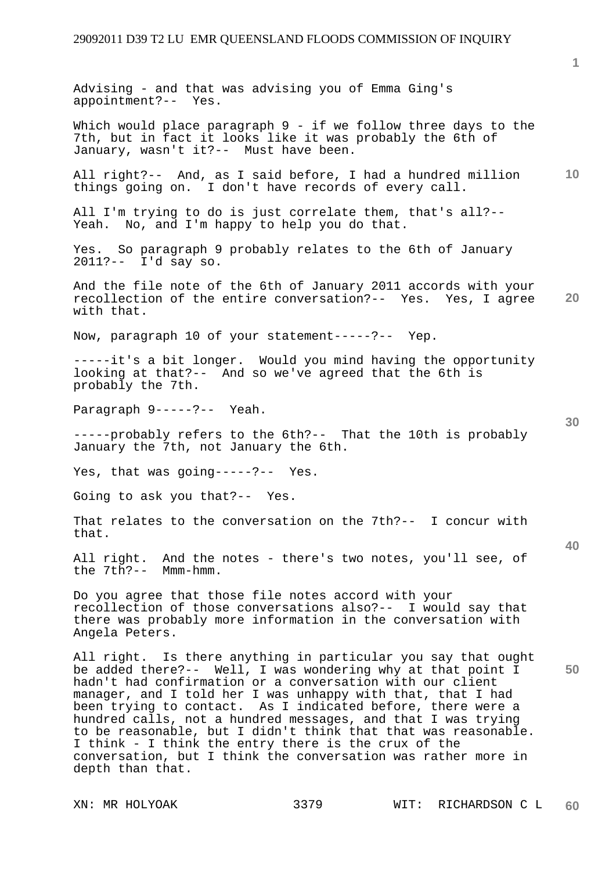**10 20**  Advising - and that was advising you of Emma Ging's appointment?-- Yes. Which would place paragraph 9 - if we follow three days to the 7th, but in fact it looks like it was probably the 6th of January, wasn't it?-- Must have been. All right?-- And, as I said before, I had a hundred million things going on. I don't have records of every call. All I'm trying to do is just correlate them, that's all?-- Yeah. No, and I'm happy to help you do that. Yes. So paragraph 9 probably relates to the 6th of January 2011?-- I'd say so. And the file note of the 6th of January 2011 accords with your recollection of the entire conversation?-- Yes. Yes, I agree with that. Now, paragraph 10 of your statement-----?-- Yep. -----it's a bit longer. Would you mind having the opportunity looking at that?-- And so we've agreed that the 6th is probably the 7th. Paragraph 9-----?-- Yeah. -----probably refers to the 6th?-- That the 10th is probably January the 7th, not January the 6th. Yes, that was going-----?-- Yes. Going to ask you that?-- Yes.

That relates to the conversation on the 7th?-- I concur with that.

All right. And the notes - there's two notes, you'll see, of the 7th?-- Mmm-hmm.

Do you agree that those file notes accord with your recollection of those conversations also?-- I would say that there was probably more information in the conversation with Angela Peters.

All right. Is there anything in particular you say that ought be added there?-- Well, I was wondering why at that point I hadn't had confirmation or a conversation with our client manager, and I told her I was unhappy with that, that I had been trying to contact. As I indicated before, there were a hundred calls, not a hundred messages, and that I was trying to be reasonable, but I didn't think that that was reasonable. I think - I think the entry there is the crux of the conversation, but I think the conversation was rather more in depth than that.

**1**

**30** 

**40**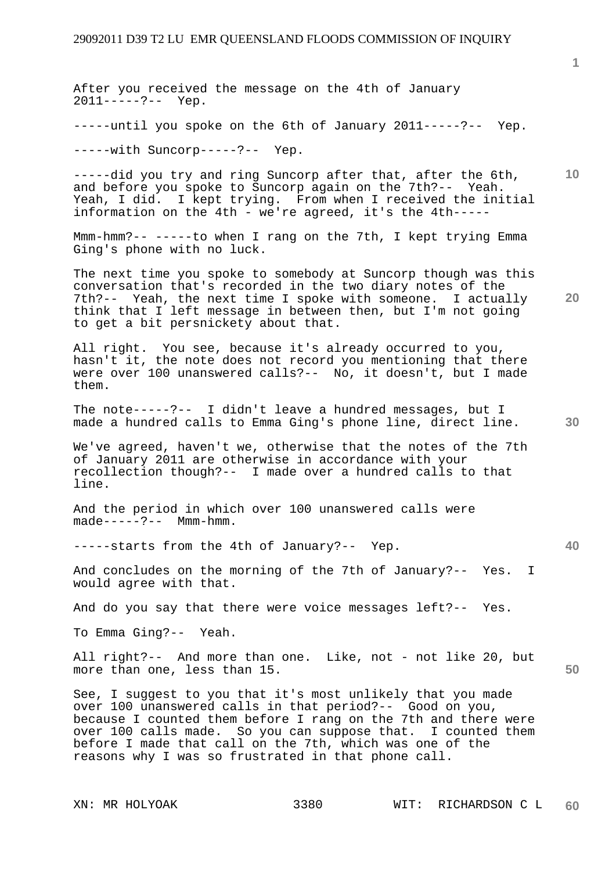**10 20 30 40 50**  After you received the message on the 4th of January 2011-----?-- Yep. -----until you spoke on the 6th of January 2011-----?-- Yep. -----with Suncorp-----?-- Yep. -----did you try and ring Suncorp after that, after the 6th, and before you spoke to Suncorp again on the 7th?-- Yeah. Yeah, I did. I kept trying. From when I received the initial information on the 4th - we're agreed, it's the 4th----- Mmm-hmm?-- -----to when I rang on the 7th, I kept trying Emma Ging's phone with no luck. The next time you spoke to somebody at Suncorp though was this conversation that's recorded in the two diary notes of the 7th?-- Yeah, the next time I spoke with someone. I actually think that I left message in between then, but I'm not going to get a bit persnickety about that. All right. You see, because it's already occurred to you, hasn't it, the note does not record you mentioning that there were over 100 unanswered calls?-- No, it doesn't, but I made them. The note-----?-- I didn't leave a hundred messages, but I made a hundred calls to Emma Ging's phone line, direct line. We've agreed, haven't we, otherwise that the notes of the 7th of January 2011 are otherwise in accordance with your recollection though?-- I made over a hundred calls to that line. And the period in which over 100 unanswered calls were made-----?-- Mmm-hmm. -----starts from the 4th of January?-- Yep. And concludes on the morning of the 7th of January?-- Yes. I would agree with that. And do you say that there were voice messages left?-- Yes. To Emma Ging?-- Yeah. All right?-- And more than one. Like, not - not like 20, but more than one, less than 15. See, I suggest to you that it's most unlikely that you made over 100 unanswered calls in that period?-- Good on you, because I counted them before I rang on the 7th and there were over 100 calls made. So you can suppose that. I counted them before I made that call on the 7th, which was one of the reasons why I was so frustrated in that phone call.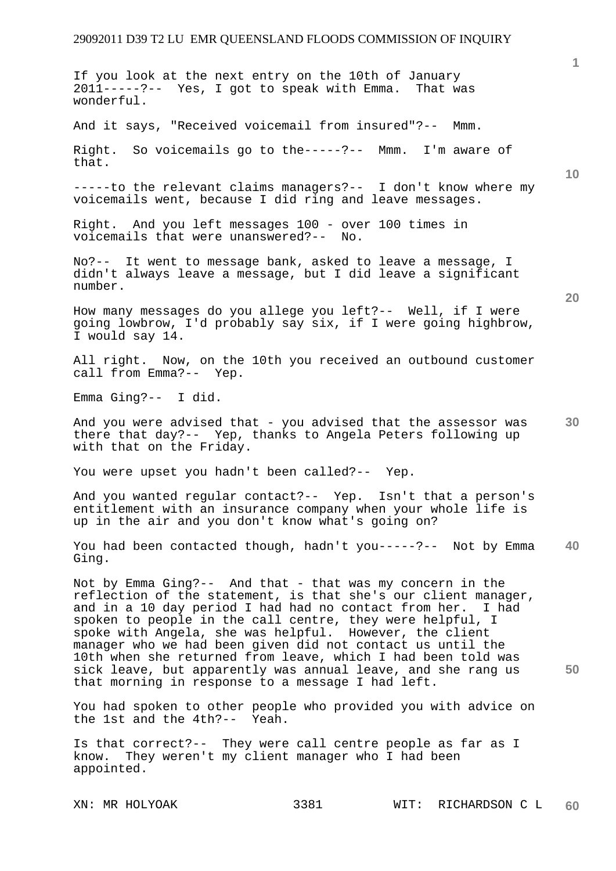**1 10 20 30 40 50**  If you look at the next entry on the 10th of January 2011-----?-- Yes, I got to speak with Emma. That was wonderful. And it says, "Received voicemail from insured"?-- Mmm. Right. So voicemails go to the-----?-- Mmm. I'm aware of that. -----to the relevant claims managers?-- I don't know where my voicemails went, because I did ring and leave messages. Right. And you left messages 100 - over 100 times in voicemails that were unanswered?-- No. No?-- It went to message bank, asked to leave a message, I didn't always leave a message, but I did leave a significant number. How many messages do you allege you left?-- Well, if I were going lowbrow, I'd probably say six, if I were going highbrow, I would say 14. All right. Now, on the 10th you received an outbound customer call from Emma?-- Yep. Emma Ging?-- I did. And you were advised that - you advised that the assessor was there that day?-- Yep, thanks to Angela Peters following up with that on the Friday. You were upset you hadn't been called?-- Yep. And you wanted regular contact?-- Yep. Isn't that a person's entitlement with an insurance company when your whole life is up in the air and you don't know what's going on? You had been contacted though, hadn't you-----?-- Not by Emma Ging. Not by Emma Ging?-- And that - that was my concern in the reflection of the statement, is that she's our client manager, and in a 10 day period I had had no contact from her. I had spoken to people in the call centre, they were helpful, I spoke with Angela, she was helpful. However, the client manager who we had been given did not contact us until the 10th when she returned from leave, which I had been told was sick leave, but apparently was annual leave, and she rang us that morning in response to a message I had left. You had spoken to other people who provided you with advice on the 1st and the 4th?-- Yeah. Is that correct?-- They were call centre people as far as I know. They weren't my client manager who I had been appointed.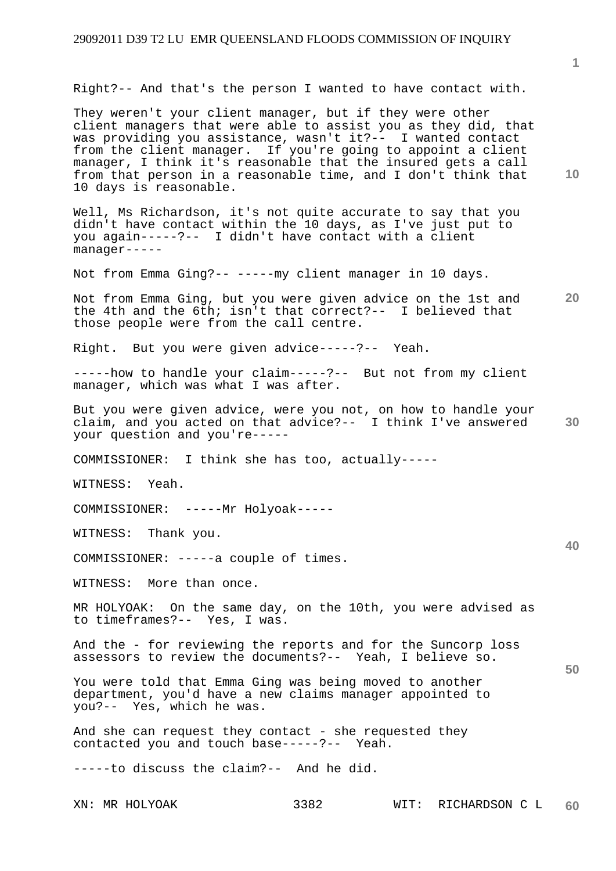Right?-- And that's the person I wanted to have contact with.

They weren't your client manager, but if they were other client managers that were able to assist you as they did, that was providing you assistance, wasn't it?-- I wanted contact from the client manager. If you're going to appoint a client manager, I think it's reasonable that the insured gets a call from that person in a reasonable time, and I don't think that 10 days is reasonable.

Well, Ms Richardson, it's not quite accurate to say that you didn't have contact within the 10 days, as I've just put to you again-----?-- I didn't have contact with a client manager-----

Not from Emma Ging?-- -----my client manager in 10 days.

**20**  Not from Emma Ging, but you were given advice on the 1st and the 4th and the 6th; isn't that correct?-- I believed that those people were from the call centre.

Right. But you were given advice-----?-- Yeah.

-----how to handle your claim-----?-- But not from my client manager, which was what I was after.

**30**  But you were given advice, were you not, on how to handle your claim, and you acted on that advice?-- I think I've answered your question and you're-----

COMMISSIONER: I think she has too, actually-----

WITNESS: Yeah.

COMMISSIONER: -----Mr Holyoak-----

WITNESS: Thank you.

COMMISSIONER: -----a couple of times.

WITNESS: More than once.

MR HOLYOAK: On the same day, on the 10th, you were advised as to timeframes?-- Yes, I was.

And the - for reviewing the reports and for the Suncorp loss assessors to review the documents?-- Yeah, I believe so.

You were told that Emma Ging was being moved to another department, you'd have a new claims manager appointed to you?-- Yes, which he was.

And she can request they contact - she requested they contacted you and touch base-----?-- Yeah.

-----to discuss the claim?-- And he did.

XN: MR HOLYOAK 3382 WIT: RICHARDSON C L **60** 

**10** 

**1**

**40**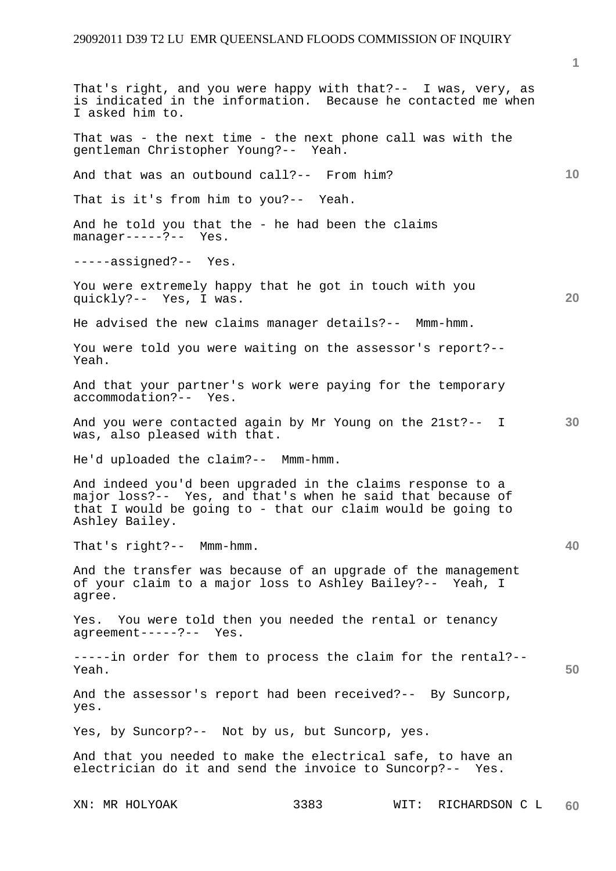XN: MR HOLYOAK 3383 WIT: RICHARDSON C L **10 20 30 40 50 60**  That's right, and you were happy with that?-- I was, very, as is indicated in the information. Because he contacted me when I asked him to. That was - the next time - the next phone call was with the gentleman Christopher Young?-- Yeah. And that was an outbound call?-- From him? That is it's from him to you?-- Yeah. And he told you that the - he had been the claims manager-----?-- Yes. -----assigned?-- Yes. You were extremely happy that he got in touch with you quickly?-- Yes, I was. He advised the new claims manager details?-- Mmm-hmm. You were told you were waiting on the assessor's report?-- Yeah. And that your partner's work were paying for the temporary accommodation?-- Yes. And you were contacted again by Mr Young on the 21st?-- I was, also pleased with that. He'd uploaded the claim?-- Mmm-hmm. And indeed you'd been upgraded in the claims response to a major loss?-- Yes, and that's when he said that because of that I would be going to - that our claim would be going to Ashley Bailey. That's right?-- Mmm-hmm. And the transfer was because of an upgrade of the management of your claim to a major loss to Ashley Bailey?-- Yeah, I agree. Yes. You were told then you needed the rental or tenancy agreement-----?-- Yes. -----in order for them to process the claim for the rental?-- Yeah. And the assessor's report had been received?-- By Suncorp, yes. Yes, by Suncorp?-- Not by us, but Suncorp, yes. And that you needed to make the electrical safe, to have an electrician do it and send the invoice to Suncorp?-- Yes.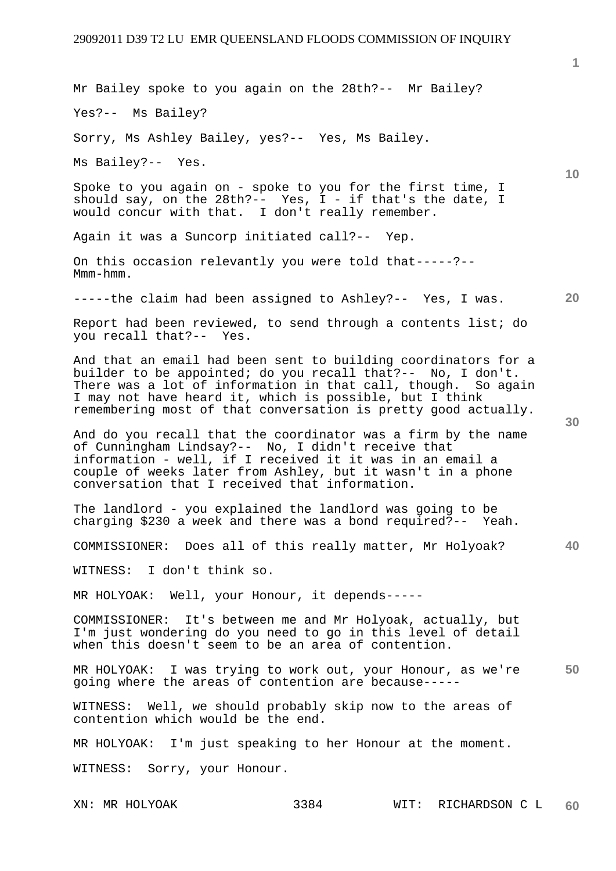**10 20 30 40 50**  Mr Bailey spoke to you again on the 28th?-- Mr Bailey? Yes?-- Ms Bailey? Sorry, Ms Ashley Bailey, yes?-- Yes, Ms Bailey. Ms Bailey?-- Yes. Spoke to you again on - spoke to you for the first time, I should say, on the 28th?-- Yes,  $I - if$  that's the date, I would concur with that. I don't really remember. Again it was a Suncorp initiated call?-- Yep. On this occasion relevantly you were told that-----?-- Mmm-hmm. -----the claim had been assigned to Ashley?-- Yes, I was. Report had been reviewed, to send through a contents list; do you recall that?-- Yes. And that an email had been sent to building coordinators for a builder to be appointed; do you recall that?-- No, I don't. There was a lot of information in that call, though. So again I may not have heard it, which is possible, but I think remembering most of that conversation is pretty good actually. And do you recall that the coordinator was a firm by the name of Cunningham Lindsay?-- No, I didn't receive that information - well, if I received it it was in an email a couple of weeks later from Ashley, but it wasn't in a phone conversation that I received that information. The landlord - you explained the landlord was going to be charging \$230 a week and there was a bond required?-- Yeah. COMMISSIONER: Does all of this really matter, Mr Holyoak? WITNESS: I don't think so. MR HOLYOAK: Well, your Honour, it depends----- COMMISSIONER: It's between me and Mr Holyoak, actually, but I'm just wondering do you need to go in this level of detail when this doesn't seem to be an area of contention. MR HOLYOAK: I was trying to work out, your Honour, as we're going where the areas of contention are because----- WITNESS: Well, we should probably skip now to the areas of contention which would be the end. MR HOLYOAK: I'm just speaking to her Honour at the moment. WITNESS: Sorry, your Honour.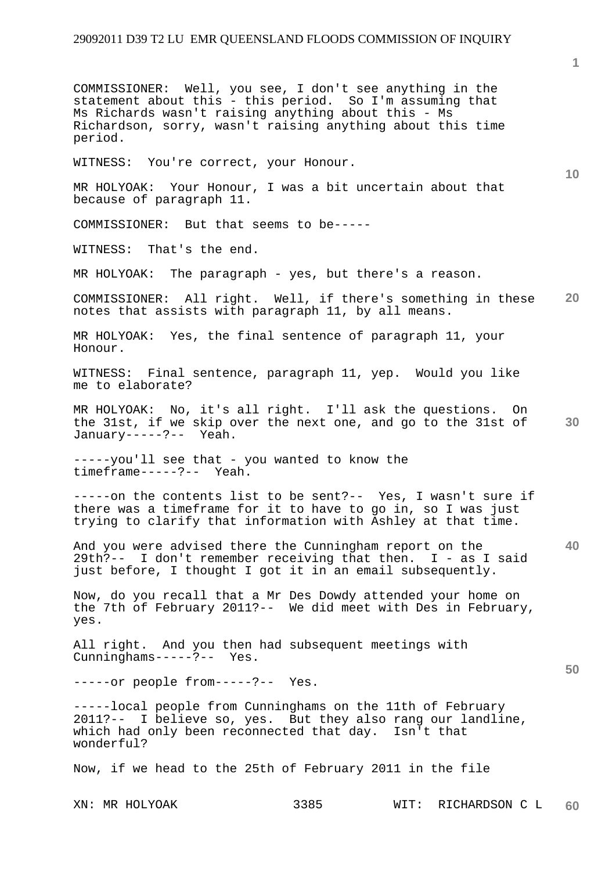**1 10 20 30 40 50**  COMMISSIONER: Well, you see, I don't see anything in the statement about this - this period. So I'm assuming that Ms Richards wasn't raising anything about this - Ms Richardson, sorry, wasn't raising anything about this time period. WITNESS: You're correct, your Honour. MR HOLYOAK: Your Honour, I was a bit uncertain about that because of paragraph 11. COMMISSIONER: But that seems to be----- WITNESS: That's the end. MR HOLYOAK: The paragraph - yes, but there's a reason. COMMISSIONER: All right. Well, if there's something in these notes that assists with paragraph 11, by all means. MR HOLYOAK: Yes, the final sentence of paragraph 11, your Honour. WITNESS: Final sentence, paragraph 11, yep. Would you like me to elaborate? MR HOLYOAK: No, it's all right. I'll ask the questions. On the 31st, if we skip over the next one, and go to the 31st of January-----?-- Yeah. -----you'll see that - you wanted to know the timeframe-----?-- Yeah. -----on the contents list to be sent?-- Yes, I wasn't sure if there was a timeframe for it to have to go in, so I was just trying to clarify that information with Ashley at that time. And you were advised there the Cunningham report on the 29th?-- I don't remember receiving that then. I - as I said just before, I thought I got it in an email subsequently. Now, do you recall that a Mr Des Dowdy attended your home on the 7th of February 2011?-- We did meet with Des in February, yes. All right. And you then had subsequent meetings with Cunninghams-----?-- Yes. -----or people from-----?-- Yes. -----local people from Cunninghams on the 11th of February 2011?-- I believe so, yes. But they also rang our landline, which had only been reconnected that day. Isn't that wonderful? Now, if we head to the 25th of February 2011 in the file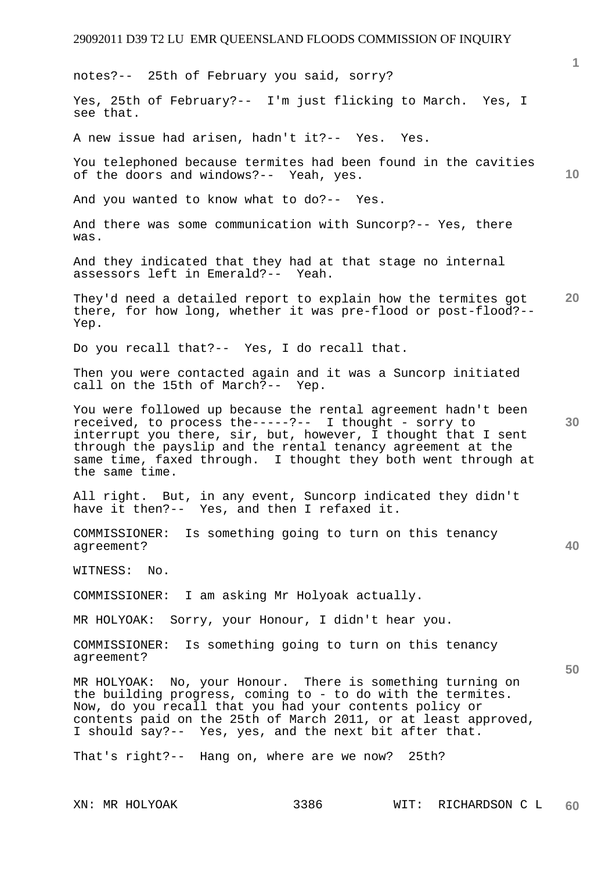**1 10 20 30 40 50**  notes?-- 25th of February you said, sorry? Yes, 25th of February?-- I'm just flicking to March. Yes, I see that. A new issue had arisen, hadn't it?-- Yes. Yes. You telephoned because termites had been found in the cavities of the doors and windows?-- Yeah, yes. And you wanted to know what to do?-- Yes. And there was some communication with Suncorp?-- Yes, there was. And they indicated that they had at that stage no internal assessors left in Emerald?-- Yeah. They'd need a detailed report to explain how the termites got there, for how long, whether it was pre-flood or post-flood?-- Yep. Do you recall that?-- Yes, I do recall that. Then you were contacted again and it was a Suncorp initiated call on the 15th of March?-- Yep. You were followed up because the rental agreement hadn't been received, to process the-----?-- I thought - sorry to interrupt you there, sir, but, however, I thought that I sent through the payslip and the rental tenancy agreement at the same time, faxed through. I thought they both went through at the same time. All right. But, in any event, Suncorp indicated they didn't have it then?-- Yes, and then I refaxed it. COMMISSIONER: Is something going to turn on this tenancy agreement? WITNESS: No. COMMISSIONER: I am asking Mr Holyoak actually. MR HOLYOAK: Sorry, your Honour, I didn't hear you. COMMISSIONER: Is something going to turn on this tenancy agreement? MR HOLYOAK: No, your Honour. There is something turning on the building progress, coming to - to do with the termites. Now, do you recall that you had your contents policy or contents paid on the 25th of March 2011, or at least approved, I should say?-- Yes, yes, and the next bit after that. That's right?-- Hang on, where are we now? 25th?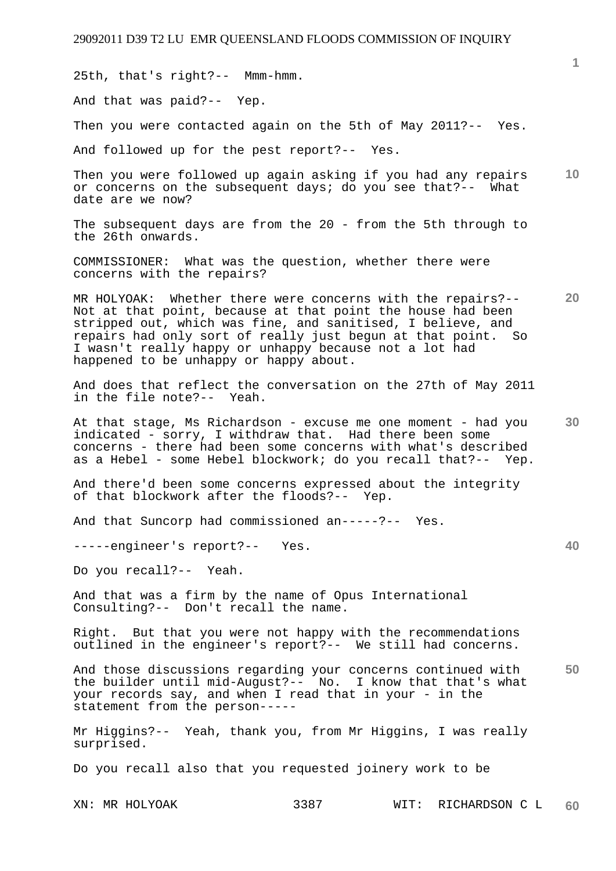XN: MR HOLYOAK 3387 WIT: RICHARDSON C L **1 10 20 30 40 50 60**  25th, that's right?-- Mmm-hmm. And that was paid?-- Yep. Then you were contacted again on the 5th of May 2011?-- Yes. And followed up for the pest report?-- Yes. Then you were followed up again asking if you had any repairs or concerns on the subsequent days; do you see that?-- What date are we now? The subsequent days are from the 20 - from the 5th through to the 26th onwards. COMMISSIONER: What was the question, whether there were concerns with the repairs? MR HOLYOAK: Whether there were concerns with the repairs?-- Not at that point, because at that point the house had been stripped out, which was fine, and sanitised, I believe, and repairs had only sort of really just begun at that point. So I wasn't really happy or unhappy because not a lot had happened to be unhappy or happy about. And does that reflect the conversation on the 27th of May 2011 in the file note?-- Yeah. At that stage, Ms Richardson - excuse me one moment - had you indicated - sorry, I withdraw that. Had there been some concerns - there had been some concerns with what's described as a Hebel - some Hebel blockwork; do you recall that?-- Yep. And there'd been some concerns expressed about the integrity of that blockwork after the floods?-- Yep. And that Suncorp had commissioned an-----?-- Yes. -----engineer's report?-- Yes. Do you recall?-- Yeah. And that was a firm by the name of Opus International Consulting?-- Don't recall the name. Right. But that you were not happy with the recommendations outlined in the engineer's report?-- We still had concerns. And those discussions regarding your concerns continued with the builder until mid-August?-- No. I know that that's what your records say, and when I read that in your - in the statement from the person----- Mr Higgins?-- Yeah, thank you, from Mr Higgins, I was really surprised. Do you recall also that you requested joinery work to be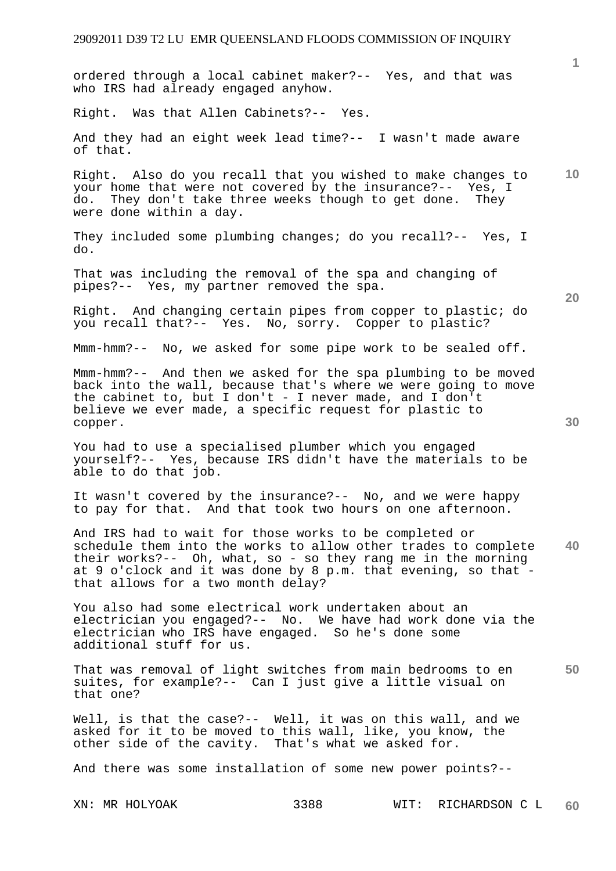**1 10 20 30 40 50**  ordered through a local cabinet maker?-- Yes, and that was who IRS had already engaged anyhow. Right. Was that Allen Cabinets?-- Yes. And they had an eight week lead time?-- I wasn't made aware of that. Right. Also do you recall that you wished to make changes to your home that were not covered by the insurance?-- Yes, I do. They don't take three weeks though to get done. They were done within a day. They included some plumbing changes; do you recall?-- Yes, I do. That was including the removal of the spa and changing of pipes?-- Yes, my partner removed the spa. Right. And changing certain pipes from copper to plastic; do you recall that?-- Yes. No, sorry. Copper to plastic? Mmm-hmm?-- No, we asked for some pipe work to be sealed off. Mmm-hmm?-- And then we asked for the spa plumbing to be moved back into the wall, because that's where we were going to move the cabinet to, but I don't - I never made, and I don't believe we ever made, a specific request for plastic to copper. You had to use a specialised plumber which you engaged yourself?-- Yes, because IRS didn't have the materials to be able to do that job. It wasn't covered by the insurance?-- No, and we were happy to pay for that. And that took two hours on one afternoon. And IRS had to wait for those works to be completed or schedule them into the works to allow other trades to complete their works?-- Oh, what, so - so they rang me in the morning at 9 o'clock and it was done by 8 p.m. that evening, so that that allows for a two month delay? You also had some electrical work undertaken about an electrician you engaged?-- No. We have had work done via the electrician who IRS have engaged. So he's done some additional stuff for us. That was removal of light switches from main bedrooms to en suites, for example?-- Can I just give a little visual on that one? Well, is that the case?-- Well, it was on this wall, and we asked for it to be moved to this wall, like, you know, the other side of the cavity. That's what we asked for. And there was some installation of some new power points?--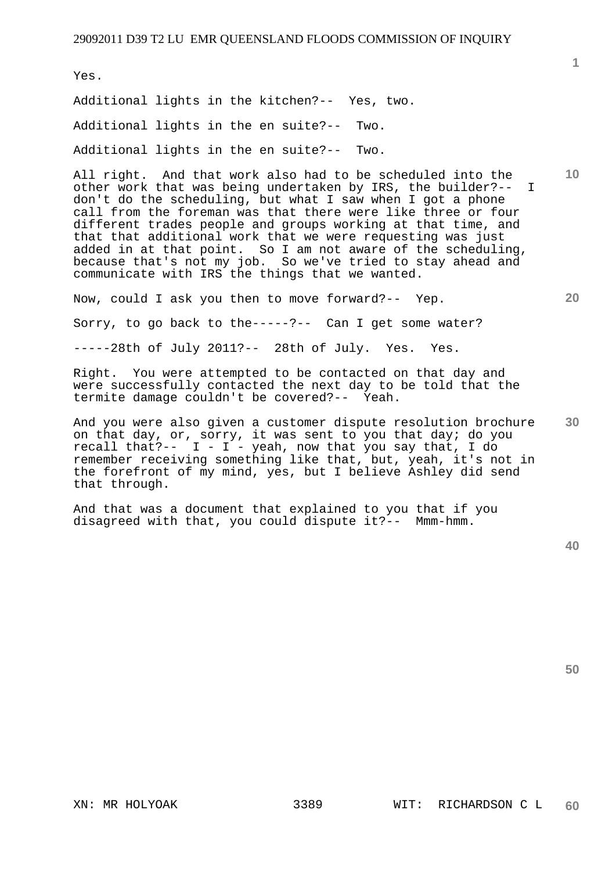Yes.

Additional lights in the kitchen?-- Yes, two. Additional lights in the en suite?-- Two. Additional lights in the en suite?-- Two.

All right. And that work also had to be scheduled into the other work that was being undertaken by IRS, the builder?-- I don't do the scheduling, but what I saw when I got a phone call from the foreman was that there were like three or four different trades people and groups working at that time, and that that additional work that we were requesting was just added in at that point. So I am not aware of the scheduling, because that's not my job. So we've tried to stay ahead and communicate with IRS the things that we wanted.

Now, could I ask you then to move forward?-- Yep.

Sorry, to go back to the-----?-- Can I get some water?

-----28th of July 2011?-- 28th of July. Yes. Yes.

Right. You were attempted to be contacted on that day and were successfully contacted the next day to be told that the termite damage couldn't be covered?-- Yeah.

**30**  And you were also given a customer dispute resolution brochure on that day, or, sorry, it was sent to you that day; do you recall that?--  $I - I - y$ eah, now that you say that, I do remember receiving something like that, but, yeah, it's not in the forefront of my mind, yes, but I believe Ashley did send that through.

And that was a document that explained to you that if you disagreed with that, you could dispute it?-- Mmm-hmm.

**40** 

**50** 

**1**

**20**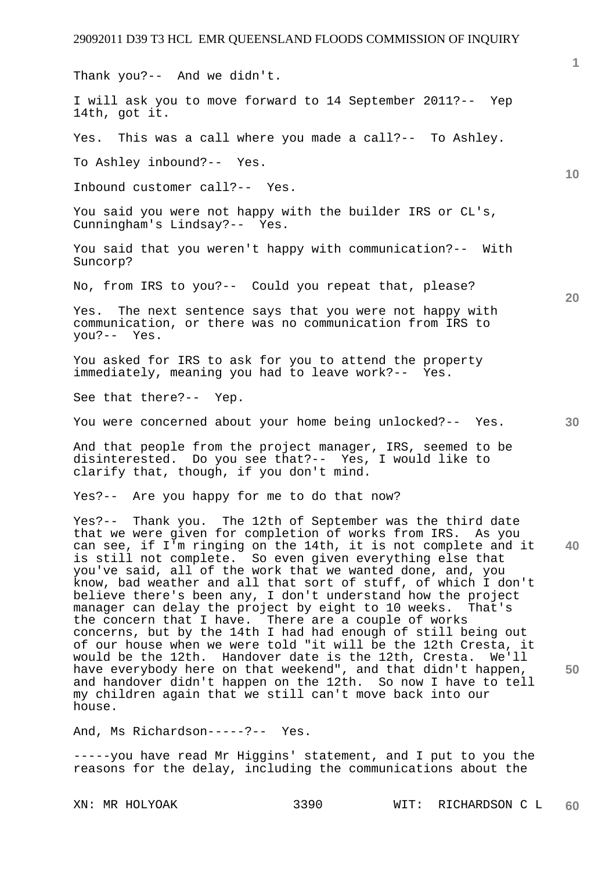Thank you?-- And we didn't.

I will ask you to move forward to 14 September 2011?-- Yep 14th, got it.

Yes. This was a call where you made a call?-- To Ashley.

To Ashley inbound?-- Yes.

Inbound customer call?-- Yes.

You said you were not happy with the builder IRS or CL's, Cunningham's Lindsay?-- Yes.

You said that you weren't happy with communication?-- With Suncorp?

No, from IRS to you?-- Could you repeat that, please?

Yes. The next sentence says that you were not happy with communication, or there was no communication from IRS to you?-- Yes.

You asked for IRS to ask for you to attend the property immediately, meaning you had to leave work?-- Yes.

See that there?-- Yep.

You were concerned about your home being unlocked?-- Yes.

And that people from the project manager, IRS, seemed to be disinterested. Do you see that?-- Yes, I would like to clarify that, though, if you don't mind.

Yes?-- Are you happy for me to do that now?

**40 50**  Yes?-- Thank you. The 12th of September was the third date that we were given for completion of works from IRS. As you can see, if I'm ringing on the 14th, it is not complete and it is still not complete. So even given everything else that you've said, all of the work that we wanted done, and, you know, bad weather and all that sort of stuff, of which I don't believe there's been any, I don't understand how the project manager can delay the project by eight to 10 weeks. That's the concern that I have. There are a couple of works concerns, but by the 14th I had had enough of still being out of our house when we were told "it will be the 12th Cresta, it would be the 12th. Handover date is the 12th, Cresta. We'll have everybody here on that weekend", and that didn't happen, and handover didn't happen on the 12th. So now I have to tell my children again that we still can't move back into our house.

And, Ms Richardson-----?-- Yes.

-----you have read Mr Higgins' statement, and I put to you the reasons for the delay, including the communications about the

XN: MR HOLYOAK 3390 WIT: RICHARDSON C L **60** 

**20** 

**30**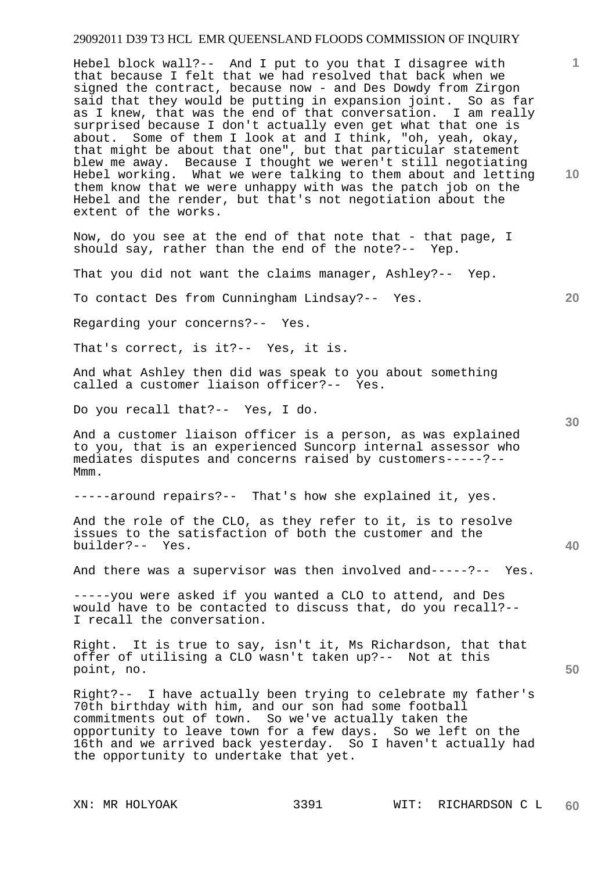Hebel block wall?-- And I put to you that I disagree with that because I felt that we had resolved that back when we signed the contract, because now - and Des Dowdy from Zirgon said that they would be putting in expansion joint. So as far as I knew, that was the end of that conversation. I am really surprised because I don't actually even get what that one is about. Some of them I look at and I think, "oh, yeah, okay, that might be about that one", but that particular statement blew me away. Because I thought we weren't still negotiating Hebel working. What we were talking to them about and letting them know that we were unhappy with was the patch job on the Hebel and the render, but that's not negotiation about the extent of the works.

Now, do you see at the end of that note that - that page, I should say, rather than the end of the note?-- Yep.

That you did not want the claims manager, Ashley?-- Yep.

To contact Des from Cunningham Lindsay?-- Yes.

Regarding your concerns?-- Yes.

That's correct, is it?-- Yes, it is.

And what Ashley then did was speak to you about something called a customer liaison officer?-- Yes.

Do you recall that?-- Yes, I do.

And a customer liaison officer is a person, as was explained to you, that is an experienced Suncorp internal assessor who mediates disputes and concerns raised by customers-----?-- Mmm.

-----around repairs?-- That's how she explained it, yes.

And the role of the CLO, as they refer to it, is to resolve issues to the satisfaction of both the customer and the builder?-- Yes.

And there was a supervisor was then involved and-----?-- Yes.

-----you were asked if you wanted a CLO to attend, and Des would have to be contacted to discuss that, do you recall?-- I recall the conversation.

Right. It is true to say, isn't it, Ms Richardson, that that offer of utilising a CLO wasn't taken up?-- Not at this point, no.

Right?-- I have actually been trying to celebrate my father's 70th birthday with him, and our son had some football commitments out of town. So we've actually taken the opportunity to leave town for a few days. So we left on the 16th and we arrived back yesterday. So I haven't actually had the opportunity to undertake that yet.

**10** 

**1**

**20** 

**40**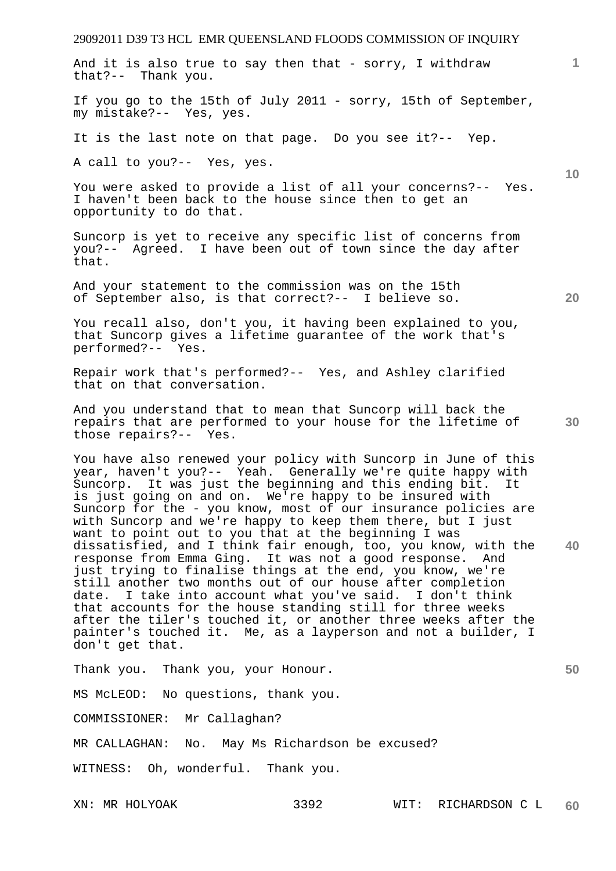**1 10 20 30 40 50**  And it is also true to say then that - sorry, I withdraw that?-- Thank you. If you go to the 15th of July 2011 - sorry, 15th of September, my mistake?-- Yes, yes. It is the last note on that page. Do you see it?-- Yep. A call to you?-- Yes, yes. You were asked to provide a list of all your concerns?-- Yes. I haven't been back to the house since then to get an opportunity to do that. Suncorp is yet to receive any specific list of concerns from you?-- Agreed. I have been out of town since the day after that. And your statement to the commission was on the 15th of September also, is that correct?-- I believe so. You recall also, don't you, it having been explained to you, that Suncorp gives a lifetime guarantee of the work that's performed?-- Yes. Repair work that's performed?-- Yes, and Ashley clarified that on that conversation. And you understand that to mean that Suncorp will back the repairs that are performed to your house for the lifetime of those repairs?-- Yes. You have also renewed your policy with Suncorp in June of this year, haven't you?-- Yeah. Generally we're quite happy with Suncorp. It was just the beginning and this ending bit. It is just going on and on. We're happy to be insured with Suncorp for the - you know, most of our insurance policies are with Suncorp and we're happy to keep them there, but I just want to point out to you that at the beginning I was dissatisfied, and I think fair enough, too, you know, with the response from Emma Ging. It was not a good response. And just trying to finalise things at the end, you know, we're still another two months out of our house after completion date. I take into account what you've said. I don't think that accounts for the house standing still for three weeks after the tiler's touched it, or another three weeks after the painter's touched it. Me, as a layperson and not a builder, I don't get that. Thank you. Thank you, your Honour. MS McLEOD: No questions, thank you. COMMISSIONER: Mr Callaghan? MR CALLAGHAN: No. May Ms Richardson be excused? WITNESS: Oh, wonderful. Thank you.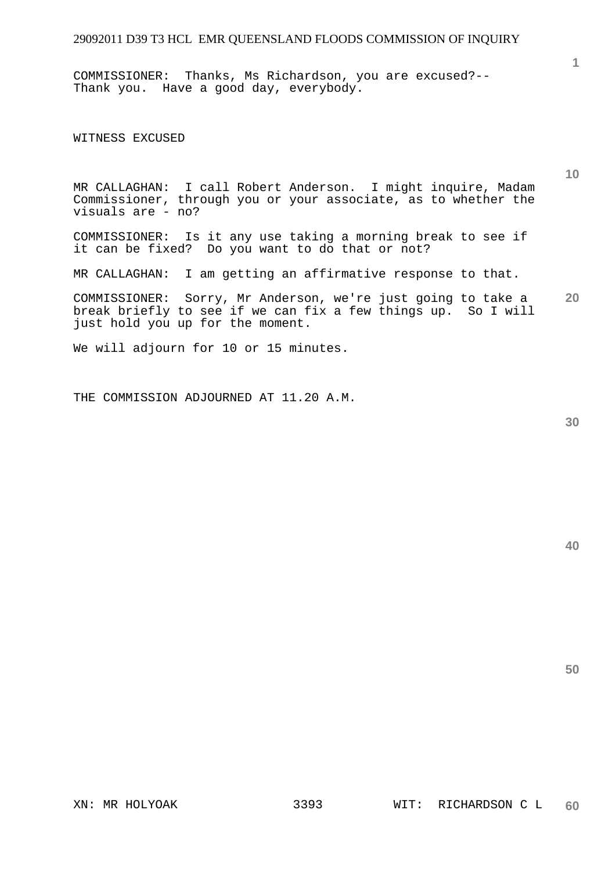COMMISSIONER: Thanks, Ms Richardson, you are excused?-- Thank you. Have a good day, everybody.

WITNESS EXCUSED

MR CALLAGHAN: I call Robert Anderson. I might inquire, Madam Commissioner, through you or your associate, as to whether the visuals are - no?

COMMISSIONER: Is it any use taking a morning break to see if it can be fixed? Do you want to do that or not?

MR CALLAGHAN: I am getting an affirmative response to that.

**20**  COMMISSIONER: Sorry, Mr Anderson, we're just going to take a break briefly to see if we can fix a few things up. So I will just hold you up for the moment.

We will adjourn for 10 or 15 minutes.

THE COMMISSION ADJOURNED AT 11.20 A.M.

**30** 

**50** 

**1**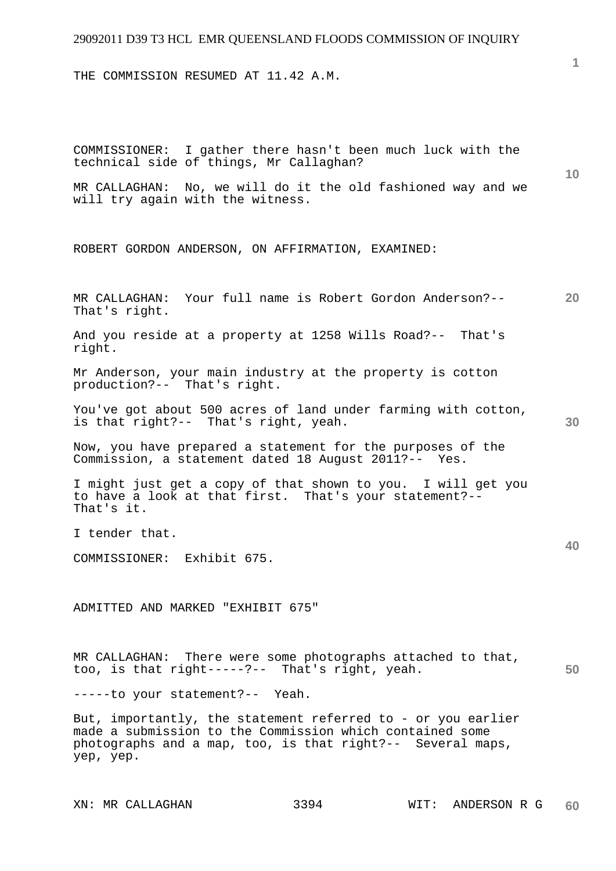THE COMMISSION RESUMED AT 11.42 A.M.

**10 20 30 40 50**  COMMISSIONER: I gather there hasn't been much luck with the technical side of things, Mr Callaghan? MR CALLAGHAN: No, we will do it the old fashioned way and we will try again with the witness. ROBERT GORDON ANDERSON, ON AFFIRMATION, EXAMINED: MR CALLAGHAN: Your full name is Robert Gordon Anderson?-- That's right. And you reside at a property at 1258 Wills Road?-- That's right. Mr Anderson, your main industry at the property is cotton production?-- That's right. You've got about 500 acres of land under farming with cotton, is that right?-- That's right, yeah. Now, you have prepared a statement for the purposes of the Commission, a statement dated 18 August 2011?-- Yes. I might just get a copy of that shown to you. I will get you to have a look at that first. That's your statement?-- That's it. I tender that. COMMISSIONER: Exhibit 675. ADMITTED AND MARKED "EXHIBIT 675" MR CALLAGHAN: There were some photographs attached to that, too, is that right-----?-- That's right, yeah. -----to your statement?-- Yeah. But, importantly, the statement referred to - or you earlier made a submission to the Commission which contained some photographs and a map, too, is that right?-- Several maps, yep, yep.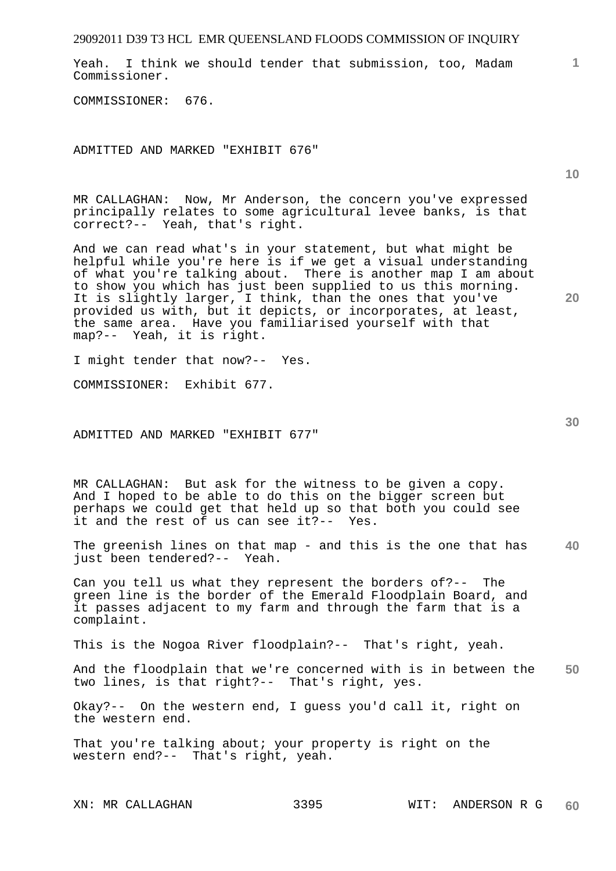Yeah. I think we should tender that submission, too, Madam Commissioner.

COMMISSIONER: 676.

ADMITTED AND MARKED "EXHIBIT 676"

MR CALLAGHAN: Now, Mr Anderson, the concern you've expressed principally relates to some agricultural levee banks, is that correct?-- Yeah, that's right.

And we can read what's in your statement, but what might be helpful while you're here is if we get a visual understanding of what you're talking about. There is another map I am about to show you which has just been supplied to us this morning. It is slightly larger, I think, than the ones that you've provided us with, but it depicts, or incorporates, at least, the same area. Have you familiarised yourself with that map?-- Yeah, it is right.

I might tender that now?-- Yes.

COMMISSIONER: Exhibit 677.

ADMITTED AND MARKED "EXHIBIT 677"

MR CALLAGHAN: But ask for the witness to be given a copy. And I hoped to be able to do this on the bigger screen but perhaps we could get that held up so that both you could see it and the rest of us can see it?-- Yes.

**40**  The greenish lines on that map - and this is the one that has just been tendered?-- Yeah.

Can you tell us what they represent the borders of?-- The green line is the border of the Emerald Floodplain Board, and it passes adjacent to my farm and through the farm that is a complaint.

This is the Nogoa River floodplain?-- That's right, yeah.

**50**  And the floodplain that we're concerned with is in between the two lines, is that right?-- That's right, yes.

Okay?-- On the western end, I guess you'd call it, right on the western end.

That you're talking about; your property is right on the western end?-- That's right, yeah.

**10** 

**1**

**30**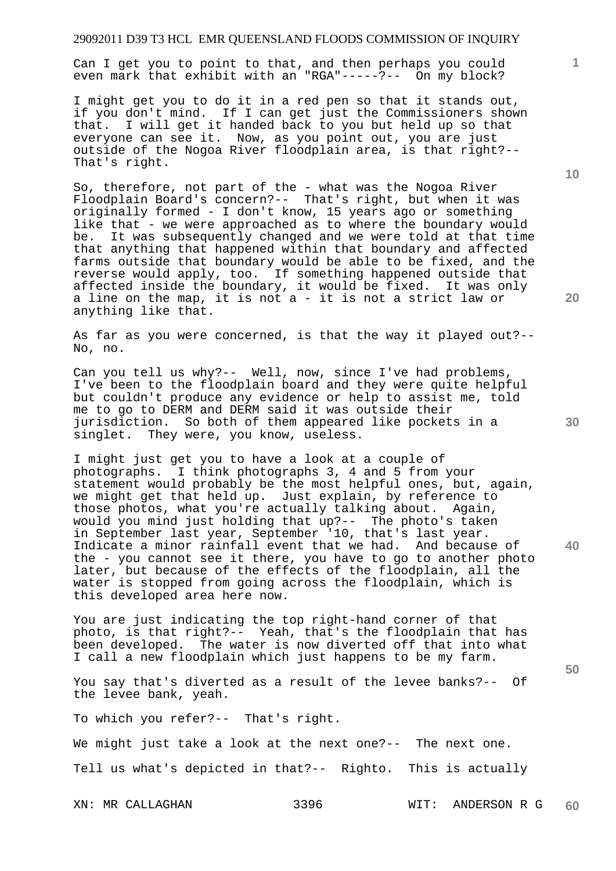Can I get you to point to that, and then perhaps you could even mark that exhibit with an "RGA"-----?-- On my block?

I might get you to do it in a red pen so that it stands out, if you don't mind. If I can get just the Commissioners shown that. I will get it handed back to you but held up so that everyone can see it. Now, as you point out, you are just outside of the Nogoa River floodplain area, is that right?-- That's right.

So, therefore, not part of the - what was the Nogoa River Floodplain Board's concern?-- That's right, but when it was originally formed - I don't know, 15 years ago or something like that - we were approached as to where the boundary would be. It was subsequently changed and we were told at that time that anything that happened within that boundary and affected farms outside that boundary would be able to be fixed, and the reverse would apply, too. If something happened outside that affected inside the boundary, it would be fixed. It was only a line on the map, it is not a - it is not a strict law or anything like that.

As far as you were concerned, is that the way it played out?-- No, no.

Can you tell us why?-- Well, now, since I've had problems, I've been to the floodplain board and they were quite helpful but couldn't produce any evidence or help to assist me, told me to go to DERM and DERM said it was outside their jurisdiction. So both of them appeared like pockets in a singlet. They were, you know, useless.

I might just get you to have a look at a couple of photographs. I think photographs 3, 4 and 5 from your statement would probably be the most helpful ones, but, again, we might get that held up. Just explain, by reference to those photos, what you're actually talking about. Again, would you mind just holding that up?-- The photo's taken in September last year, September '10, that's last year. Indicate a minor rainfall event that we had. And because of the - you cannot see it there, you have to go to another photo later, but because of the effects of the floodplain, all the water is stopped from going across the floodplain, which is this developed area here now.

You are just indicating the top right-hand corner of that photo, is that right?-- Yeah, that's the floodplain that has been developed. The water is now diverted off that into what I call a new floodplain which just happens to be my farm.

You say that's diverted as a result of the levee banks?-- Of the levee bank, yeah.

To which you refer?-- That's right.

We might just take a look at the next one?-- The next one.

Tell us what's depicted in that?-- Righto. This is actually

**10** 

**1**

**20** 

**30** 

**40**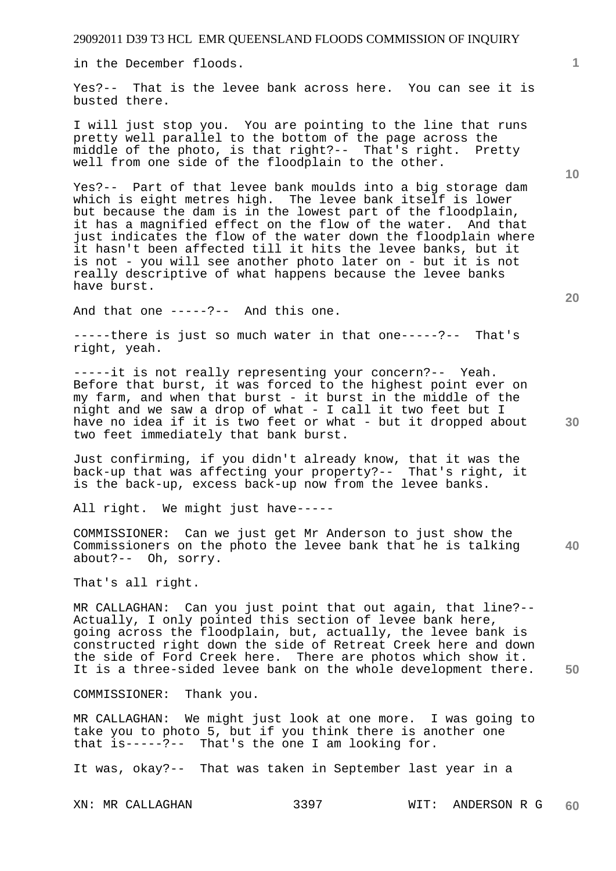in the December floods.

Yes?-- That is the levee bank across here. You can see it is busted there.

I will just stop you. You are pointing to the line that runs pretty well parallel to the bottom of the page across the middle of the photo, is that right?-- That's right. Pretty well from one side of the floodplain to the other.

Yes?-- Part of that levee bank moulds into a big storage dam which is eight metres high. The levee bank itself is lower but because the dam is in the lowest part of the floodplain, it has a magnified effect on the flow of the water. And that just indicates the flow of the water down the floodplain where it hasn't been affected till it hits the levee banks, but it is not - you will see another photo later on - but it is not really descriptive of what happens because the levee banks have burst.

And that one -----?-- And this one.

-----there is just so much water in that one-----?-- That's right, yeah.

-----it is not really representing your concern?-- Yeah. Before that burst, it was forced to the highest point ever on my farm, and when that burst - it burst in the middle of the night and we saw a drop of what - I call it two feet but I have no idea if it is two feet or what - but it dropped about two feet immediately that bank burst.

Just confirming, if you didn't already know, that it was the back-up that was affecting your property?-- That's right, it is the back-up, excess back-up now from the levee banks.

All right. We might just have-----

COMMISSIONER: Can we just get Mr Anderson to just show the Commissioners on the photo the levee bank that he is talking about?-- Oh, sorry.

That's all right.

MR CALLAGHAN: Can you just point that out again, that line?-- Actually, I only pointed this section of levee bank here, going across the floodplain, but, actually, the levee bank is constructed right down the side of Retreat Creek here and down the side of Ford Creek here. There are photos which show it. It is a three-sided levee bank on the whole development there.

COMMISSIONER: Thank you.

MR CALLAGHAN: We might just look at one more. I was going to take you to photo 5, but if you think there is another one that is-----?-- That's the one I am looking for.

It was, okay?-- That was taken in September last year in a

**1**

**40**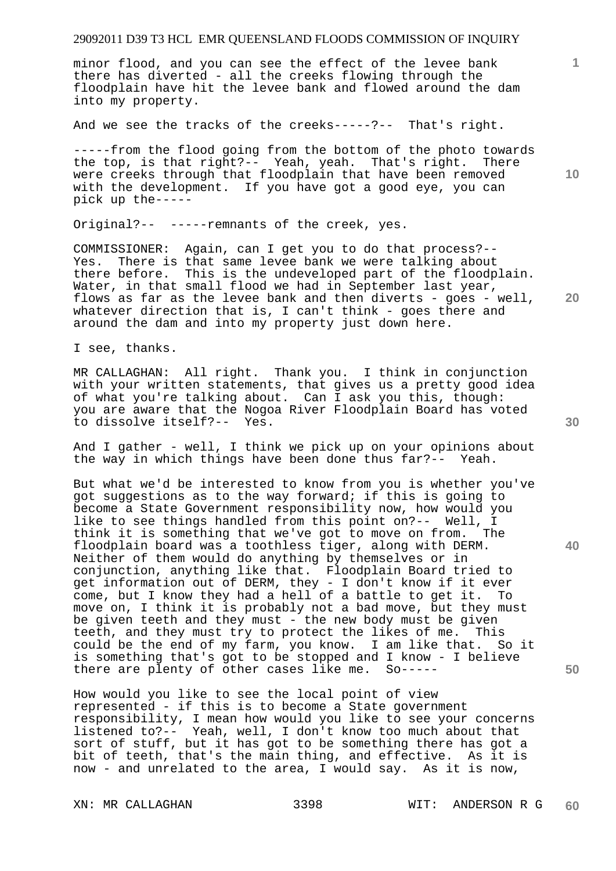minor flood, and you can see the effect of the levee bank there has diverted - all the creeks flowing through the floodplain have hit the levee bank and flowed around the dam into my property.

And we see the tracks of the creeks-----?-- That's right.

-----from the flood going from the bottom of the photo towards the top, is that right?-- Yeah, yeah. That's right. There were creeks through that floodplain that have been removed with the development. If you have got a good eye, you can pick up the-----

Original?-- -----remnants of the creek, yes.

COMMISSIONER: Again, can I get you to do that process?-- Yes. There is that same levee bank we were talking about there before. This is the undeveloped part of the floodplain. Water, in that small flood we had in September last year, flows as far as the levee bank and then diverts - goes - well, whatever direction that is, I can't think - goes there and around the dam and into my property just down here.

I see, thanks.

MR CALLAGHAN: All right. Thank you. I think in conjunction with your written statements, that gives us a pretty good idea of what you're talking about. Can I ask you this, though: you are aware that the Nogoa River Floodplain Board has voted to dissolve itself?-- Yes.

And I gather - well, I think we pick up on your opinions about the way in which things have been done thus far?-- Yeah.

But what we'd be interested to know from you is whether you've got suggestions as to the way forward; if this is going to become a State Government responsibility now, how would you like to see things handled from this point on?-- Well, I think it is something that we've got to move on from. The floodplain board was a toothless tiger, along with DERM. Neither of them would do anything by themselves or in conjunction, anything like that. Floodplain Board tried to get information out of DERM, they - I don't know if it ever come, but I know they had a hell of a battle to get it. To move on, I think it is probably not a bad move, but they must be given teeth and they must - the new body must be given teeth, and they must try to protect the likes of me. This could be the end of my farm, you know. I am like that. So it is something that's got to be stopped and I know - I believe there are plenty of other cases like me. So-----

How would you like to see the local point of view represented - if this is to become a State government responsibility, I mean how would you like to see your concerns listened to?-- Yeah, well, I don't know too much about that sort of stuff, but it has got to be something there has got a bit of teeth, that's the main thing, and effective. As it is now - and unrelated to the area, I would say. As it is now,

**1**

**10** 

**30** 

**40** 

**50**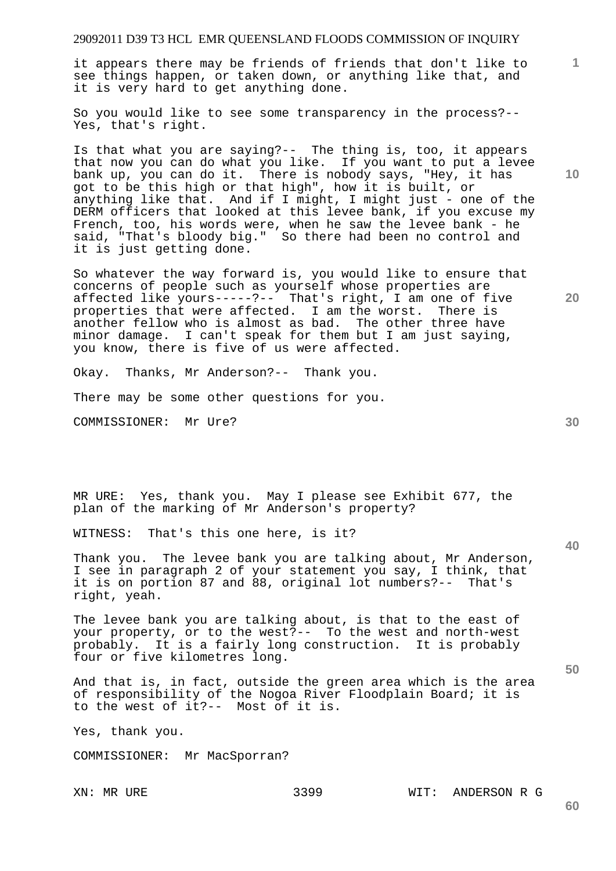it appears there may be friends of friends that don't like to see things happen, or taken down, or anything like that, and it is very hard to get anything done.

So you would like to see some transparency in the process?-- Yes, that's right.

Is that what you are saying?-- The thing is, too, it appears that now you can do what you like. If you want to put a levee bank up, you can do it. There is nobody says, "Hey, it has got to be this high or that high", how it is built, or anything like that. And if I might, I might just - one of the DERM officers that looked at this levee bank, if you excuse my French, too, his words were, when he saw the levee bank - he said, "That's bloody big." So there had been no control and it is just getting done.

So whatever the way forward is, you would like to ensure that concerns of people such as yourself whose properties are affected like yours-----?-- That's right, I am one of five properties that were affected. I am the worst. There is another fellow who is almost as bad. The other three have minor damage. I can't speak for them but I am just saying, you know, there is five of us were affected.

Okay. Thanks, Mr Anderson?-- Thank you.

There may be some other questions for you.

COMMISSIONER: Mr Ure?

MR URE: Yes, thank you. May I please see Exhibit 677, the plan of the marking of Mr Anderson's property?

WITNESS: That's this one here, is it?

Thank you. The levee bank you are talking about, Mr Anderson, I see in paragraph 2 of your statement you say, I think, that it is on portion 87 and 88, original lot numbers?-- That's right, yeah.

The levee bank you are talking about, is that to the east of your property, or to the west?-- To the west and north-west probably. It is a fairly long construction. It is probably four or five kilometres long.

And that is, in fact, outside the green area which is the area of responsibility of the Nogoa River Floodplain Board; it is to the west of it?-- Most of it is.

Yes, thank you.

COMMISSIONER: Mr MacSporran?

XN: MR URE 3399 WIT: ANDERSON R G

**20** 

**40** 

**30** 

**50** 

**10**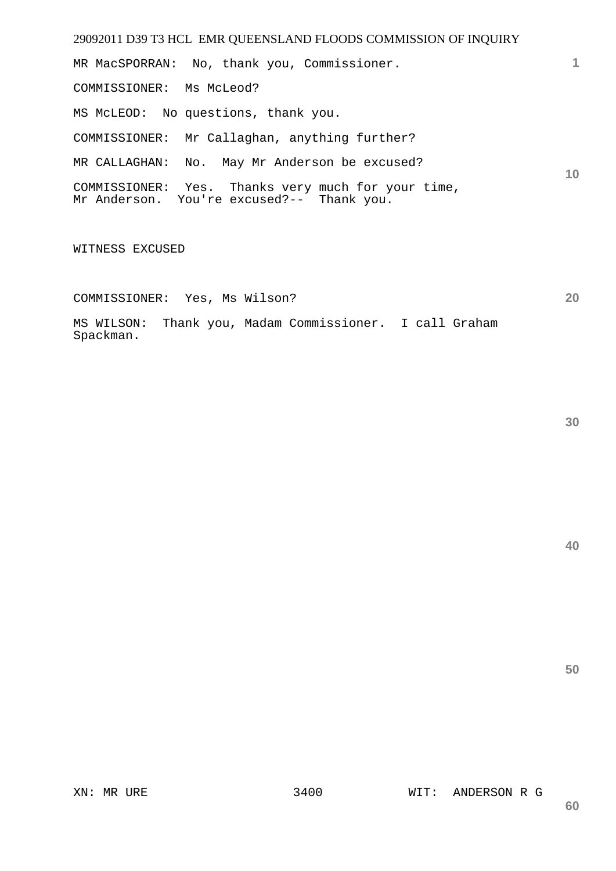29092011 D39 T3 HCL EMR QUEENSLAND FLOODS COMMISSION OF INQUIRY **1 10**  MR MacSPORRAN: No, thank you, Commissioner. COMMISSIONER: Ms McLeod? MS McLEOD: No questions, thank you. COMMISSIONER: Mr Callaghan, anything further? MR CALLAGHAN: No. May Mr Anderson be excused? COMMISSIONER: Yes. Thanks very much for your time, Mr Anderson. You're excused?-- Thank you.

WITNESS EXCUSED

COMMISSIONER: Yes, Ms Wilson?

MS WILSON: Thank you, Madam Commissioner. I call Graham Spackman.

**30** 

**20**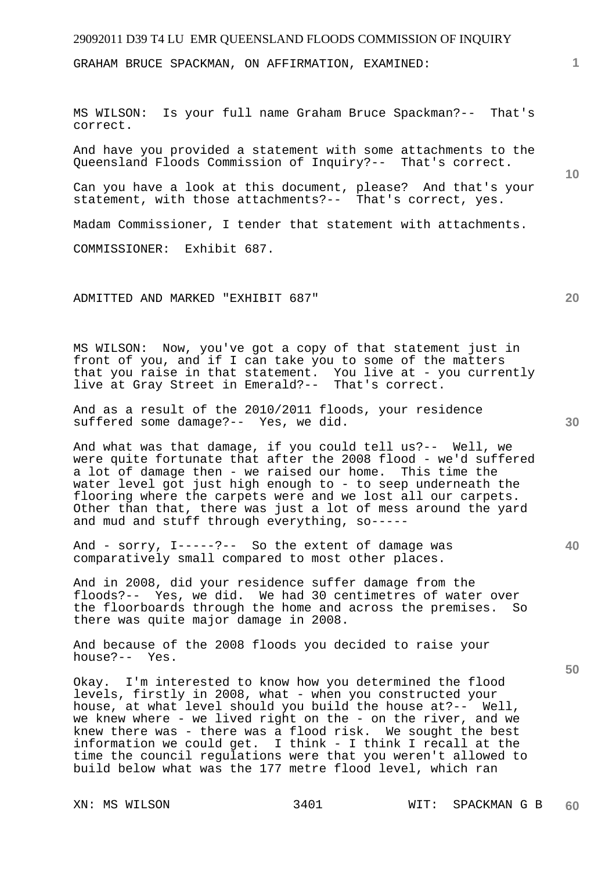GRAHAM BRUCE SPACKMAN, ON AFFIRMATION, EXAMINED:

MS WILSON: Is your full name Graham Bruce Spackman?-- That's correct.

And have you provided a statement with some attachments to the Queensland Floods Commission of Inquiry?-- That's correct.

Can you have a look at this document, please? And that's your statement, with those attachments?-- That's correct, yes.

Madam Commissioner, I tender that statement with attachments.

COMMISSIONER: Exhibit 687.

ADMITTED AND MARKED "EXHIBIT 687"

MS WILSON: Now, you've got a copy of that statement just in front of you, and if I can take you to some of the matters that you raise in that statement. You live at - you currently live at Gray Street in Emerald?-- That's correct.

And as a result of the 2010/2011 floods, your residence suffered some damage?-- Yes, we did.

And what was that damage, if you could tell us?-- Well, we were quite fortunate that after the 2008 flood - we'd suffered a lot of damage then - we raised our home. This time the water level got just high enough to - to seep underneath the flooring where the carpets were and we lost all our carpets. Other than that, there was just a lot of mess around the yard and mud and stuff through everything, so-----

And - sorry, I-----?-- So the extent of damage was comparatively small compared to most other places.

And in 2008, did your residence suffer damage from the floods?-- Yes, we did. We had 30 centimetres of water over the floorboards through the home and across the premises. So there was quite major damage in 2008.

And because of the 2008 floods you decided to raise your house?-- Yes.

Okay. I'm interested to know how you determined the flood levels, firstly in 2008, what - when you constructed your house, at what level should you build the house at?-- Well, we knew where - we lived right on the - on the river, and we knew there was - there was a flood risk. We sought the best information we could get. I think - I think I recall at the time the council regulations were that you weren't allowed to build below what was the 177 metre flood level, which ran

**20** 

**10** 

**50** 

**40**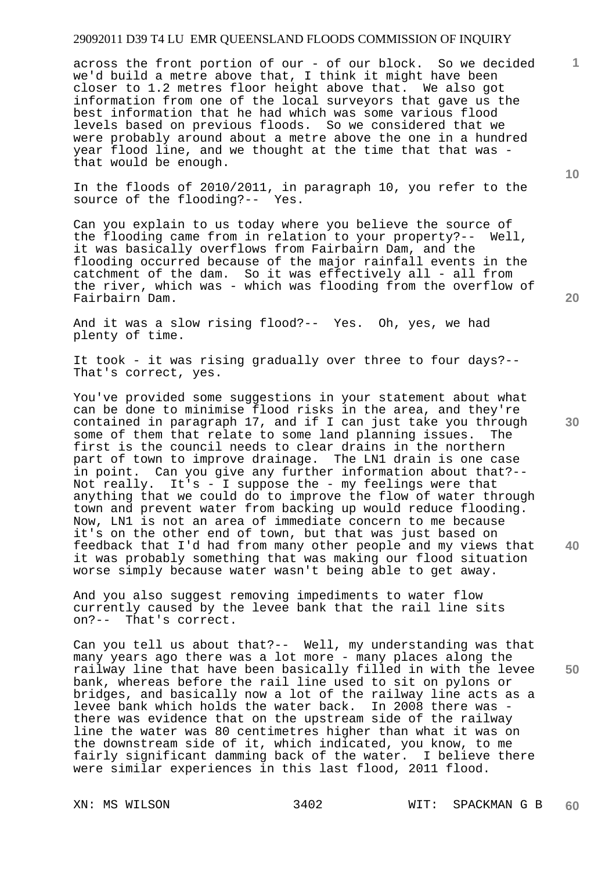across the front portion of our - of our block. So we decided we'd build a metre above that, I think it might have been closer to 1.2 metres floor height above that. We also got information from one of the local surveyors that gave us the best information that he had which was some various flood levels based on previous floods. So we considered that we were probably around about a metre above the one in a hundred year flood line, and we thought at the time that that was that would be enough.

In the floods of 2010/2011, in paragraph 10, you refer to the source of the flooding?-- Yes.

Can you explain to us today where you believe the source of the flooding came from in relation to your property?-- Well, it was basically overflows from Fairbairn Dam, and the flooding occurred because of the major rainfall events in the catchment of the dam. So it was effectively all - all from the river, which was - which was flooding from the overflow of Fairbairn Dam.

And it was a slow rising flood?-- Yes. Oh, yes, we had plenty of time.

It took - it was rising gradually over three to four days?-- That's correct, yes.

You've provided some suggestions in your statement about what can be done to minimise flood risks in the area, and they're contained in paragraph 17, and if I can just take you through some of them that relate to some land planning issues. The first is the council needs to clear drains in the northern part of town to improve drainage. The LN1 drain is one case in point. Can you give any further information about that?-- Not really. It's - I suppose the - my feelings were that anything that we could do to improve the flow of water through town and prevent water from backing up would reduce flooding. Now, LN1 is not an area of immediate concern to me because it's on the other end of town, but that was just based on feedback that I'd had from many other people and my views that it was probably something that was making our flood situation worse simply because water wasn't being able to get away.

And you also suggest removing impediments to water flow currently caused by the levee bank that the rail line sits on?-- That's correct.

Can you tell us about that?-- Well, my understanding was that many years ago there was a lot more - many places along the railway line that have been basically filled in with the levee bank, whereas before the rail line used to sit on pylons or bridges, and basically now a lot of the railway line acts as a levee bank which holds the water back. In 2008 there was there was evidence that on the upstream side of the railway line the water was 80 centimetres higher than what it was on the downstream side of it, which indicated, you know, to me fairly significant damming back of the water. I believe there were similar experiences in this last flood, 2011 flood.

**20** 

**40** 

**50** 

**10**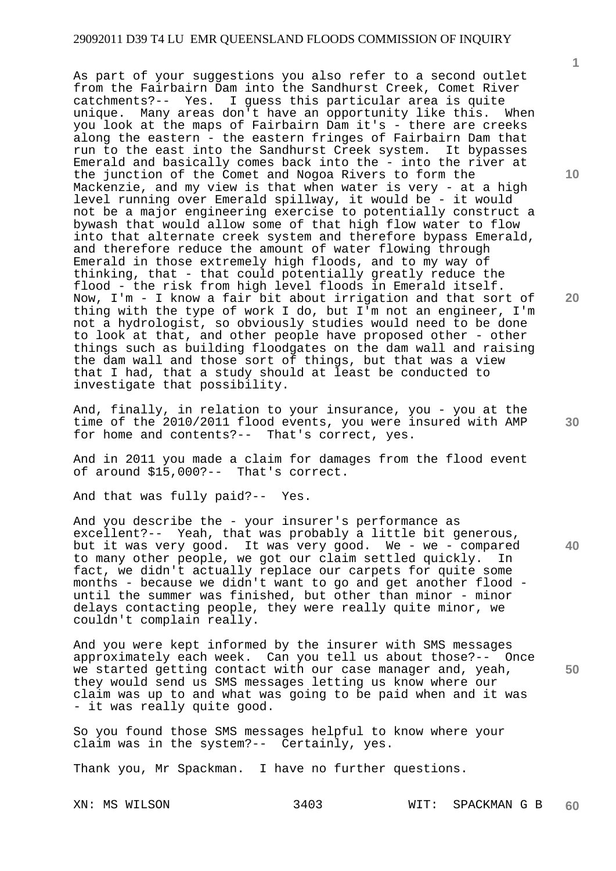As part of your suggestions you also refer to a second outlet from the Fairbairn Dam into the Sandhurst Creek, Comet River catchments?-- Yes. I guess this particular area is quite unique. Many areas don't have an opportunity like this. When you look at the maps of Fairbairn Dam it's - there are creeks along the eastern - the eastern fringes of Fairbairn Dam that run to the east into the Sandhurst Creek system. It bypasses Emerald and basically comes back into the - into the river at the junction of the Comet and Nogoa Rivers to form the Mackenzie, and my view is that when water is very - at a high level running over Emerald spillway, it would be - it would not be a major engineering exercise to potentially construct a bywash that would allow some of that high flow water to flow into that alternate creek system and therefore bypass Emerald, and therefore reduce the amount of water flowing through Emerald in those extremely high floods, and to my way of thinking, that - that could potentially greatly reduce the flood - the risk from high level floods in Emerald itself. Now, I'm - I know a fair bit about irrigation and that sort of thing with the type of work I do, but I'm not an engineer, I'm not a hydrologist, so obviously studies would need to be done to look at that, and other people have proposed other - other things such as building floodgates on the dam wall and raising the dam wall and those sort of things, but that was a view that I had, that a study should at least be conducted to investigate that possibility.

And, finally, in relation to your insurance, you - you at the time of the 2010/2011 flood events, you were insured with AMP for home and contents?-- That's correct, yes.

And in 2011 you made a claim for damages from the flood event of around \$15,000?-- That's correct.

And that was fully paid?-- Yes.

And you describe the - your insurer's performance as excellent?-- Yeah, that was probably a little bit generous, but it was very good. It was very good. We - we - compared to many other people, we got our claim settled quickly. In fact, we didn't actually replace our carpets for quite some months - because we didn't want to go and get another flood until the summer was finished, but other than minor - minor delays contacting people, they were really quite minor, we couldn't complain really.

And you were kept informed by the insurer with SMS messages approximately each week. Can you tell us about those?-- Once we started getting contact with our case manager and, yeah, they would send us SMS messages letting us know where our claim was up to and what was going to be paid when and it was - it was really quite good.

So you found those SMS messages helpful to know where your claim was in the system?-- Certainly, yes.

Thank you, Mr Spackman. I have no further questions.

**10** 

**1**

**20** 

**40** 

**50**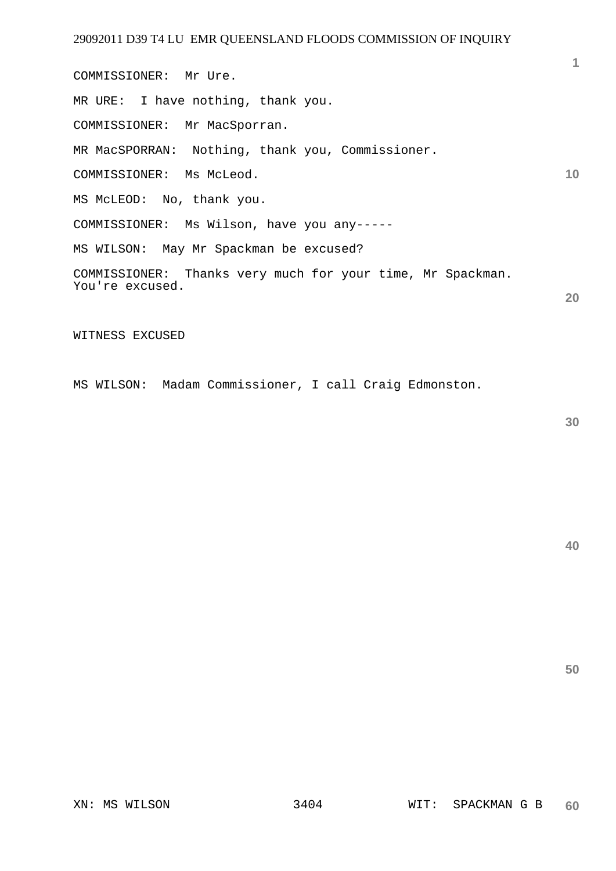**1 10 20**  COMMISSIONER: Mr Ure. MR URE: I have nothing, thank you. COMMISSIONER: Mr MacSporran. MR MacSPORRAN: Nothing, thank you, Commissioner. COMMISSIONER: Ms McLeod. MS McLEOD: No, thank you. COMMISSIONER: Ms Wilson, have you any----- MS WILSON: May Mr Spackman be excused? COMMISSIONER: Thanks very much for your time, Mr Spackman. You're excused.

WITNESS EXCUSED

MS WILSON: Madam Commissioner, I call Craig Edmonston.

**40**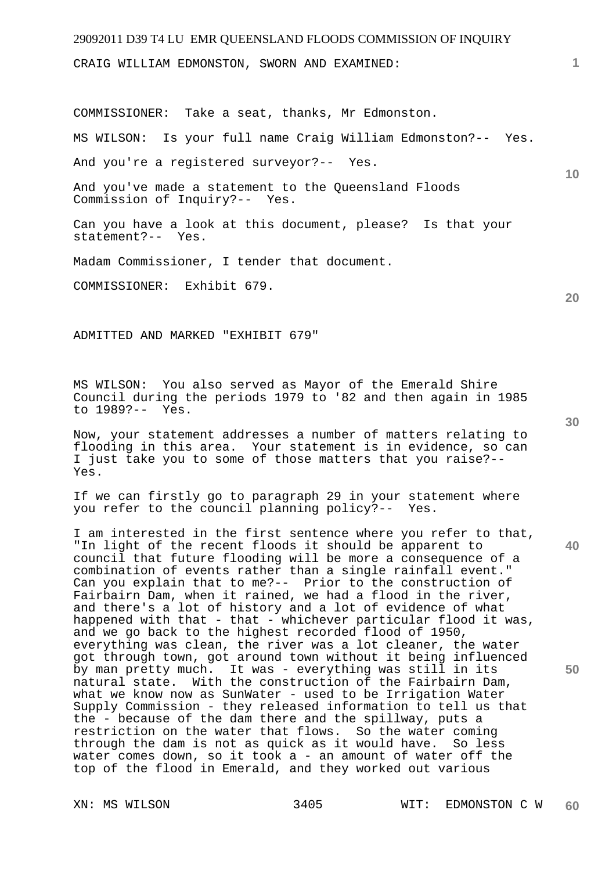CRAIG WILLIAM EDMONSTON, SWORN AND EXAMINED:

COMMISSIONER: Take a seat, thanks, Mr Edmonston.

MS WILSON: Is your full name Craig William Edmonston?-- Yes.

And you're a registered surveyor?-- Yes.

And you've made a statement to the Queensland Floods Commission of Inquiry?-- Yes.

Can you have a look at this document, please? Is that your statement?-- Yes.

Madam Commissioner, I tender that document.

COMMISSIONER: Exhibit 679.

ADMITTED AND MARKED "EXHIBIT 679"

MS WILSON: You also served as Mayor of the Emerald Shire Council during the periods 1979 to '82 and then again in 1985 to 1989?-- Yes.

Now, your statement addresses a number of matters relating to flooding in this area. Your statement is in evidence, so can I just take you to some of those matters that you raise?-- Yes.

If we can firstly go to paragraph 29 in your statement where<br>you refer to the council planning policy?-- Yes. you refer to the council planning policy?--

I am interested in the first sentence where you refer to that, "In light of the recent floods it should be apparent to council that future flooding will be more a consequence of a combination of events rather than a single rainfall event." Can you explain that to me?-- Prior to the construction of Fairbairn Dam, when it rained, we had a flood in the river, and there's a lot of history and a lot of evidence of what happened with that - that - whichever particular flood it was, and we go back to the highest recorded flood of 1950, everything was clean, the river was a lot cleaner, the water got through town, got around town without it being influenced by man pretty much. It was - everything was still in its natural state. With the construction of the Fairbairn Dam, what we know now as SunWater - used to be Irrigation Water Supply Commission - they released information to tell us that the - because of the dam there and the spillway, puts a restriction on the water that flows. So the water coming through the dam is not as quick as it would have. So less water comes down, so it took a - an amount of water off the top of the flood in Emerald, and they worked out various

**30** 

**20** 

**40** 

**50** 

**1**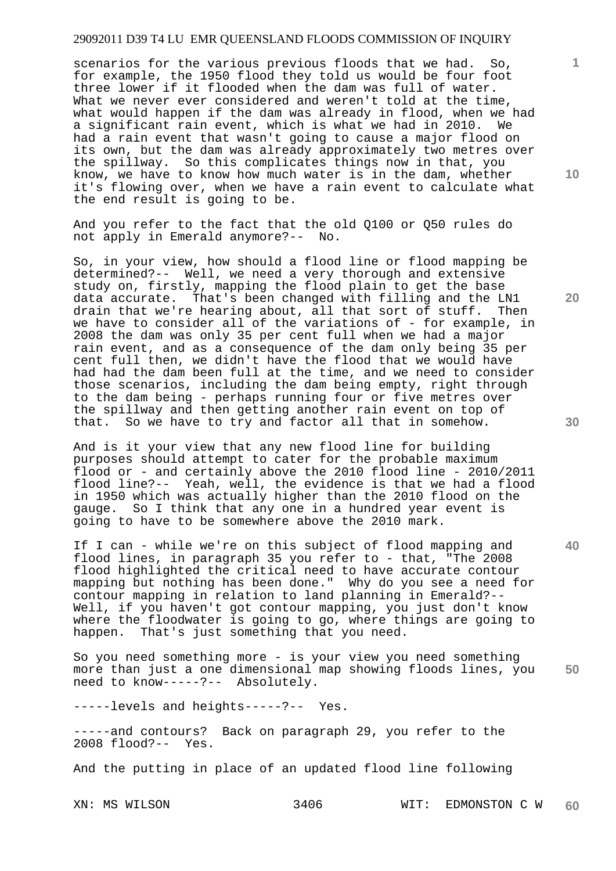scenarios for the various previous floods that we had. So, for example, the 1950 flood they told us would be four foot three lower if it flooded when the dam was full of water. What we never ever considered and weren't told at the time, what would happen if the dam was already in flood, when we had a significant rain event, which is what we had in 2010. We had a rain event that wasn't going to cause a major flood on its own, but the dam was already approximately two metres over the spillway. So this complicates things now in that, you know, we have to know how much water is in the dam, whether it's flowing over, when we have a rain event to calculate what the end result is going to be.

And you refer to the fact that the old Q100 or Q50 rules do not apply in Emerald anymore?-- No.

So, in your view, how should a flood line or flood mapping be determined?-- Well, we need a very thorough and extensive study on, firstly, mapping the flood plain to get the base data accurate. That's been changed with filling and the LN1<br>drain that we're hearing about, all that sort of stuff. Then drain that we're hearing about, all that sort of stuff. we have to consider all of the variations of - for example, in 2008 the dam was only 35 per cent full when we had a major rain event, and as a consequence of the dam only being 35 per cent full then, we didn't have the flood that we would have had had the dam been full at the time, and we need to consider those scenarios, including the dam being empty, right through to the dam being - perhaps running four or five metres over the spillway and then getting another rain event on top of that. So we have to try and factor all that in somehow.

And is it your view that any new flood line for building purposes should attempt to cater for the probable maximum flood or - and certainly above the 2010 flood line - 2010/2011 flood line?-- Yeah, well, the evidence is that we had a flood in 1950 which was actually higher than the 2010 flood on the gauge. So I think that any one in a hundred year event is going to have to be somewhere above the 2010 mark.

If I can - while we're on this subject of flood mapping and flood lines, in paragraph 35 you refer to - that, "The 2008 flood highlighted the critical need to have accurate contour mapping but nothing has been done." Why do you see a need for contour mapping in relation to land planning in Emerald?-- Well, if you haven't got contour mapping, you just don't know where the floodwater is going to go, where things are going to happen. That's just something that you need.

**50**  So you need something more - is your view you need something more than just a one dimensional map showing floods lines, you need to know-----?-- Absolutely.

-----levels and heights-----?-- Yes.

-----and contours? Back on paragraph 29, you refer to the 2008 flood?-- Yes.

And the putting in place of an updated flood line following

XN: MS WILSON 3406 WIT: EDMONSTON C W **60** 

**10** 

**1**

**20**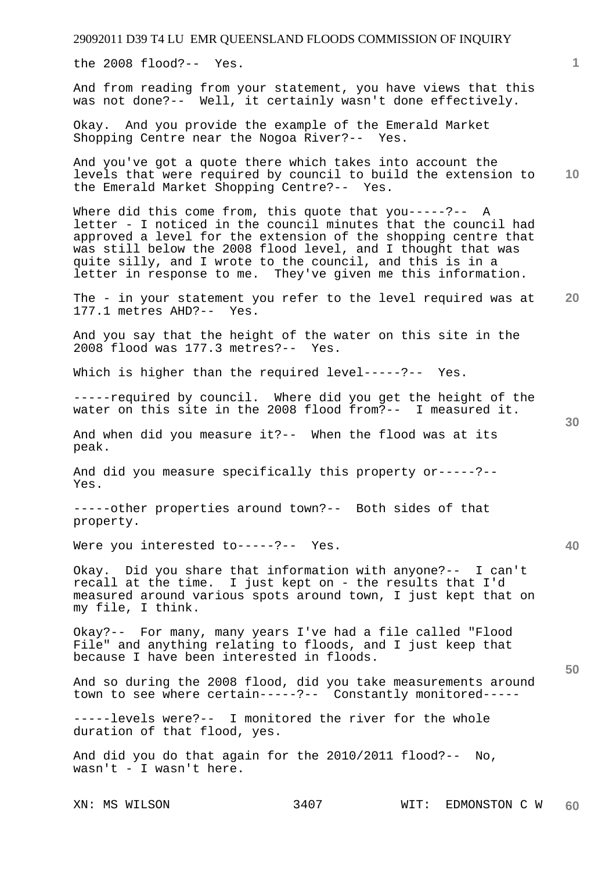the 2008 flood?-- Yes.

And from reading from your statement, you have views that this was not done?-- Well, it certainly wasn't done effectively.

Okay. And you provide the example of the Emerald Market Shopping Centre near the Nogoa River?-- Yes.

**10**  And you've got a quote there which takes into account the levels that were required by council to build the extension to the Emerald Market Shopping Centre?-- Yes.

Where did this come from, this quote that you-----?-- A letter - I noticed in the council minutes that the council had approved a level for the extension of the shopping centre that was still below the 2008 flood level, and I thought that was quite silly, and I wrote to the council, and this is in a letter in response to me. They've given me this information.

**20**  The - in your statement you refer to the level required was at 177.1 metres AHD?-- Yes.

And you say that the height of the water on this site in the 2008 flood was 177.3 metres?-- Yes.

Which is higher than the required level-----?-- Yes.

-----required by council. Where did you get the height of the water on this site in the 2008 flood from?-- I measured it.

And when did you measure it?-- When the flood was at its peak.

And did you measure specifically this property or-----?-- Yes.

-----other properties around town?-- Both sides of that property.

Were you interested to-----?-- Yes.

Okay. Did you share that information with anyone?-- I can't recall at the time. I just kept on - the results that I'd measured around various spots around town, I just kept that on my file, I think.

Okay?-- For many, many years I've had a file called "Flood File" and anything relating to floods, and I just keep that because I have been interested in floods.

And so during the 2008 flood, did you take measurements around town to see where certain-----?-- Constantly monitored-----

-----levels were?-- I monitored the river for the whole duration of that flood, yes.

And did you do that again for the 2010/2011 flood?-- No, wasn't - I wasn't here.

**30** 

**50**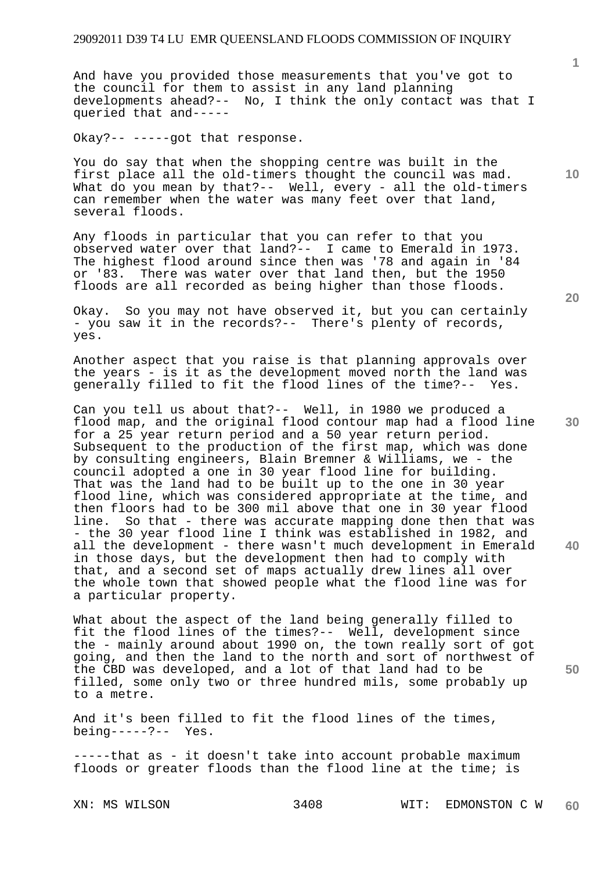And have you provided those measurements that you've got to the council for them to assist in any land planning developments ahead?-- No, I think the only contact was that I queried that and-----

Okay?-- -----got that response.

You do say that when the shopping centre was built in the first place all the old-timers thought the council was mad. What do you mean by that?-- Well, every - all the old-timers can remember when the water was many feet over that land, several floods.

Any floods in particular that you can refer to that you observed water over that land?-- I came to Emerald in 1973. The highest flood around since then was '78 and again in '84 or '83. There was water over that land then, but the 1950 floods are all recorded as being higher than those floods.

Okay. So you may not have observed it, but you can certainly - you saw it in the records?-- There's plenty of records, yes.

Another aspect that you raise is that planning approvals over the years - is it as the development moved north the land was generally filled to fit the flood lines of the time?-- Yes.

Can you tell us about that?-- Well, in 1980 we produced a flood map, and the original flood contour map had a flood line for a 25 year return period and a 50 year return period. Subsequent to the production of the first map, which was done by consulting engineers, Blain Bremner & Williams, we - the council adopted a one in 30 year flood line for building. That was the land had to be built up to the one in 30 year flood line, which was considered appropriate at the time, and then floors had to be 300 mil above that one in 30 year flood line. So that - there was accurate mapping done then that was - the 30 year flood line I think was established in 1982, and all the development - there wasn't much development in Emerald in those days, but the development then had to comply with that, and a second set of maps actually drew lines all over the whole town that showed people what the flood line was for a particular property.

What about the aspect of the land being generally filled to fit the flood lines of the times?-- Well, development since the - mainly around about 1990 on, the town really sort of got going, and then the land to the north and sort of northwest of the CBD was developed, and a lot of that land had to be filled, some only two or three hundred mils, some probably up to a metre.

And it's been filled to fit the flood lines of the times, being-----?-- Yes.

-----that as - it doesn't take into account probable maximum floods or greater floods than the flood line at the time; is

**20** 

**10** 

**1**

**30** 

**40**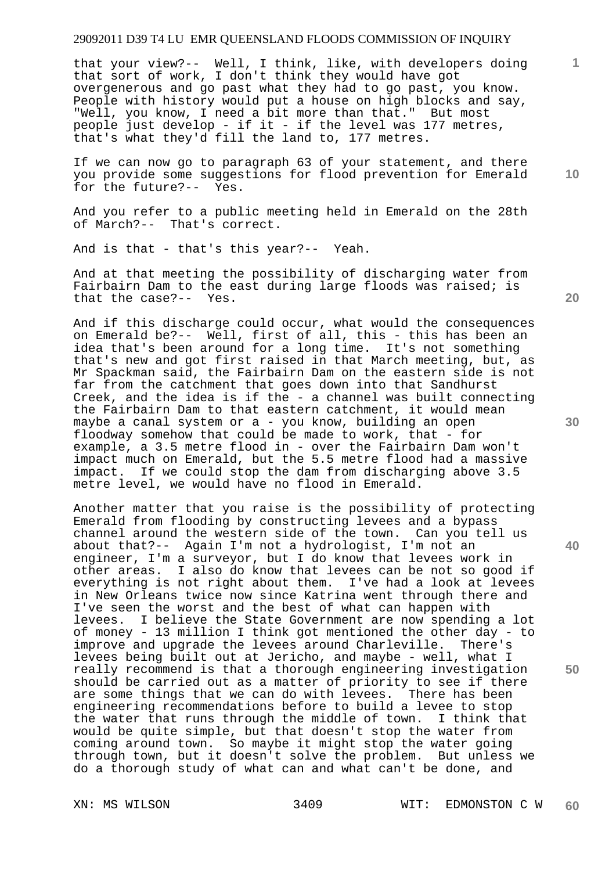that your view?-- Well, I think, like, with developers doing that sort of work, I don't think they would have got overgenerous and go past what they had to go past, you know. People with history would put a house on high blocks and say, "Well, you know, I need a bit more than that." But most people just develop - if it - if the level was 177 metres, that's what they'd fill the land to, 177 metres.

If we can now go to paragraph 63 of your statement, and there you provide some suggestions for flood prevention for Emerald for the future?-- Yes.

And you refer to a public meeting held in Emerald on the 28th of March?-- That's correct.

And is that - that's this year?-- Yeah.

And at that meeting the possibility of discharging water from Fairbairn Dam to the east during large floods was raised; is that the case?-- Yes.

And if this discharge could occur, what would the consequences on Emerald be?-- Well, first of all, this - this has been an idea that's been around for a long time. It's not something that's new and got first raised in that March meeting, but, as Mr Spackman said, the Fairbairn Dam on the eastern side is not far from the catchment that goes down into that Sandhurst Creek, and the idea is if the - a channel was built connecting the Fairbairn Dam to that eastern catchment, it would mean maybe a canal system or a - you know, building an open floodway somehow that could be made to work, that - for example, a 3.5 metre flood in - over the Fairbairn Dam won't impact much on Emerald, but the 5.5 metre flood had a massive impact. If we could stop the dam from discharging above 3.5 metre level, we would have no flood in Emerald.

Another matter that you raise is the possibility of protecting Emerald from flooding by constructing levees and a bypass channel around the western side of the town. Can you tell us about that?-- Again I'm not a hydrologist, I'm not an engineer, I'm a surveyor, but I do know that levees work in other areas. I also do know that levees can be not so good if everything is not right about them. I've had a look at levees in New Orleans twice now since Katrina went through there and I've seen the worst and the best of what can happen with levees. I believe the State Government are now spending a lot of money - 13 million I think got mentioned the other day - to improve and upgrade the levees around Charleville. There's levees being built out at Jericho, and maybe - well, what I really recommend is that a thorough engineering investigation should be carried out as a matter of priority to see if there are some things that we can do with levees. There has been engineering recommendations before to build a levee to stop the water that runs through the middle of town. I think that would be quite simple, but that doesn't stop the water from coming around town. So maybe it might stop the water going through town, but it doesn't solve the problem. But unless we do a thorough study of what can and what can't be done, and

**30** 

**40** 

**50** 

**20** 

**1**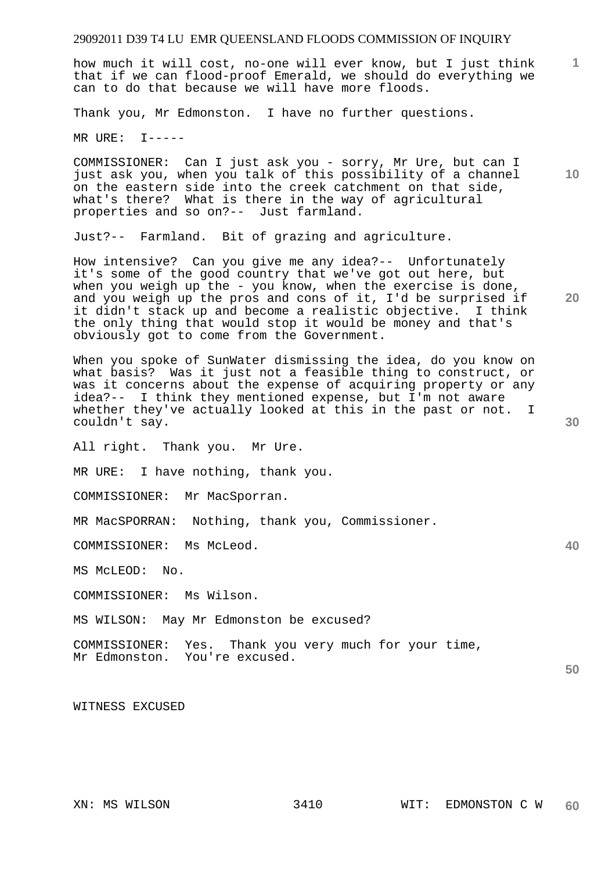how much it will cost, no-one will ever know, but I just think that if we can flood-proof Emerald, we should do everything we can to do that because we will have more floods.

Thank you, Mr Edmonston. I have no further questions.

MR URE: I-----

COMMISSIONER: Can I just ask you - sorry, Mr Ure, but can I just ask you, when you talk of this possibility of a channel on the eastern side into the creek catchment on that side, what's there? What is there in the way of agricultural properties and so on?-- Just farmland.

Just?-- Farmland. Bit of grazing and agriculture.

How intensive? Can you give me any idea?-- Unfortunately it's some of the good country that we've got out here, but when you weigh up the - you know, when the exercise is done, and you weigh up the pros and cons of it, I'd be surprised if it didn't stack up and become a realistic objective. I think the only thing that would stop it would be money and that's obviously got to come from the Government.

When you spoke of SunWater dismissing the idea, do you know on what basis? Was it just not a feasible thing to construct, or was it concerns about the expense of acquiring property or any idea?-- I think they mentioned expense, but I'm not aware whether they've actually looked at this in the past or not. I couldn't say.

All right. Thank you. Mr Ure.

MR URE: I have nothing, thank you.

COMMISSIONER: Mr MacSporran.

MR MacSPORRAN: Nothing, thank you, Commissioner.

COMMISSIONER: Ms McLeod.

MS McLEOD: No.

COMMISSIONER: Ms Wilson.

MS WILSON: May Mr Edmonston be excused?

COMMISSIONER: Yes. Thank you very much for your time, Mr Edmonston. You're excused.

WITNESS EXCUSED

**10** 

**1**

**20** 

**30** 

**40**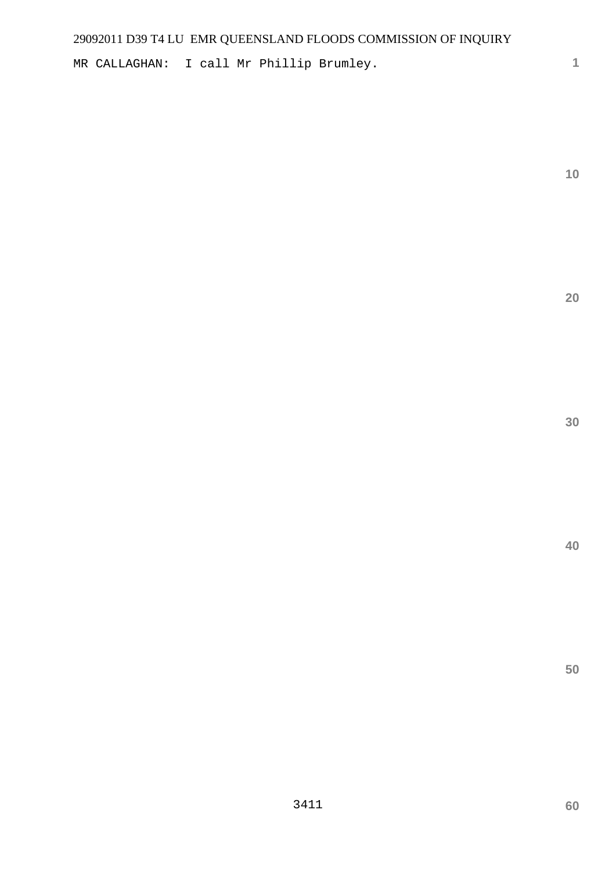MR CALLAGHAN: I call Mr Phillip Brumley.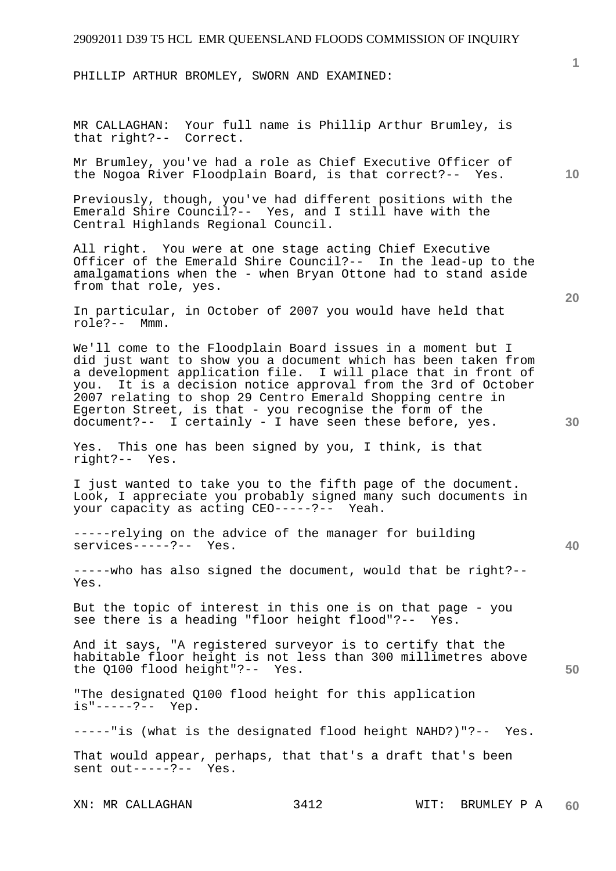PHILLIP ARTHUR BROMLEY, SWORN AND EXAMINED:

MR CALLAGHAN: Your full name is Phillip Arthur Brumley, is that right?-- Correct.

Mr Brumley, you've had a role as Chief Executive Officer of the Nogoa River Floodplain Board, is that correct?-- Yes.

Previously, though, you've had different positions with the Emerald Shire Council?-- Yes, and I still have with the Central Highlands Regional Council.

All right. You were at one stage acting Chief Executive Officer of the Emerald Shire Council?-- In the lead-up to the amalgamations when the - when Bryan Ottone had to stand aside from that role, yes.

In particular, in October of 2007 you would have held that role?-- Mmm.

We'll come to the Floodplain Board issues in a moment but I did just want to show you a document which has been taken from a development application file. I will place that in front of you. It is a decision notice approval from the 3rd of October 2007 relating to shop 29 Centro Emerald Shopping centre in Egerton Street, is that - you recognise the form of the document?-- I certainly - I have seen these before, yes.

Yes. This one has been signed by you, I think, is that right?-- Yes.

I just wanted to take you to the fifth page of the document. Look, I appreciate you probably signed many such documents in your capacity as acting CEO-----?-- Yeah.

-----relying on the advice of the manager for building services-----?-- Yes.

-----who has also signed the document, would that be right?-- Yes.

But the topic of interest in this one is on that page - you see there is a heading "floor height flood"?-- Yes.

And it says, "A registered surveyor is to certify that the habitable floor height is not less than 300 millimetres above the Q100 flood height"?-- Yes.

"The designated Q100 flood height for this application is"-----?-- Yep.

-----"is (what is the designated flood height NAHD?)"?-- Yes.

That would appear, perhaps, that that's a draft that's been sent out-----?-- Yes.

XN: MR CALLAGHAN 3412 WIT: BRUMLEY P A **60** 

**10** 

**1**

**30** 

**50**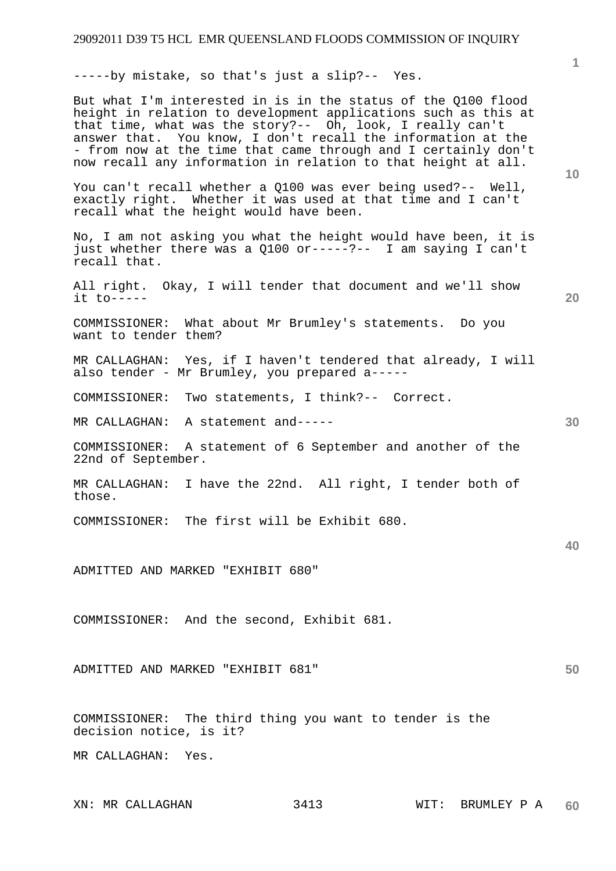-----by mistake, so that's just a slip?-- Yes.

**10 20 30 40 50**  But what I'm interested in is in the status of the Q100 flood height in relation to development applications such as this at that time, what was the story?-- Oh, look, I really can't answer that. You know, I don't recall the information at the - from now at the time that came through and I certainly don't now recall any information in relation to that height at all. You can't recall whether a Q100 was ever being used?-- Well, exactly right. Whether it was used at that time and I can't recall what the height would have been. No, I am not asking you what the height would have been, it is just whether there was a Q100 or-----?-- I am saying I can't recall that. All right. Okay, I will tender that document and we'll show it to----- COMMISSIONER: What about Mr Brumley's statements. Do you want to tender them? MR CALLAGHAN: Yes, if I haven't tendered that already, I will also tender - Mr Brumley, you prepared a----- COMMISSIONER: Two statements, I think?-- Correct. MR CALLAGHAN: A statement and----- COMMISSIONER: A statement of 6 September and another of the 22nd of September. MR CALLAGHAN: I have the 22nd. All right, I tender both of those. COMMISSIONER: The first will be Exhibit 680. ADMITTED AND MARKED "EXHIBIT 680" COMMISSIONER: And the second, Exhibit 681. ADMITTED AND MARKED "EXHIBIT 681" COMMISSIONER: The third thing you want to tender is the decision notice, is it? MR CALLAGHAN: Yes.

XN: MR CALLAGHAN 3413 WIT: BRUMLEY P A **60**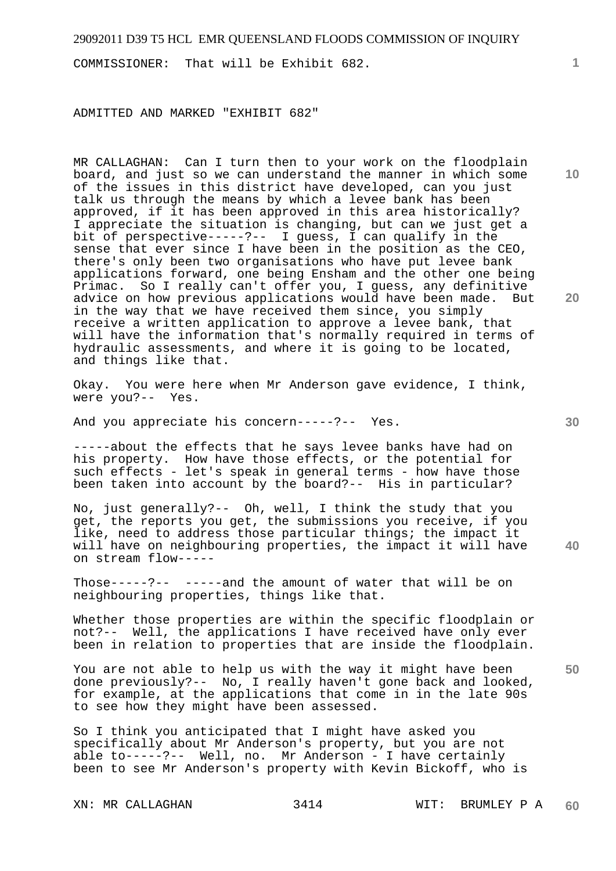COMMISSIONER: That will be Exhibit 682.

ADMITTED AND MARKED "EXHIBIT 682"

MR CALLAGHAN: Can I turn then to your work on the floodplain board, and just so we can understand the manner in which some of the issues in this district have developed, can you just talk us through the means by which a levee bank has been approved, if it has been approved in this area historically? I appreciate the situation is changing, but can we just get a bit of perspective-----?-- I guess, I can qualify in the sense that ever since I have been in the position as the CEO, there's only been two organisations who have put levee bank applications forward, one being Ensham and the other one being Primac. So I really can't offer you, I guess, any definitive advice on how previous applications would have been made. But in the way that we have received them since, you simply receive a written application to approve a levee bank, that will have the information that's normally required in terms of hydraulic assessments, and where it is going to be located, and things like that.

Okay. You were here when Mr Anderson gave evidence, I think, were you?-- Yes.

And you appreciate his concern-----?-- Yes.

-----about the effects that he says levee banks have had on his property. How have those effects, or the potential for such effects - let's speak in general terms - how have those been taken into account by the board?-- His in particular?

**40**  No, just generally?-- Oh, well, I think the study that you get, the reports you get, the submissions you receive, if you like, need to address those particular things; the impact it will have on neighbouring properties, the impact it will have on stream flow-----

Those-----?-- -----and the amount of water that will be on neighbouring properties, things like that.

Whether those properties are within the specific floodplain or not?-- Well, the applications I have received have only ever been in relation to properties that are inside the floodplain.

You are not able to help us with the way it might have been done previously?-- No, I really haven't gone back and looked, for example, at the applications that come in in the late 90s to see how they might have been assessed.

So I think you anticipated that I might have asked you specifically about Mr Anderson's property, but you are not able to-----?-- Well, no. Mr Anderson - I have certainly been to see Mr Anderson's property with Kevin Bickoff, who is

**10** 

**1**

**30** 

**20**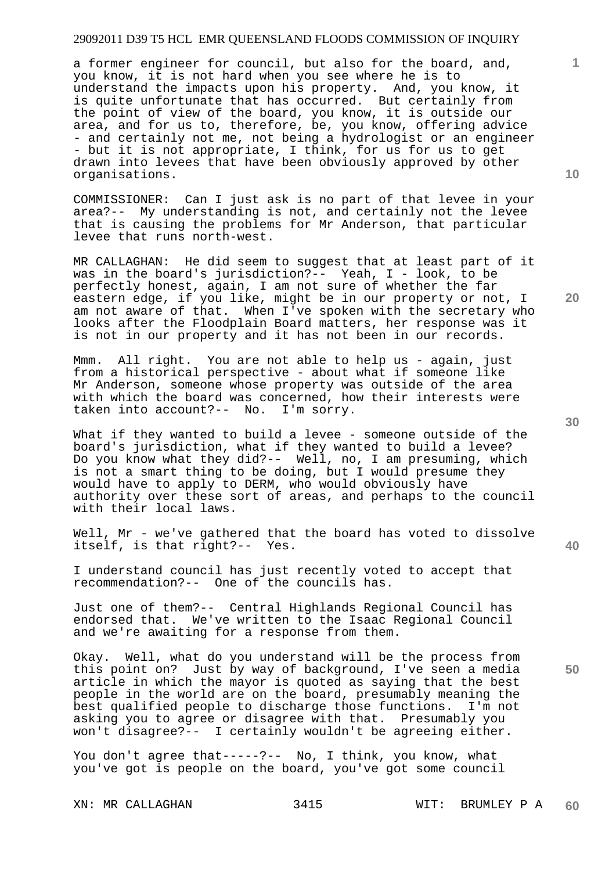a former engineer for council, but also for the board, and, you know, it is not hard when you see where he is to understand the impacts upon his property. And, you know, it is quite unfortunate that has occurred. But certainly from the point of view of the board, you know, it is outside our area, and for us to, therefore, be, you know, offering advice - and certainly not me, not being a hydrologist or an engineer - but it is not appropriate, I think, for us for us to get drawn into levees that have been obviously approved by other organisations.

COMMISSIONER: Can I just ask is no part of that levee in your area?-- My understanding is not, and certainly not the levee that is causing the problems for Mr Anderson, that particular levee that runs north-west.

MR CALLAGHAN: He did seem to suggest that at least part of it was in the board's jurisdiction?-- Yeah, I - look, to be perfectly honest, again, I am not sure of whether the far eastern edge, if you like, might be in our property or not, I am not aware of that. When I've spoken with the secretary who looks after the Floodplain Board matters, her response was it is not in our property and it has not been in our records.

Mmm. All right. You are not able to help us - again, just from a historical perspective - about what if someone like Mr Anderson, someone whose property was outside of the area with which the board was concerned, how their interests were taken into account?-- No. I'm sorry.

What if they wanted to build a levee - someone outside of the board's jurisdiction, what if they wanted to build a levee? Do you know what they did?-- Well, no, I am presuming, which is not a smart thing to be doing, but I would presume they would have to apply to DERM, who would obviously have authority over these sort of areas, and perhaps to the council with their local laws.

Well, Mr - we've gathered that the board has voted to dissolve itself, is that right?-- Yes.

I understand council has just recently voted to accept that recommendation?-- One of the councils has.

Just one of them?-- Central Highlands Regional Council has endorsed that. We've written to the Isaac Regional Council and we're awaiting for a response from them.

Okay. Well, what do you understand will be the process from this point on? Just by way of background, I've seen a media article in which the mayor is quoted as saying that the best people in the world are on the board, presumably meaning the<br>best qualified people to discharge those functions. I'm not best qualified people to discharge those functions. asking you to agree or disagree with that. Presumably you won't disagree?-- I certainly wouldn't be agreeing either.

You don't agree that-----?-- No, I think, you know, what you've got is people on the board, you've got some council

**30** 

**40** 

**50** 

**20** 

**10**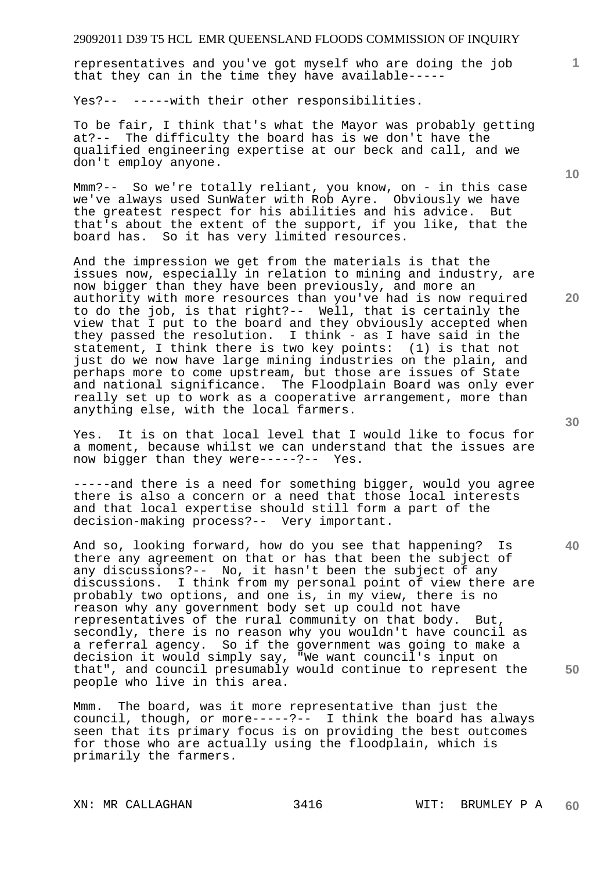representatives and you've got myself who are doing the job that they can in the time they have available-----

Yes?-- -----with their other responsibilities.

To be fair, I think that's what the Mayor was probably getting at?-- The difficulty the board has is we don't have the qualified engineering expertise at our beck and call, and we don't employ anyone.

Mmm?-- So we're totally reliant, you know, on - in this case we've always used SunWater with Rob Ayre. Obviously we have the greatest respect for his abilities and his advice. But that's about the extent of the support, if you like, that the board has. So it has very limited resources.

And the impression we get from the materials is that the issues now, especially in relation to mining and industry, are now bigger than they have been previously, and more an authority with more resources than you've had is now required to do the job, is that right?-- Well, that is certainly the view that I put to the board and they obviously accepted when they passed the resolution. I think - as I have said in the statement, I think there is two key points: (1) is that not just do we now have large mining industries on the plain, and perhaps more to come upstream, but those are issues of State and national significance. The Floodplain Board was only ever really set up to work as a cooperative arrangement, more than anything else, with the local farmers.

Yes. It is on that local level that I would like to focus for a moment, because whilst we can understand that the issues are now bigger than they were-----?-- Yes.

-----and there is a need for something bigger, would you agree there is also a concern or a need that those local interests and that local expertise should still form a part of the decision-making process?-- Very important.

And so, looking forward, how do you see that happening? Is there any agreement on that or has that been the subject of any discussions?-- No, it hasn't been the subject of any discussions. I think from my personal point of view there are probably two options, and one is, in my view, there is no reason why any government body set up could not have representatives of the rural community on that body. But, secondly, there is no reason why you wouldn't have council as a referral agency. So if the government was going to make a decision it would simply say, "We want council's input on that", and council presumably would continue to represent the people who live in this area.

Mmm. The board, was it more representative than just the council, though, or more-----?-- I think the board has always seen that its primary focus is on providing the best outcomes for those who are actually using the floodplain, which is primarily the farmers.

**10** 

**1**

**20** 

**40**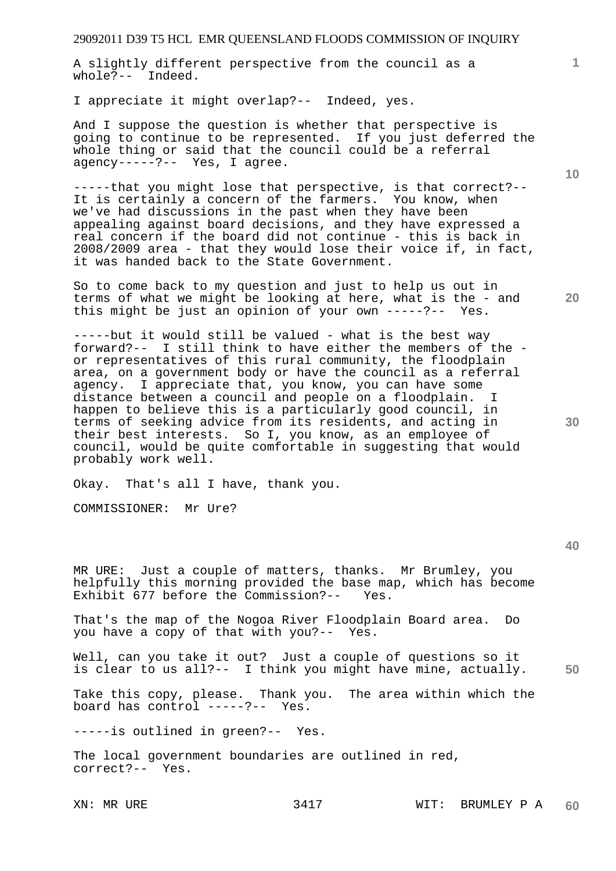A slightly different perspective from the council as a whole?-- Indeed.

I appreciate it might overlap?-- Indeed, yes.

And I suppose the question is whether that perspective is going to continue to be represented. If you just deferred the whole thing or said that the council could be a referral agency-----?-- Yes, I agree.

-----that you might lose that perspective, is that correct?-- It is certainly a concern of the farmers. You know, when we've had discussions in the past when they have been appealing against board decisions, and they have expressed a real concern if the board did not continue - this is back in 2008/2009 area - that they would lose their voice if, in fact, it was handed back to the State Government.

So to come back to my question and just to help us out in terms of what we might be looking at here, what is the - and this might be just an opinion of your own -----?-- Yes.

-----but it would still be valued - what is the best way forward?-- I still think to have either the members of the or representatives of this rural community, the floodplain area, on a government body or have the council as a referral agency. I appreciate that, you know, you can have some distance between a council and people on a floodplain. I happen to believe this is a particularly good council, in terms of seeking advice from its residents, and acting in their best interests. So I, you know, as an employee of council, would be quite comfortable in suggesting that would probably work well.

Okay. That's all I have, thank you.

COMMISSIONER: Mr Ure?

MR URE: Just a couple of matters, thanks. Mr Brumley, you helpfully this morning provided the base map, which has become Exhibit 677 before the Commission?-- Yes.

That's the map of the Nogoa River Floodplain Board area. Do you have a copy of that with you?-- Yes.

**50**  Well, can you take it out? Just a couple of questions so it is clear to us all?-- I think you might have mine, actually.

Take this copy, please. Thank you. The area within which the board has control -----?-- Yes.

-----is outlined in green?-- Yes.

The local government boundaries are outlined in red, correct?-- Yes.

**30** 

**40** 

**20** 

**10**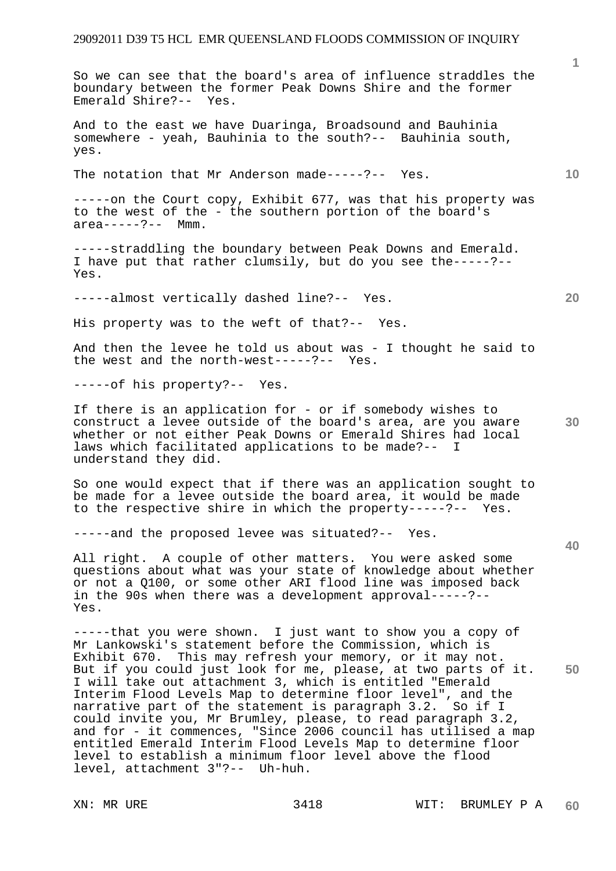So we can see that the board's area of influence straddles the boundary between the former Peak Downs Shire and the former Emerald Shire?-- Yes.

And to the east we have Duaringa, Broadsound and Bauhinia somewhere - yeah, Bauhinia to the south?-- Bauhinia south, yes.

The notation that Mr Anderson made-----?-- Yes.

-----on the Court copy, Exhibit 677, was that his property was to the west of the - the southern portion of the board's  $area---2--?---$  Mmm

-----straddling the boundary between Peak Downs and Emerald. I have put that rather clumsily, but do you see the-----?-- Yes.

-----almost vertically dashed line?-- Yes.

His property was to the weft of that?-- Yes.

And then the levee he told us about was - I thought he said to the west and the north-west-----?-- Yes.

-----of his property?-- Yes.

If there is an application for - or if somebody wishes to construct a levee outside of the board's area, are you aware whether or not either Peak Downs or Emerald Shires had local laws which facilitated applications to be made?-- I understand they did.

So one would expect that if there was an application sought to be made for a levee outside the board area, it would be made to the respective shire in which the property-----?-- Yes.

-----and the proposed levee was situated?-- Yes.

All right. A couple of other matters. You were asked some questions about what was your state of knowledge about whether or not a Q100, or some other ARI flood line was imposed back in the 90s when there was a development approval-----?-- Yes.

**50**  -----that you were shown. I just want to show you a copy of Mr Lankowski's statement before the Commission, which is Exhibit 670. This may refresh your memory, or it may not. But if you could just look for me, please, at two parts of it. I will take out attachment 3, which is entitled "Emerald Interim Flood Levels Map to determine floor level", and the narrative part of the statement is paragraph 3.2. So if I could invite you, Mr Brumley, please, to read paragraph 3.2, and for - it commences, "Since 2006 council has utilised a map entitled Emerald Interim Flood Levels Map to determine floor level to establish a minimum floor level above the flood level, attachment 3"?-- Uh-huh.

**1**

**10** 

**30** 

**20**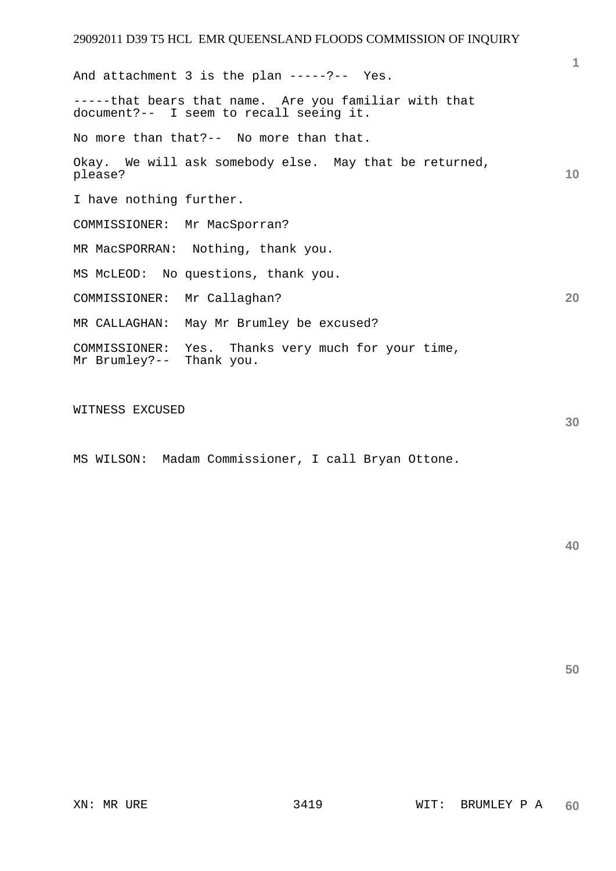**10 20**  And attachment 3 is the plan -----?-- Yes. -----that bears that name. Are you familiar with that document?-- I seem to recall seeing it. No more than that?-- No more than that. Okay. We will ask somebody else. May that be returned, please? I have nothing further. COMMISSIONER: Mr MacSporran? MR MacSPORRAN: Nothing, thank you. MS McLEOD: No questions, thank you. COMMISSIONER: Mr Callaghan? MR CALLAGHAN: May Mr Brumley be excused? COMMISSIONER: Yes. Thanks very much for your time, Mr Brumley?-- Thank you.

WITNESS EXCUSED

MS WILSON: Madam Commissioner, I call Bryan Ottone.

**30** 

**1**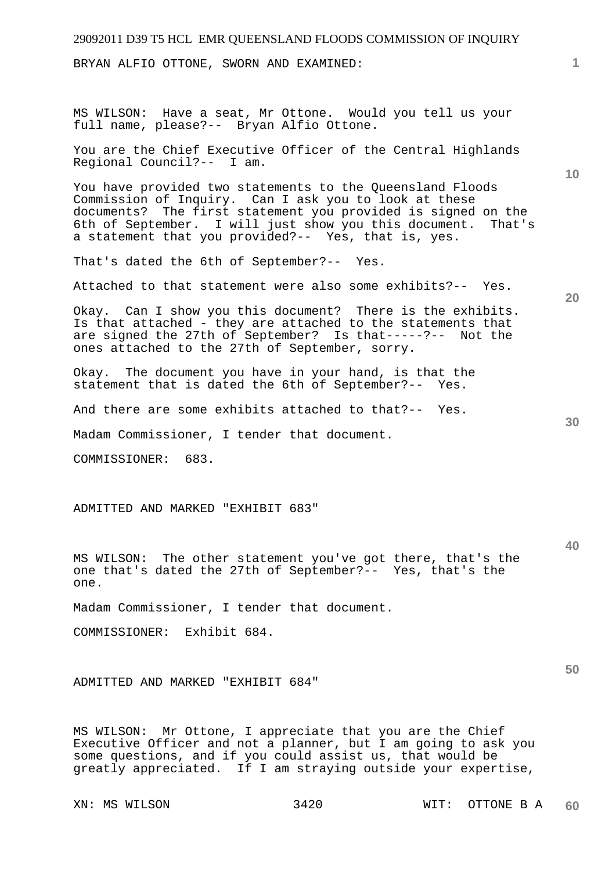| 29092011 D39 T5 HCL EMR QUEENSLAND FLOODS COMMISSION OF INQUIRY                                                                                                                                                                                                                                              |                 |
|--------------------------------------------------------------------------------------------------------------------------------------------------------------------------------------------------------------------------------------------------------------------------------------------------------------|-----------------|
| BRYAN ALFIO OTTONE, SWORN AND EXAMINED:                                                                                                                                                                                                                                                                      | 1               |
|                                                                                                                                                                                                                                                                                                              |                 |
| MS WILSON: Have a seat, Mr Ottone. Would you tell us your<br>full name, please?-- Bryan Alfio Ottone.                                                                                                                                                                                                        |                 |
| You are the Chief Executive Officer of the Central Highlands<br>Regional Council?-- I am.                                                                                                                                                                                                                    | 10 <sup>°</sup> |
| You have provided two statements to the Queensland Floods<br>Commission of Inquiry. Can I ask you to look at these<br>documents? The first statement you provided is signed on the<br>6th of September. I will just show you this document.<br>That's<br>a statement that you provided?-- Yes, that is, yes. |                 |
| That's dated the 6th of September?-- Yes.                                                                                                                                                                                                                                                                    |                 |
| Attached to that statement were also some exhibits?-- Yes.                                                                                                                                                                                                                                                   | 20              |
| Okay. Can I show you this document? There is the exhibits.<br>Is that attached - they are attached to the statements that<br>are signed the 27th of September? Is that-----?-- Not the<br>ones attached to the 27th of September, sorry.                                                                     |                 |
| Okay. The document you have in your hand, is that the<br>statement that is dated the 6th of September?-- Yes.                                                                                                                                                                                                |                 |
| And there are some exhibits attached to that?-- Yes.                                                                                                                                                                                                                                                         | 30              |
| Madam Commissioner, I tender that document.                                                                                                                                                                                                                                                                  |                 |
| 683.<br>COMMISSIONER:                                                                                                                                                                                                                                                                                        |                 |
|                                                                                                                                                                                                                                                                                                              |                 |
| ADMITTED AND MARKED "EXHIBIT 683"                                                                                                                                                                                                                                                                            |                 |
|                                                                                                                                                                                                                                                                                                              |                 |
| MS WILSON: The other statement you've got there, that's the                                                                                                                                                                                                                                                  | 40              |

Madam Commissioner, I tender that document.

COMMISSIONER: Exhibit 684.

ADMITTED AND MARKED "EXHIBIT 684"

MS WILSON: Mr Ottone, I appreciate that you are the Chief Executive Officer and not a planner, but I am going to ask you some questions, and if you could assist us, that would be greatly appreciated. If I am straying outside your expertise,

one that's dated the 27th of September?-- Yes, that's the

one.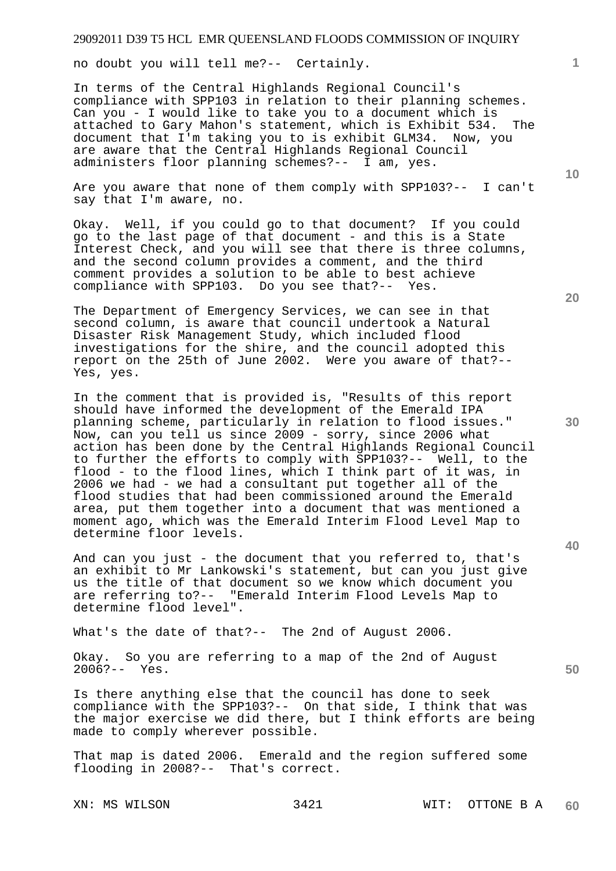no doubt you will tell me?-- Certainly.

In terms of the Central Highlands Regional Council's compliance with SPP103 in relation to their planning schemes. Can you - I would like to take you to a document which is attached to Gary Mahon's statement, which is Exhibit 534. The document that I'm taking you to is exhibit GLM34. Now, you are aware that the Central Highlands Regional Council administers floor planning schemes?-- I am, yes.

Are you aware that none of them comply with SPP103?-- I can't say that I'm aware, no.

Okay. Well, if you could go to that document? If you could go to the last page of that document - and this is a State Interest Check, and you will see that there is three columns, and the second column provides a comment, and the third comment provides a solution to be able to best achieve compliance with SPP103. Do you see that?-- Yes.

The Department of Emergency Services, we can see in that second column, is aware that council undertook a Natural Disaster Risk Management Study, which included flood investigations for the shire, and the council adopted this report on the 25th of June 2002. Were you aware of that?-- Yes, yes.

In the comment that is provided is, "Results of this report should have informed the development of the Emerald IPA planning scheme, particularly in relation to flood issues." Now, can you tell us since 2009 - sorry, since 2006 what action has been done by the Central Highlands Regional Council to further the efforts to comply with SPP103?-- Well, to the flood - to the flood lines, which I think part of it was, in 2006 we had - we had a consultant put together all of the flood studies that had been commissioned around the Emerald area, put them together into a document that was mentioned a moment ago, which was the Emerald Interim Flood Level Map to determine floor levels.

And can you just - the document that you referred to, that's an exhibit to Mr Lankowski's statement, but can you just give us the title of that document so we know which document you are referring to?-- "Emerald Interim Flood Levels Map to determine flood level".

What's the date of that?-- The 2nd of August 2006.

Okay. So you are referring to a map of the 2nd of August 2006?-- Yes.

Is there anything else that the council has done to seek compliance with the SPP103?-- On that side, I think that was the major exercise we did there, but I think efforts are being made to comply wherever possible.

That map is dated 2006. Emerald and the region suffered some flooding in 2008?-- That's correct.

**20** 

**10** 

**1**

**30** 

**40**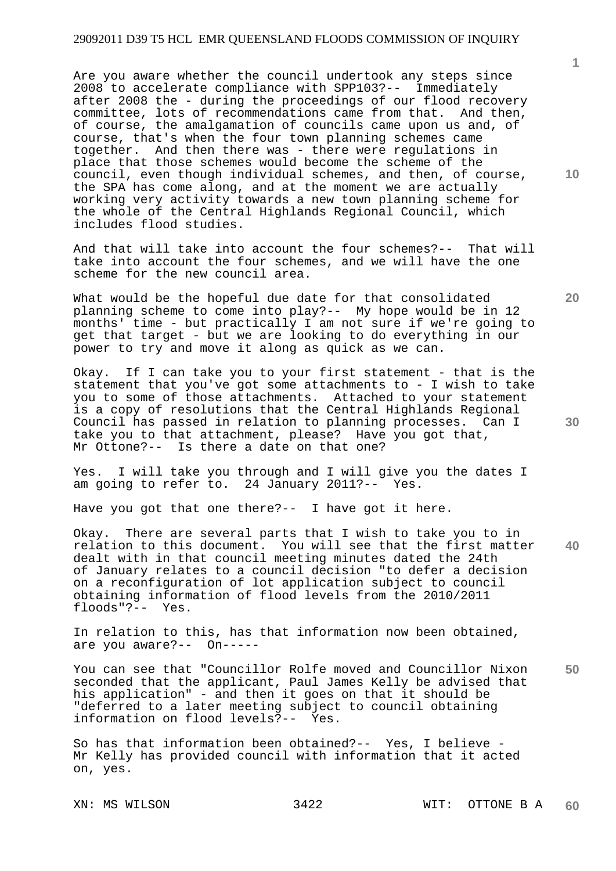Are you aware whether the council undertook any steps since 2008 to accelerate compliance with SPP103?-- Immediately after 2008 the - during the proceedings of our flood recovery committee, lots of recommendations came from that. And then, of course, the amalgamation of councils came upon us and, of course, that's when the four town planning schemes came together. And then there was - there were regulations in place that those schemes would become the scheme of the council, even though individual schemes, and then, of course, the SPA has come along, and at the moment we are actually working very activity towards a new town planning scheme for the whole of the Central Highlands Regional Council, which includes flood studies.

And that will take into account the four schemes?-- That will take into account the four schemes, and we will have the one scheme for the new council area.

What would be the hopeful due date for that consolidated planning scheme to come into play?-- My hope would be in 12 months' time - but practically I am not sure if we're going to get that target - but we are looking to do everything in our power to try and move it along as quick as we can.

Okay. If I can take you to your first statement - that is the statement that you've got some attachments to - I wish to take you to some of those attachments. Attached to your statement is a copy of resolutions that the Central Highlands Regional Council has passed in relation to planning processes. Can I take you to that attachment, please? Have you got that, Mr Ottone?-- Is there a date on that one?

Yes. I will take you through and I will give you the dates I am going to refer to. 24 January 2011?-- Yes.

Have you got that one there?-- I have got it here.

**40**  Okay. There are several parts that I wish to take you to in relation to this document. You will see that the first matter dealt with in that council meeting minutes dated the 24th of January relates to a council decision "to defer a decision on a reconfiguration of lot application subject to council obtaining information of flood levels from the 2010/2011 floods"?-- Yes.

In relation to this, has that information now been obtained, are you aware?-- On-----

**50**  You can see that "Councillor Rolfe moved and Councillor Nixon seconded that the applicant, Paul James Kelly be advised that his application" - and then it goes on that it should be "deferred to a later meeting subject to council obtaining information on flood levels?-- Yes.

So has that information been obtained?-- Yes, I believe - Mr Kelly has provided council with information that it acted on, yes.

**20** 

**30**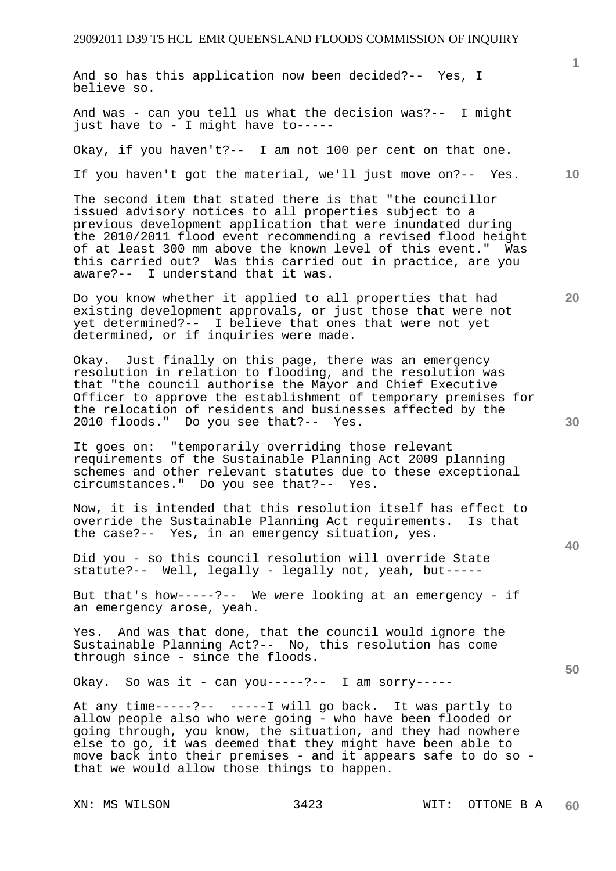And so has this application now been decided?-- Yes, I believe so.

And was - can you tell us what the decision was?-- I might just have to - I might have to-----

Okay, if you haven't?-- I am not 100 per cent on that one.

If you haven't got the material, we'll just move on?-- Yes.

The second item that stated there is that "the councillor issued advisory notices to all properties subject to a previous development application that were inundated during the 2010/2011 flood event recommending a revised flood height of at least 300 mm above the known level of this event." Was this carried out? Was this carried out in practice, are you aware?-- I understand that it was.

Do you know whether it applied to all properties that had existing development approvals, or just those that were not yet determined?-- I believe that ones that were not yet determined, or if inquiries were made.

Okay. Just finally on this page, there was an emergency resolution in relation to flooding, and the resolution was that "the council authorise the Mayor and Chief Executive Officer to approve the establishment of temporary premises for the relocation of residents and businesses affected by the 2010 floods." Do you see that?-- Yes.

It goes on: "temporarily overriding those relevant requirements of the Sustainable Planning Act 2009 planning schemes and other relevant statutes due to these exceptional circumstances." Do you see that?-- Yes.

Now, it is intended that this resolution itself has effect to override the Sustainable Planning Act requirements. Is that the case?-- Yes, in an emergency situation, yes.

Did you - so this council resolution will override State statute?-- Well, legally - legally not, yeah, but-----

But that's how-----?-- We were looking at an emergency - if an emergency arose, yeah.

Yes. And was that done, that the council would ignore the Sustainable Planning Act?-- No, this resolution has come through since - since the floods.

Okay. So was it - can you-----?-- I am sorry-----

At any time-----?-- -----I will go back. It was partly to allow people also who were going - who have been flooded or going through, you know, the situation, and they had nowhere else to go, it was deemed that they might have been able to move back into their premises - and it appears safe to do so that we would allow those things to happen.

**10** 

**20** 

**40** 

**30**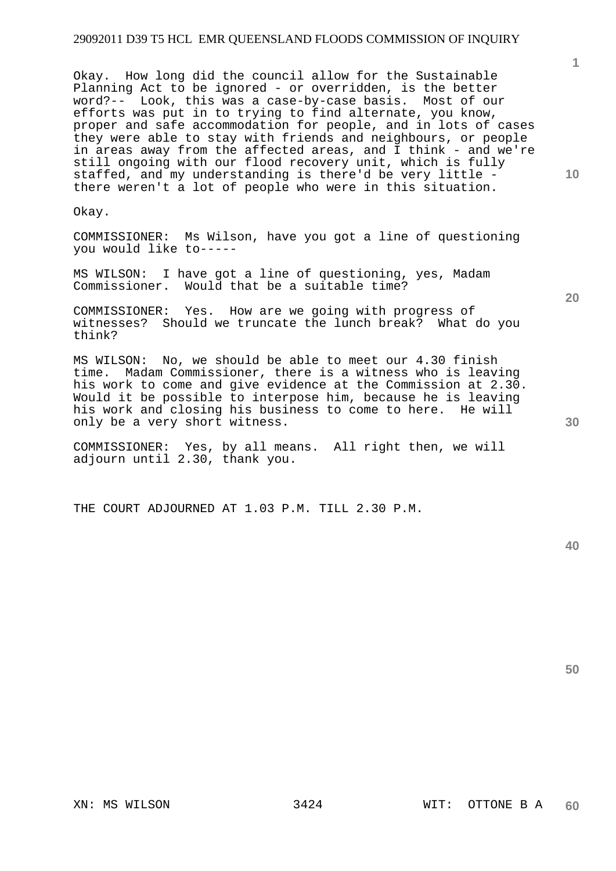Okay. How long did the council allow for the Sustainable Planning Act to be ignored - or overridden, is the better word?-- Look, this was a case-by-case basis. Most of our efforts was put in to trying to find alternate, you know, proper and safe accommodation for people, and in lots of cases they were able to stay with friends and neighbours, or people in areas away from the affected areas, and I think - and we're still ongoing with our flood recovery unit, which is fully staffed, and my understanding is there'd be very little there weren't a lot of people who were in this situation.

Okay.

COMMISSIONER: Ms Wilson, have you got a line of questioning you would like to-----

MS WILSON: I have got a line of questioning, yes, Madam Commissioner. Would that be a suitable time?

COMMISSIONER: Yes. How are we going with progress of witnesses? Should we truncate the lunch break? What do you think?

MS WILSON: No, we should be able to meet our 4.30 finish time. Madam Commissioner, there is a witness who is leaving his work to come and give evidence at the Commission at 2.30. Would it be possible to interpose him, because he is leaving his work and closing his business to come to here. He will only be a very short witness.

COMMISSIONER: Yes, by all means. All right then, we will adjourn until 2.30, thank you.

THE COURT ADJOURNED AT 1.03 P.M. TILL 2.30 P.M.

**40** 

**50** 

**10** 

**1**

**20**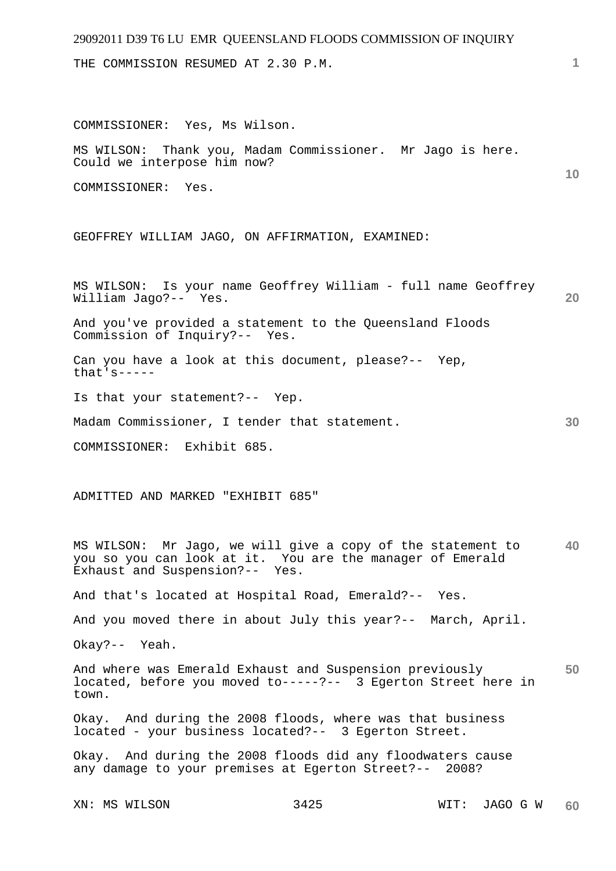THE COMMISSION RESUMED AT 2.30 P.M.

XN: MS WILSON 3425 WIT: JAGO G W **10 20 30 40 50**  COMMISSIONER: Yes, Ms Wilson. MS WILSON: Thank you, Madam Commissioner. Mr Jago is here. Could we interpose him now? COMMISSIONER: Yes. GEOFFREY WILLIAM JAGO, ON AFFIRMATION, EXAMINED: MS WILSON: Is your name Geoffrey William - full name Geoffrey William Jago?-- Yes. And you've provided a statement to the Queensland Floods Commission of Inquiry?-- Yes. Can you have a look at this document, please?-- Yep, that's----- Is that your statement?-- Yep. Madam Commissioner, I tender that statement. COMMISSIONER: Exhibit 685. ADMITTED AND MARKED "EXHIBIT 685" MS WILSON: Mr Jago, we will give a copy of the statement to you so you can look at it. You are the manager of Emerald Exhaust and Suspension?-- Yes. And that's located at Hospital Road, Emerald?-- Yes. And you moved there in about July this year?-- March, April. Okay?-- Yeah. And where was Emerald Exhaust and Suspension previously located, before you moved to-----?-- 3 Egerton Street here in town. Okay. And during the 2008 floods, where was that business located - your business located?-- 3 Egerton Street. Okay. And during the 2008 floods did any floodwaters cause any damage to your premises at Egerton Street?-- 2008?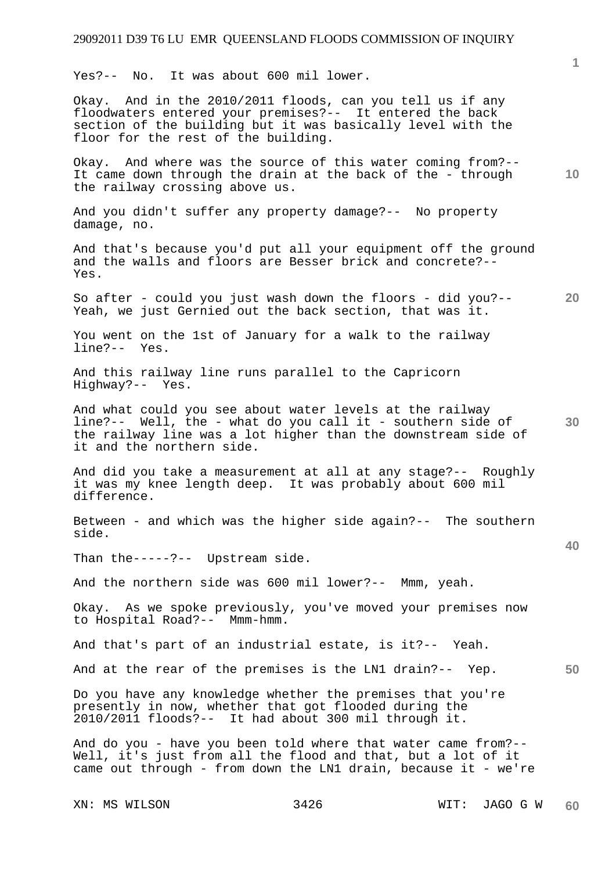Yes?-- No. It was about 600 mil lower.

Okay. And in the 2010/2011 floods, can you tell us if any floodwaters entered your premises?-- It entered the back section of the building but it was basically level with the floor for the rest of the building.

Okay. And where was the source of this water coming from?-- It came down through the drain at the back of the - through the railway crossing above us.

And you didn't suffer any property damage?-- No property damage, no.

And that's because you'd put all your equipment off the ground and the walls and floors are Besser brick and concrete?-- Yes.

**20**  So after - could you just wash down the floors - did you?--Yeah, we just Gernied out the back section, that was it.

You went on the 1st of January for a walk to the railway line?-- Yes.

And this railway line runs parallel to the Capricorn Highway?-- Yes.

**30**  And what could you see about water levels at the railway line?-- Well, the - what do you call it - southern side of the railway line was a lot higher than the downstream side of it and the northern side.

And did you take a measurement at all at any stage?-- Roughly it was my knee length deep. It was probably about 600 mil difference.

Between - and which was the higher side again?-- The southern side.

Than the-----?-- Upstream side.

And the northern side was 600 mil lower?-- Mmm, yeah.

Okay. As we spoke previously, you've moved your premises now to Hospital Road?-- Mmm-hmm.

And that's part of an industrial estate, is it?-- Yeah.

And at the rear of the premises is the LN1 drain?-- Yep.

Do you have any knowledge whether the premises that you're presently in now, whether that got flooded during the 2010/2011 floods?-- It had about 300 mil through it.

And do you - have you been told where that water came from?-- Well, it's just from all the flood and that, but a lot of it came out through - from down the LN1 drain, because it - we're

**1**

**10** 

**40**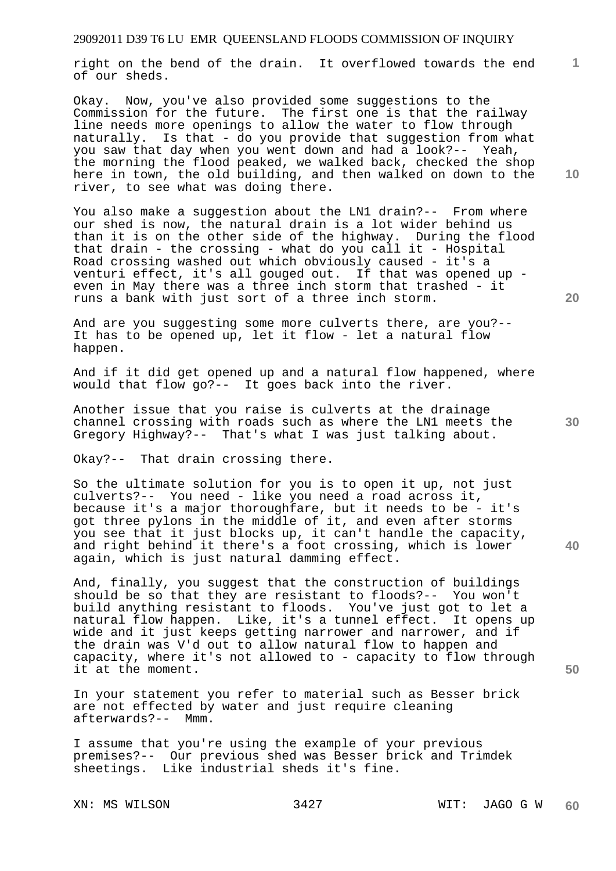right on the bend of the drain. It overflowed towards the end of our sheds.

Okay. Now, you've also provided some suggestions to the Commission for the future. The first one is that the railway line needs more openings to allow the water to flow through naturally. Is that - do you provide that suggestion from what you saw that day when you went down and had a look?-- Yeah, the morning the flood peaked, we walked back, checked the shop here in town, the old building, and then walked on down to the river, to see what was doing there.

You also make a suggestion about the LN1 drain?-- From where our shed is now, the natural drain is a lot wider behind us than it is on the other side of the highway. During the flood that drain - the crossing - what do you call it - Hospital Road crossing washed out which obviously caused - it's a venturi effect, it's all gouged out. If that was opened up even in May there was a three inch storm that trashed - it runs a bank with just sort of a three inch storm.

And are you suggesting some more culverts there, are you?-- It has to be opened up, let it flow - let a natural flow happen.

And if it did get opened up and a natural flow happened, where would that flow go?-- It goes back into the river.

Another issue that you raise is culverts at the drainage channel crossing with roads such as where the LN1 meets the Gregory Highway?-- That's what I was just talking about.

Okay?-- That drain crossing there.

So the ultimate solution for you is to open it up, not just culverts?-- You need - like you need a road across it, because it's a major thoroughfare, but it needs to be - it's got three pylons in the middle of it, and even after storms you see that it just blocks up, it can't handle the capacity, and right behind it there's a foot crossing, which is lower again, which is just natural damming effect.

And, finally, you suggest that the construction of buildings should be so that they are resistant to floods?-- You won't build anything resistant to floods. You've just got to let a natural flow happen. Like, it's a tunnel effect. It opens up wide and it just keeps getting narrower and narrower, and if the drain was V'd out to allow natural flow to happen and capacity, where it's not allowed to - capacity to flow through it at the moment.

In your statement you refer to material such as Besser brick are not effected by water and just require cleaning afterwards?-- Mmm.

I assume that you're using the example of your previous premises?-- Our previous shed was Besser brick and Trimdek sheetings. Like industrial sheds it's fine.

**10** 

**20** 

**1**

**30** 

**40**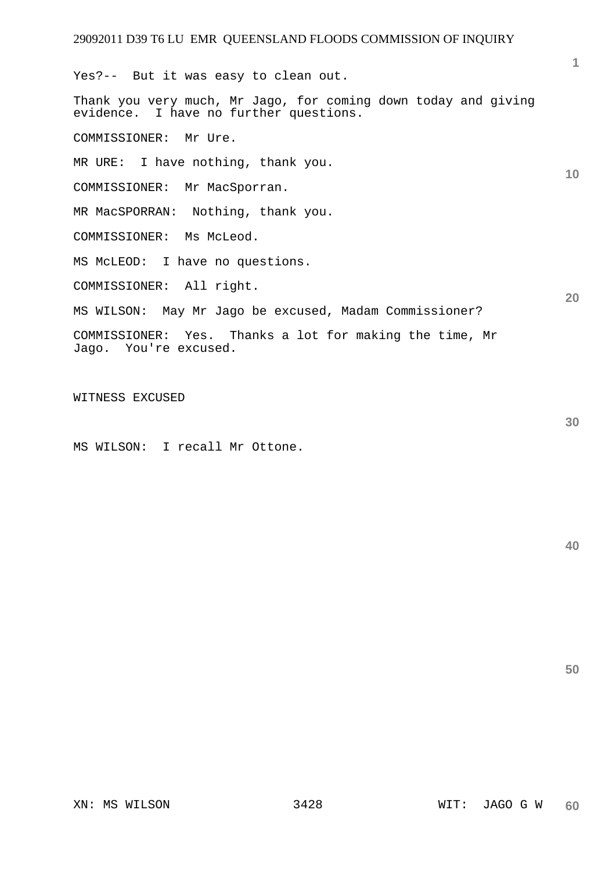**1 10 20**  Yes?-- But it was easy to clean out. Thank you very much, Mr Jago, for coming down today and giving evidence. I have no further questions. COMMISSIONER: Mr Ure. MR URE: I have nothing, thank you. COMMISSIONER: Mr MacSporran. MR MacSPORRAN: Nothing, thank you. COMMISSIONER: Ms McLeod. MS McLEOD: I have no questions. COMMISSIONER: All right. MS WILSON: May Mr Jago be excused, Madam Commissioner? COMMISSIONER: Yes. Thanks a lot for making the time, Mr Jago. You're excused.

WITNESS EXCUSED

MS WILSON: I recall Mr Ottone.

**40** 

**50**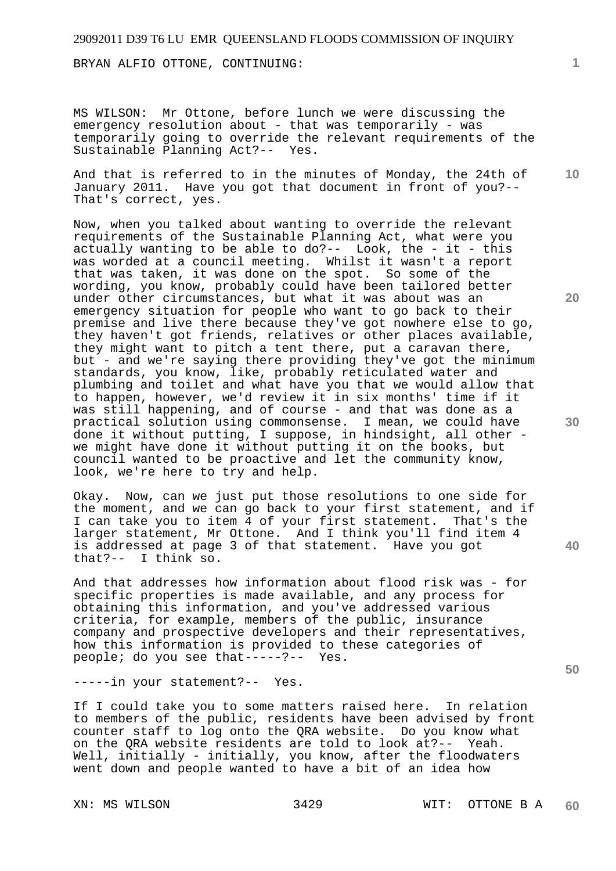BRYAN ALFIO OTTONE, CONTINUING:

MS WILSON: Mr Ottone, before lunch we were discussing the emergency resolution about - that was temporarily - was temporarily going to override the relevant requirements of the Sustainable Planning Act?-- Yes.

And that is referred to in the minutes of Monday, the 24th of January 2011. Have you got that document in front of you?-- That's correct, yes.

Now, when you talked about wanting to override the relevant requirements of the Sustainable Planning Act, what were you actually wanting to be able to do?-- Look, the - it - this was worded at a council meeting. Whilst it wasn't a report that was taken, it was done on the spot. So some of the wording, you know, probably could have been tailored better under other circumstances, but what it was about was an emergency situation for people who want to go back to their premise and live there because they've got nowhere else to go, they haven't got friends, relatives or other places available, they might want to pitch a tent there, put a caravan there, but - and we're saying there providing they've got the minimum standards, you know, like, probably reticulated water and plumbing and toilet and what have you that we would allow that to happen, however, we'd review it in six months' time if it was still happening, and of course - and that was done as a practical solution using commonsense. I mean, we could have done it without putting, I suppose, in hindsight, all other we might have done it without putting it on the books, but council wanted to be proactive and let the community know, look, we're here to try and help.

Okay. Now, can we just put those resolutions to one side for the moment, and we can go back to your first statement, and if I can take you to item 4 of your first statement. That's the larger statement, Mr Ottone. And I think you'll find item 4 is addressed at page 3 of that statement. Have you got that?-- I think so.

And that addresses how information about flood risk was - for specific properties is made available, and any process for obtaining this information, and you've addressed various criteria, for example, members of the public, insurance company and prospective developers and their representatives, how this information is provided to these categories of people; do you see that-----?-- Yes.

-----in your statement?-- Yes.

If I could take you to some matters raised here. In relation to members of the public, residents have been advised by front counter staff to log onto the QRA website. Do you know what on the QRA website residents are told to look at?-- Yeah. Well, initially - initially, you know, after the floodwaters went down and people wanted to have a bit of an idea how

**1**

**10** 

**30** 

**20** 

**40**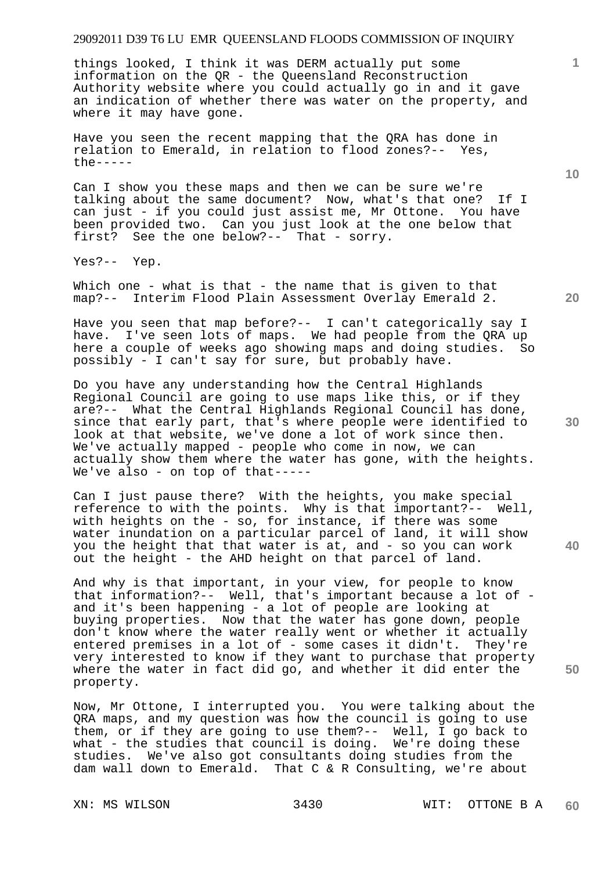things looked, I think it was DERM actually put some information on the QR - the Queensland Reconstruction Authority website where you could actually go in and it gave an indication of whether there was water on the property, and where it may have gone.

Have you seen the recent mapping that the QRA has done in relation to Emerald, in relation to flood zones?-- Yes, the-----

Can I show you these maps and then we can be sure we're talking about the same document? Now, what's that one? If I can just - if you could just assist me, Mr Ottone. You have been provided two. Can you just look at the one below that first? See the one below?-- That - sorry.

Yes?-- Yep.

Which one - what is that - the name that is given to that map?-- Interim Flood Plain Assessment Overlay Emerald 2.

Have you seen that map before?-- I can't categorically say I have. I've seen lots of maps. We had people from the ORA up here a couple of weeks ago showing maps and doing studies. So possibly - I can't say for sure, but probably have.

Do you have any understanding how the Central Highlands Regional Council are going to use maps like this, or if they are?-- What the Central Highlands Regional Council has done, since that early part, that's where people were identified to look at that website, we've done a lot of work since then. We've actually mapped - people who come in now, we can actually show them where the water has gone, with the heights. We've also - on top of that-----

Can I just pause there? With the heights, you make special reference to with the points. Why is that important?-- Well, with heights on the - so, for instance, if there was some water inundation on a particular parcel of land, it will show you the height that that water is at, and - so you can work out the height - the AHD height on that parcel of land.

And why is that important, in your view, for people to know that information?-- Well, that's important because a lot of and it's been happening - a lot of people are looking at buying properties. Now that the water has gone down, people don't know where the water really went or whether it actually entered premises in a lot of - some cases it didn't. They're very interested to know if they want to purchase that property where the water in fact did go, and whether it did enter the property.

Now, Mr Ottone, I interrupted you. You were talking about the QRA maps, and my question was how the council is going to use them, or if they are going to use them?-- Well, I go back to what - the studies that council is doing. We're doing these studies. We've also got consultants doing studies from the dam wall down to Emerald. That C & R Consulting, we're about

**10** 

**1**

**30** 

**40**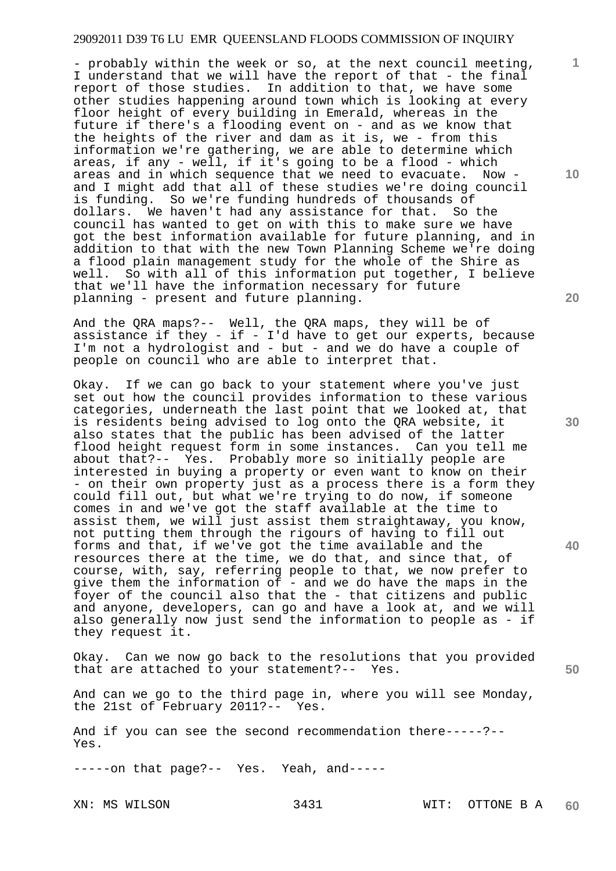- probably within the week or so, at the next council meeting, I understand that we will have the report of that - the final report of those studies. In addition to that, we have some other studies happening around town which is looking at every floor height of every building in Emerald, whereas in the future if there's a flooding event on - and as we know that the heights of the river and dam as it is, we - from this information we're gathering, we are able to determine which areas, if any - well, if it's going to be a flood - which areas and in which sequence that we need to evacuate. Now and I might add that all of these studies we're doing council is funding. So we're funding hundreds of thousands of dollars. We haven't had any assistance for that. So the council has wanted to get on with this to make sure we have got the best information available for future planning, and in addition to that with the new Town Planning Scheme we're doing a flood plain management study for the whole of the Shire as well. So with all of this information put together, I believe that we'll have the information necessary for future planning - present and future planning.

And the QRA maps?-- Well, the QRA maps, they will be of assistance if they - if - I'd have to get our experts, because I'm not a hydrologist and - but - and we do have a couple of people on council who are able to interpret that.

Okay. If we can go back to your statement where you've just set out how the council provides information to these various categories, underneath the last point that we looked at, that is residents being advised to log onto the QRA website, it also states that the public has been advised of the latter flood height request form in some instances. Can you tell me about that?-- Yes. Probably more so initially people are interested in buying a property or even want to know on their - on their own property just as a process there is a form they could fill out, but what we're trying to do now, if someone comes in and we've got the staff available at the time to assist them, we will just assist them straightaway, you know, not putting them through the rigours of having to fill out forms and that, if we've got the time available and the resources there at the time, we do that, and since that, of course, with, say, referring people to that, we now prefer to give them the information of - and we do have the maps in the foyer of the council also that the - that citizens and public and anyone, developers, can go and have a look at, and we will also generally now just send the information to people as - if they request it.

Okay. Can we now go back to the resolutions that you provided that are attached to your statement?-- Yes.

And can we go to the third page in, where you will see Monday, the 21st of February 2011?-- Yes.

And if you can see the second recommendation there-----?-- Yes.

-----on that page?-- Yes. Yeah, and-----

**10** 

**1**

**30** 

**20** 

**40**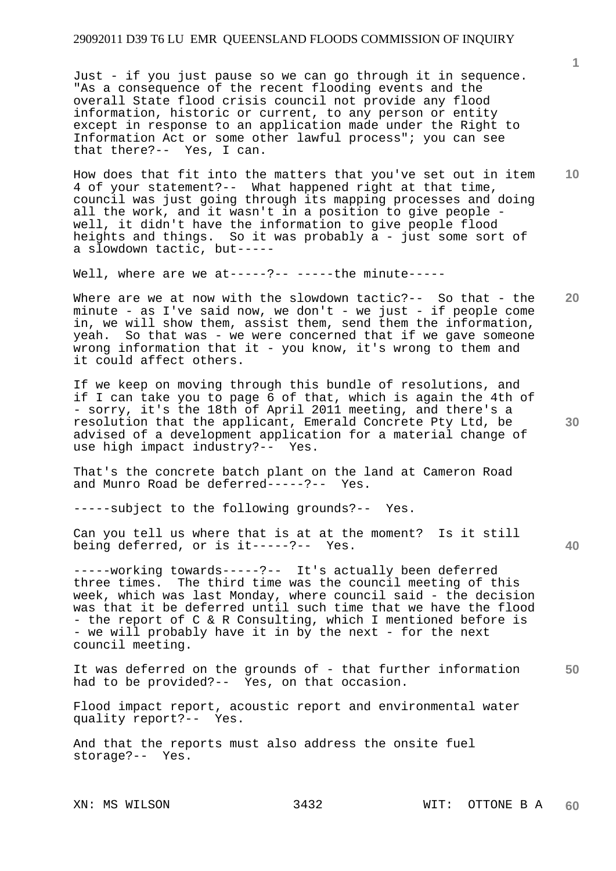Just - if you just pause so we can go through it in sequence. "As a consequence of the recent flooding events and the overall State flood crisis council not provide any flood information, historic or current, to any person or entity except in response to an application made under the Right to Information Act or some other lawful process"; you can see that there?-- Yes, I can.

**10**  How does that fit into the matters that you've set out in item 4 of your statement?-- What happened right at that time, council was just going through its mapping processes and doing all the work, and it wasn't in a position to give people well, it didn't have the information to give people flood heights and things. So it was probably a - just some sort of a slowdown tactic, but-----

Well, where are we at-----?-- -----the minute-----

**20**  Where are we at now with the slowdown tactic?-- So that - the minute - as I've said now, we don't - we just - if people come in, we will show them, assist them, send them the information, yeah. So that was - we were concerned that if we gave someone wrong information that it - you know, it's wrong to them and it could affect others.

If we keep on moving through this bundle of resolutions, and if I can take you to page 6 of that, which is again the 4th of - sorry, it's the 18th of April 2011 meeting, and there's a resolution that the applicant, Emerald Concrete Pty Ltd, be advised of a development application for a material change of use high impact industry?-- Yes.

That's the concrete batch plant on the land at Cameron Road and Munro Road be deferred-----?-- Yes.

-----subject to the following grounds?-- Yes.

Can you tell us where that is at at the moment? Is it still being deferred, or is it-----?-- Yes.

-----working towards-----?-- It's actually been deferred three times. The third time was the council meeting of this week, which was last Monday, where council said - the decision was that it be deferred until such time that we have the flood - the report of C & R Consulting, which I mentioned before is - we will probably have it in by the next - for the next council meeting.

**50**  It was deferred on the grounds of - that further information had to be provided?-- Yes, on that occasion.

Flood impact report, acoustic report and environmental water quality report?-- Yes.

And that the reports must also address the onsite fuel storage?-- Yes.

**1**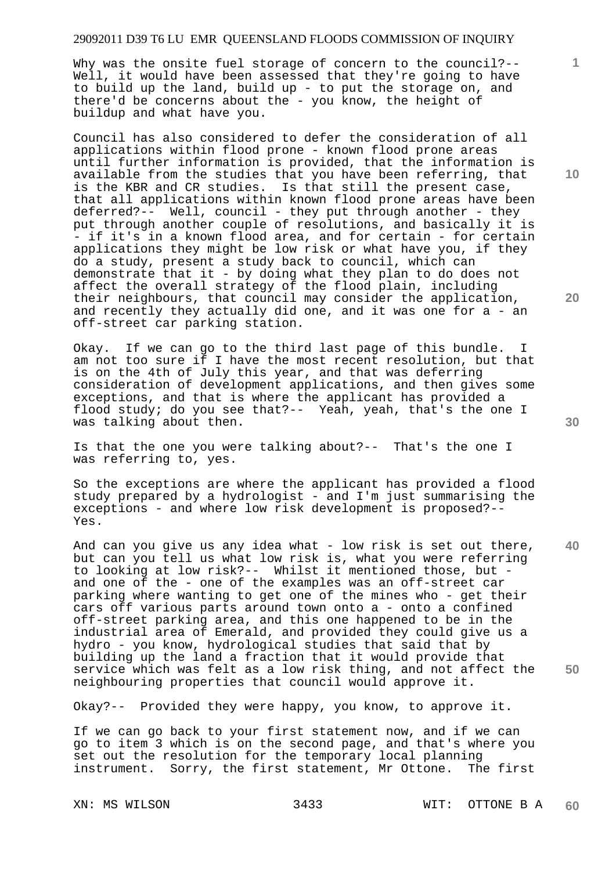Why was the onsite fuel storage of concern to the council?--Well, it would have been assessed that they're going to have to build up the land, build up - to put the storage on, and there'd be concerns about the - you know, the height of buildup and what have you.

Council has also considered to defer the consideration of all applications within flood prone - known flood prone areas until further information is provided, that the information is available from the studies that you have been referring, that is the KBR and CR studies. Is that still the present case, that all applications within known flood prone areas have been deferred?-- Well, council - they put through another - they put through another couple of resolutions, and basically it is - if it's in a known flood area, and for certain - for certain applications they might be low risk or what have you, if they do a study, present a study back to council, which can demonstrate that it - by doing what they plan to do does not affect the overall strategy of the flood plain, including their neighbours, that council may consider the application, and recently they actually did one, and it was one for a - an off-street car parking station.

Okay. If we can go to the third last page of this bundle. am not too sure if I have the most recent resolution, but that is on the 4th of July this year, and that was deferring consideration of development applications, and then gives some exceptions, and that is where the applicant has provided a flood study; do you see that?-- Yeah, yeah, that's the one I was talking about then.

Is that the one you were talking about?-- That's the one I was referring to, yes.

So the exceptions are where the applicant has provided a flood study prepared by a hydrologist - and I'm just summarising the exceptions - and where low risk development is proposed?-- Yes.

**40 50**  And can you give us any idea what - low risk is set out there, but can you tell us what low risk is, what you were referring to looking at low risk?-- Whilst it mentioned those, but and one of the - one of the examples was an off-street car parking where wanting to get one of the mines who - get their cars off various parts around town onto a - onto a confined off-street parking area, and this one happened to be in the industrial area of Emerald, and provided they could give us a hydro - you know, hydrological studies that said that by building up the land a fraction that it would provide that service which was felt as a low risk thing, and not affect the neighbouring properties that council would approve it.

Okay?-- Provided they were happy, you know, to approve it.

If we can go back to your first statement now, and if we can go to item 3 which is on the second page, and that's where you set out the resolution for the temporary local planning instrument. Sorry, the first statement, Mr Ottone. The first

**10** 

**1**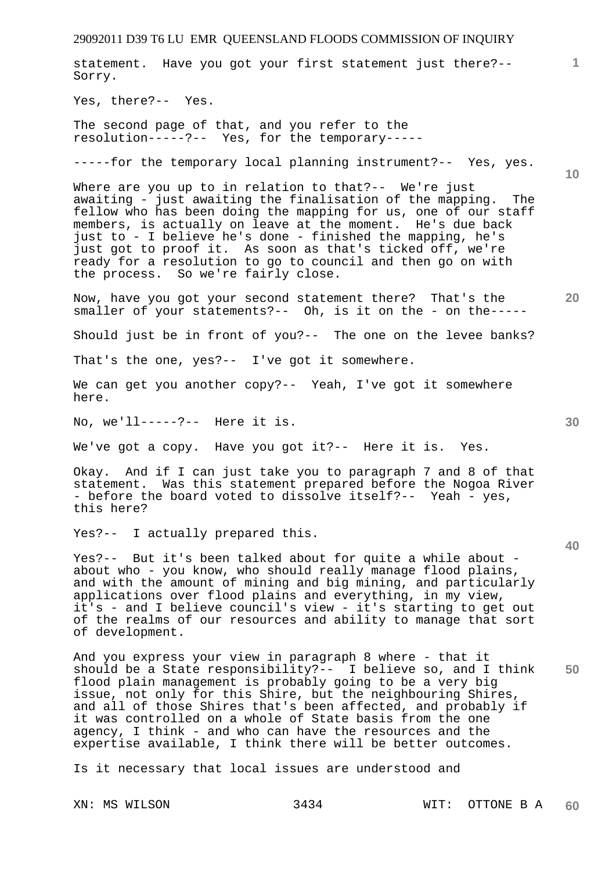**1 10 20 30 40 50**  statement. Have you got your first statement just there?-- Sorry. Yes, there?-- Yes. The second page of that, and you refer to the resolution-----?-- Yes, for the temporary----- -----for the temporary local planning instrument?-- Yes, yes. Where are you up to in relation to that?-- We're just awaiting - just awaiting the finalisation of the mapping. The fellow who has been doing the mapping for us, one of our staff members, is actually on leave at the moment. He's due back just to - I believe he's done - finished the mapping, he's just got to proof it. As soon as that's ticked off, we're ready for a resolution to go to council and then go on with the process. So we're fairly close. Now, have you got your second statement there? That's the smaller of your statements?-- Oh, is it on the - on the-----Should just be in front of you?-- The one on the levee banks? That's the one, yes?-- I've got it somewhere. We can get you another copy?-- Yeah, I've got it somewhere here. No, we'll-----?-- Here it is. We've got a copy. Have you got it?-- Here it is. Yes. Okay. And if I can just take you to paragraph 7 and 8 of that statement. Was this statement prepared before the Nogoa River - before the board voted to dissolve itself?-- Yeah - yes, this here? Yes?-- I actually prepared this. Yes?-- But it's been talked about for quite a while about about who - you know, who should really manage flood plains, and with the amount of mining and big mining, and particularly applications over flood plains and everything, in my view, it's - and I believe council's view - it's starting to get out of the realms of our resources and ability to manage that sort of development. And you express your view in paragraph 8 where - that it should be a State responsibility?-- I believe so, and I think flood plain management is probably going to be a very big issue, not only for this Shire, but the neighbouring Shires, and all of those Shires that's been affected, and probably if it was controlled on a whole of State basis from the one agency, I think - and who can have the resources and the expertise available, I think there will be better outcomes.

29092011 D39 T6 LU EMR QUEENSLAND FLOODS COMMISSION OF INQUIRY

Is it necessary that local issues are understood and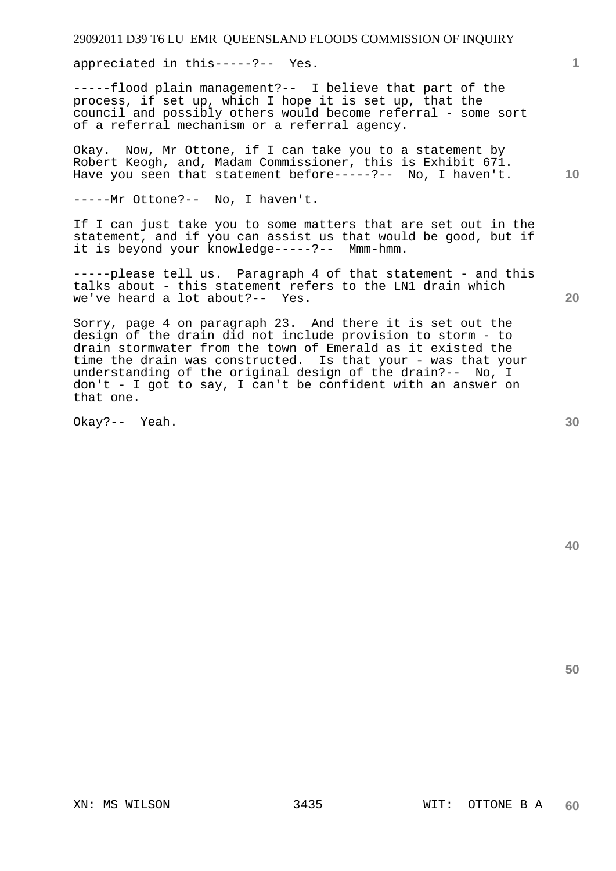appreciated in this-----?-- Yes.

-----flood plain management?-- I believe that part of the process, if set up, which I hope it is set up, that the council and possibly others would become referral - some sort of a referral mechanism or a referral agency.

Okay. Now, Mr Ottone, if I can take you to a statement by Robert Keogh, and, Madam Commissioner, this is Exhibit 671. Have you seen that statement before-----?-- No, I haven't.

-----Mr Ottone?-- No, I haven't.

If I can just take you to some matters that are set out in the statement, and if you can assist us that would be good, but if it is beyond your knowledge-----?-- Mmm-hmm.

-----please tell us. Paragraph 4 of that statement - and this talks about - this statement refers to the LN1 drain which we've heard a lot about?-- Yes.

Sorry, page 4 on paragraph 23. And there it is set out the design of the drain did not include provision to storm - to drain stormwater from the town of Emerald as it existed the time the drain was constructed. Is that your - was that your understanding of the original design of the drain?-- No, I don't - I got to say, I can't be confident with an answer on that one.

Okay?-- Yeah.

**30** 

**20** 

**1**

**10**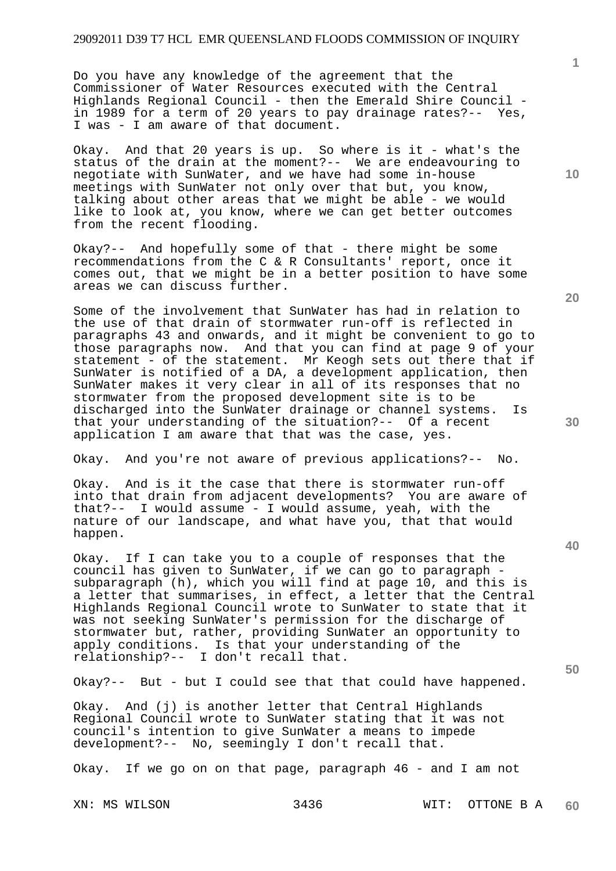Do you have any knowledge of the agreement that the Commissioner of Water Resources executed with the Central Highlands Regional Council - then the Emerald Shire Council in 1989 for a term of 20 years to pay drainage rates?-- Yes, I was - I am aware of that document.

Okay. And that 20 years is up. So where is it - what's the status of the drain at the moment?-- We are endeavouring to negotiate with SunWater, and we have had some in-house meetings with SunWater not only over that but, you know, talking about other areas that we might be able - we would like to look at, you know, where we can get better outcomes from the recent flooding.

Okay?-- And hopefully some of that - there might be some recommendations from the C & R Consultants' report, once it comes out, that we might be in a better position to have some areas we can discuss further.

Some of the involvement that SunWater has had in relation to the use of that drain of stormwater run-off is reflected in paragraphs 43 and onwards, and it might be convenient to go to those paragraphs now. And that you can find at page 9 of your statement - of the statement. Mr Keogh sets out there that if SunWater is notified of a DA, a development application, then SunWater makes it very clear in all of its responses that no stormwater from the proposed development site is to be discharged into the SunWater drainage or channel systems. Is that your understanding of the situation?-- Of a recent application I am aware that that was the case, yes.

Okay. And you're not aware of previous applications?-- No.

Okay. And is it the case that there is stormwater run-off into that drain from adjacent developments? You are aware of that?-- I would assume - I would assume, yeah, with the nature of our landscape, and what have you, that that would happen.

Okay. If I can take you to a couple of responses that the council has given to SunWater, if we can go to paragraph subparagraph (h), which you will find at page 10, and this is a letter that summarises, in effect, a letter that the Central Highlands Regional Council wrote to SunWater to state that it was not seeking SunWater's permission for the discharge of stormwater but, rather, providing SunWater an opportunity to apply conditions. Is that your understanding of the relationship?-- I don't recall that.

Okay?-- But - but I could see that that could have happened.

Okay. And (j) is another letter that Central Highlands Regional Council wrote to SunWater stating that it was not council's intention to give SunWater a means to impede development?-- No, seemingly I don't recall that.

Okay. If we go on on that page, paragraph 46 - and I am not

**10** 

**1**

**20** 

**30** 

**40**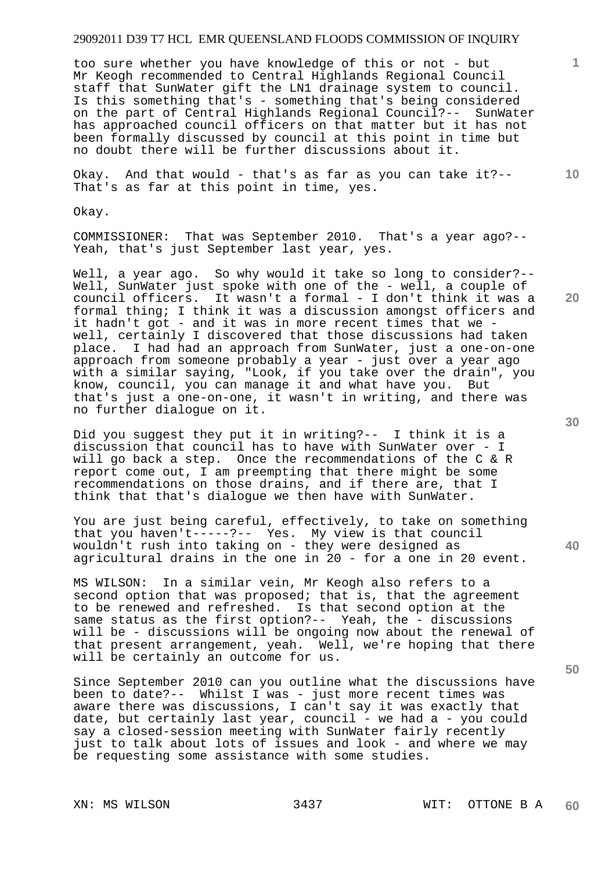too sure whether you have knowledge of this or not - but Mr Keogh recommended to Central Highlands Regional Council staff that SunWater gift the LN1 drainage system to council. Is this something that's - something that's being considered on the part of Central Highlands Regional Council?-- SunWater has approached council officers on that matter but it has not been formally discussed by council at this point in time but no doubt there will be further discussions about it.

Okay. And that would - that's as far as you can take it?-- That's as far at this point in time, yes.

Okay.

COMMISSIONER: That was September 2010. That's a year ago?-- Yeah, that's just September last year, yes.

Well, a year ago. So why would it take so long to consider?--Well, SunWater just spoke with one of the - well, a couple of council officers. It wasn't a formal - I don't think it was a formal thing; I think it was a discussion amongst officers and it hadn't got - and it was in more recent times that we well, certainly I discovered that those discussions had taken place. I had had an approach from SunWater, just a one-on-one approach from someone probably a year - just over a year ago with a similar saying, "Look, if you take over the drain", you know, council, you can manage it and what have you. But that's just a one-on-one, it wasn't in writing, and there was no further dialogue on it.

Did you suggest they put it in writing?-- I think it is a discussion that council has to have with SunWater over - I will go back a step. Once the recommendations of the C & R report come out, I am preempting that there might be some recommendations on those drains, and if there are, that I think that that's dialogue we then have with SunWater.

You are just being careful, effectively, to take on something that you haven't-----?-- Yes. My view is that council wouldn't rush into taking on - they were designed as agricultural drains in the one in 20 - for a one in 20 event.

MS WILSON: In a similar vein, Mr Keogh also refers to a second option that was proposed; that is, that the agreement to be renewed and refreshed. Is that second option at the same status as the first option?-- Yeah, the - discussions will be - discussions will be ongoing now about the renewal of<br>that present arrangement, yeah. Well, we're hoping that there that present arrangement, yeah. will be certainly an outcome for us.

Since September 2010 can you outline what the discussions have been to date?-- Whilst I was - just more recent times was aware there was discussions, I can't say it was exactly that date, but certainly last year, council - we had a - you could say a closed-session meeting with SunWater fairly recently just to talk about lots of issues and look - and where we may be requesting some assistance with some studies.

**50** 

**20** 

**1**

**10**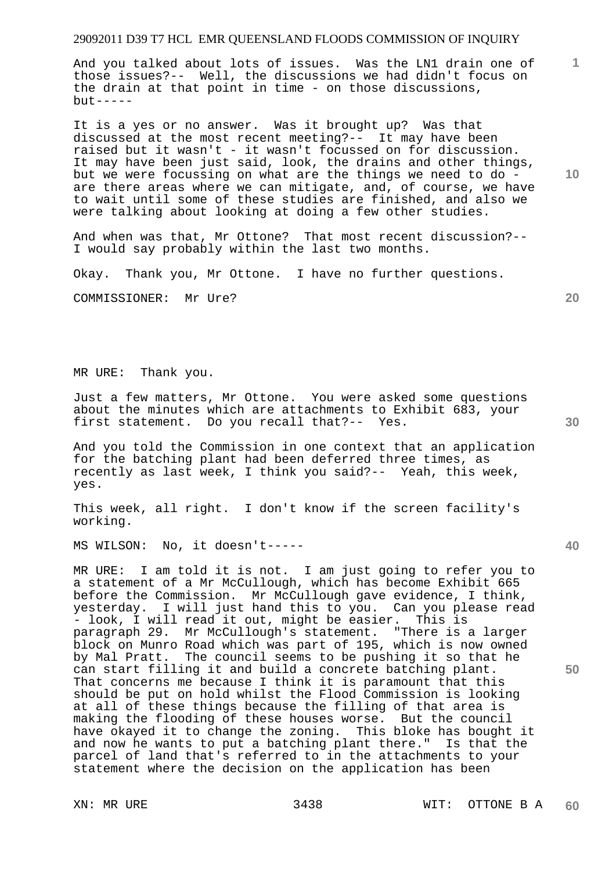And you talked about lots of issues. Was the LN1 drain one of those issues?-- Well, the discussions we had didn't focus on the drain at that point in time - on those discussions,  $but --- -$ 

It is a yes or no answer. Was it brought up? Was that discussed at the most recent meeting?-- It may have been raised but it wasn't - it wasn't focussed on for discussion. It may have been just said, look, the drains and other things, but we were focussing on what are the things we need to do are there areas where we can mitigate, and, of course, we have to wait until some of these studies are finished, and also we were talking about looking at doing a few other studies.

And when was that, Mr Ottone? That most recent discussion?-- I would say probably within the last two months.

Okay. Thank you, Mr Ottone. I have no further questions.

COMMISSIONER: Mr Ure?

MR URE: Thank you.

Just a few matters, Mr Ottone. You were asked some questions about the minutes which are attachments to Exhibit 683, your first statement. Do you recall that?-- Yes.

And you told the Commission in one context that an application for the batching plant had been deferred three times, as recently as last week, I think you said?-- Yeah, this week, yes.

This week, all right. I don't know if the screen facility's working.

MS WILSON: No, it doesn't-----

MR URE: I am told it is not. I am just going to refer you to a statement of a Mr McCullough, which has become Exhibit 665 before the Commission. Mr McCullough gave evidence, I think, yesterday. I will just hand this to you. Can you please read - look, I will read it out, might be easier. This is paragraph 29. Mr McCullough's statement. "There is a larger block on Munro Road which was part of 195, which is now owned by Mal Pratt. The council seems to be pushing it so that he can start filling it and build a concrete batching plant. That concerns me because I think it is paramount that this should be put on hold whilst the Flood Commission is looking at all of these things because the filling of that area is making the flooding of these houses worse. But the council have okayed it to change the zoning. This bloke has bought it and now he wants to put a batching plant there." Is that the parcel of land that's referred to in the attachments to your statement where the decision on the application has been

**10** 

**20** 

**1**

**40**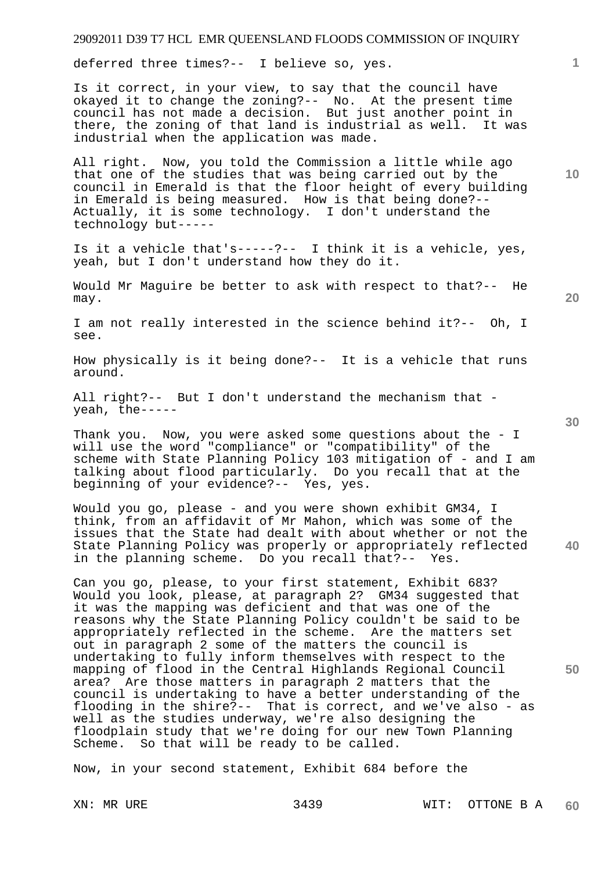deferred three times?-- I believe so, yes.

Is it correct, in your view, to say that the council have okayed it to change the zoning?-- No. At the present time council has not made a decision. But just another point in there, the zoning of that land is industrial as well. It was industrial when the application was made.

All right. Now, you told the Commission a little while ago that one of the studies that was being carried out by the council in Emerald is that the floor height of every building in Emerald is being measured. How is that being done?-- Actually, it is some technology. I don't understand the technology but-----

Is it a vehicle that's-----?-- I think it is a vehicle, yes, yeah, but I don't understand how they do it.

Would Mr Maguire be better to ask with respect to that?-- He may.

I am not really interested in the science behind it?-- Oh, I see.

How physically is it being done?-- It is a vehicle that runs around.

All right?-- But I don't understand the mechanism that yeah, the-----

Thank you. Now, you were asked some questions about the - I will use the word "compliance" or "compatibility" of the scheme with State Planning Policy 103 mitigation of - and I am talking about flood particularly. Do you recall that at the beginning of your evidence?-- Yes, yes.

Would you go, please - and you were shown exhibit GM34, I think, from an affidavit of Mr Mahon, which was some of the issues that the State had dealt with about whether or not the State Planning Policy was properly or appropriately reflected in the planning scheme. Do you recall that?-- Yes.

Can you go, please, to your first statement, Exhibit 683? Would you look, please, at paragraph 2? GM34 suggested that it was the mapping was deficient and that was one of the reasons why the State Planning Policy couldn't be said to be appropriately reflected in the scheme. Are the matters set out in paragraph 2 some of the matters the council is undertaking to fully inform themselves with respect to the mapping of flood in the Central Highlands Regional Council area? Are those matters in paragraph 2 matters that the council is undertaking to have a better understanding of the flooding in the shire?-- That is correct, and we've also - as well as the studies underway, we're also designing the floodplain study that we're doing for our new Town Planning<br>Scheme. So that will be ready to be called. So that will be ready to be called.

Now, in your second statement, Exhibit 684 before the

**20** 

**10** 

**1**

**50**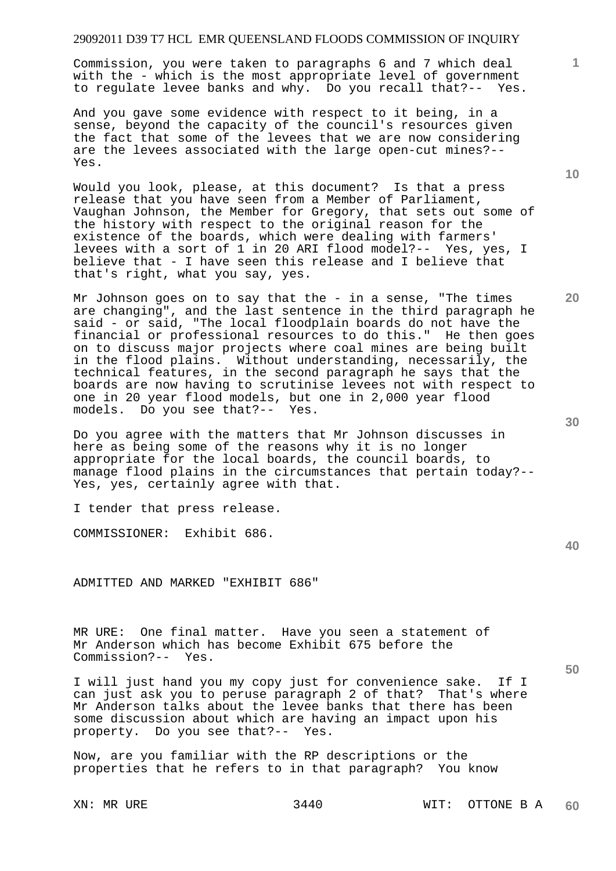Commission, you were taken to paragraphs 6 and 7 which deal with the - which is the most appropriate level of government to regulate levee banks and why. Do you recall that?-- Yes.

And you gave some evidence with respect to it being, in a sense, beyond the capacity of the council's resources given the fact that some of the levees that we are now considering are the levees associated with the large open-cut mines?-- Yes.

Would you look, please, at this document? Is that a press release that you have seen from a Member of Parliament, Vaughan Johnson, the Member for Gregory, that sets out some of the history with respect to the original reason for the existence of the boards, which were dealing with farmers' levees with a sort of 1 in 20 ARI flood model?-- Yes, yes, I believe that - I have seen this release and I believe that that's right, what you say, yes.

Mr Johnson goes on to say that the  $-$  in a sense, "The times are changing", and the last sentence in the third paragraph he said - or said, "The local floodplain boards do not have the financial or professional resources to do this." He then goes on to discuss major projects where coal mines are being built in the flood plains. Without understanding, necessarily, the technical features, in the second paragraph he says that the boards are now having to scrutinise levees not with respect to one in 20 year flood models, but one in 2,000 year flood models. Do you see that?-- Yes.

Do you agree with the matters that Mr Johnson discusses in here as being some of the reasons why it is no longer appropriate for the local boards, the council boards, to manage flood plains in the circumstances that pertain today?-- Yes, yes, certainly agree with that.

I tender that press release.

COMMISSIONER: Exhibit 686.

ADMITTED AND MARKED "EXHIBIT 686"

MR URE: One final matter. Have you seen a statement of Mr Anderson which has become Exhibit 675 before the Commission?-- Yes.

I will just hand you my copy just for convenience sake. If I can just ask you to peruse paragraph 2 of that? That's where Mr Anderson talks about the levee banks that there has been some discussion about which are having an impact upon his property. Do you see that?-- Yes.

Now, are you familiar with the RP descriptions or the properties that he refers to in that paragraph? You know

**10** 

**1**

**20** 

**50**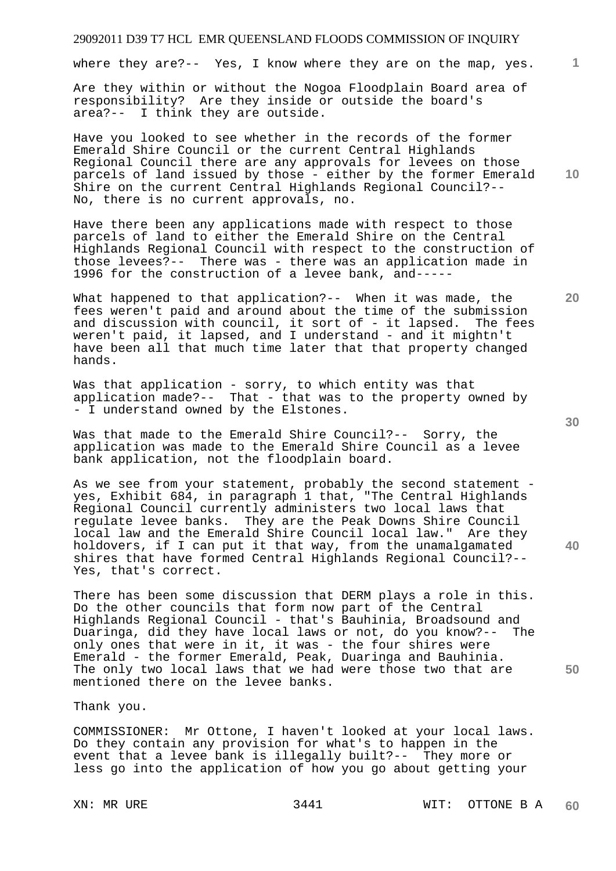where they are?-- Yes, I know where they are on the map, yes.

Are they within or without the Nogoa Floodplain Board area of responsibility? Are they inside or outside the board's area?-- I think they are outside.

Have you looked to see whether in the records of the former Emerald Shire Council or the current Central Highlands Regional Council there are any approvals for levees on those parcels of land issued by those - either by the former Emerald Shire on the current Central Highlands Regional Council?-- No, there is no current approvals, no.

Have there been any applications made with respect to those parcels of land to either the Emerald Shire on the Central Highlands Regional Council with respect to the construction of those levees?-- There was - there was an application made in 1996 for the construction of a levee bank, and-----

What happened to that application?-- When it was made, the fees weren't paid and around about the time of the submission and discussion with council, it sort of - it lapsed. The fees weren't paid, it lapsed, and I understand - and it mightn't have been all that much time later that that property changed hands.

Was that application - sorry, to which entity was that application made?-- That - that was to the property owned by - I understand owned by the Elstones.

Was that made to the Emerald Shire Council?-- Sorry, the application was made to the Emerald Shire Council as a levee bank application, not the floodplain board.

As we see from your statement, probably the second statement yes, Exhibit 684, in paragraph 1 that, "The Central Highlands Regional Council currently administers two local laws that regulate levee banks. They are the Peak Downs Shire Council local law and the Emerald Shire Council local law." Are they holdovers, if I can put it that way, from the unamalgamated shires that have formed Central Highlands Regional Council?-- Yes, that's correct.

There has been some discussion that DERM plays a role in this. Do the other councils that form now part of the Central Highlands Regional Council - that's Bauhinia, Broadsound and Duaringa, did they have local laws or not, do you know?-- The only ones that were in it, it was - the four shires were Emerald - the former Emerald, Peak, Duaringa and Bauhinia. The only two local laws that we had were those two that are mentioned there on the levee banks.

Thank you.

COMMISSIONER: Mr Ottone, I haven't looked at your local laws. Do they contain any provision for what's to happen in the event that a levee bank is illegally built?-- They more or less go into the application of how you go about getting your

**20** 

**10** 

**1**

**40**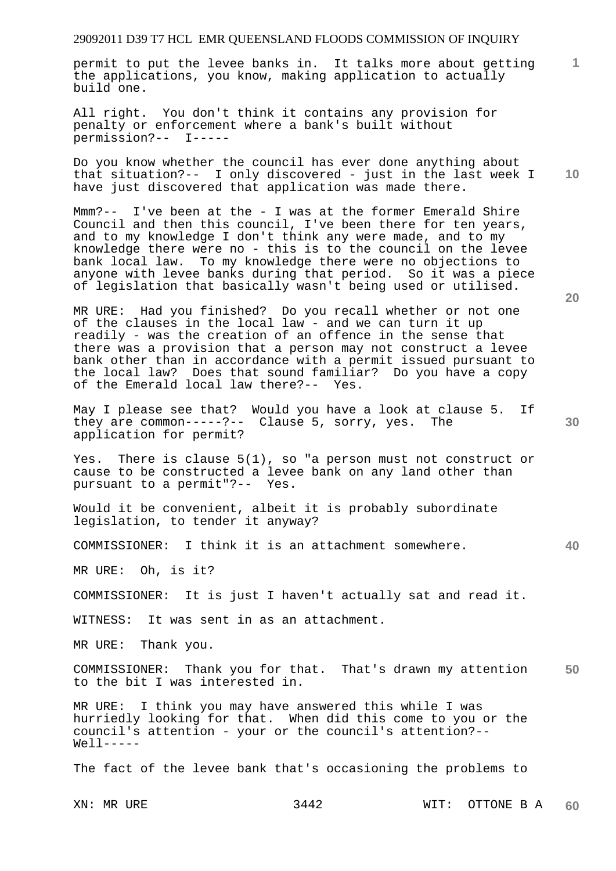**1** permit to put the levee banks in. It talks more about getting the applications, you know, making application to actually build one.

All right. You don't think it contains any provision for penalty or enforcement where a bank's built without permission?-- I-----

Do you know whether the council has ever done anything about that situation?-- I only discovered - just in the last week I have just discovered that application was made there.

Mmm?-- I've been at the - I was at the former Emerald Shire Council and then this council, I've been there for ten years, and to my knowledge I don't think any were made, and to my knowledge there were no - this is to the council on the levee bank local law. To my knowledge there were no objections to anyone with levee banks during that period. So it was a piece of legislation that basically wasn't being used or utilised.

MR URE: Had you finished? Do you recall whether or not one of the clauses in the local law - and we can turn it up readily - was the creation of an offence in the sense that there was a provision that a person may not construct a levee bank other than in accordance with a permit issued pursuant to the local law? Does that sound familiar? Do you have a copy of the Emerald local law there?-- Yes.

May I please see that? Would you have a look at clause 5. If they are common-----?-- Clause 5, sorry, yes. The application for permit?

Yes. There is clause 5(1), so "a person must not construct or cause to be constructed a levee bank on any land other than pursuant to a permit"?-- Yes.

Would it be convenient, albeit it is probably subordinate legislation, to tender it anyway?

COMMISSIONER: I think it is an attachment somewhere.

MR URE: Oh, is it?

COMMISSIONER: It is just I haven't actually sat and read it.

WITNESS: It was sent in as an attachment.

MR URE: Thank you.

**50**  COMMISSIONER: Thank you for that. That's drawn my attention to the bit I was interested in.

MR URE: I think you may have answered this while I was hurriedly looking for that. When did this come to you or the council's attention - your or the council's attention?--  $W \cap 1$ 

The fact of the levee bank that's occasioning the problems to

**20** 

**30** 

**40**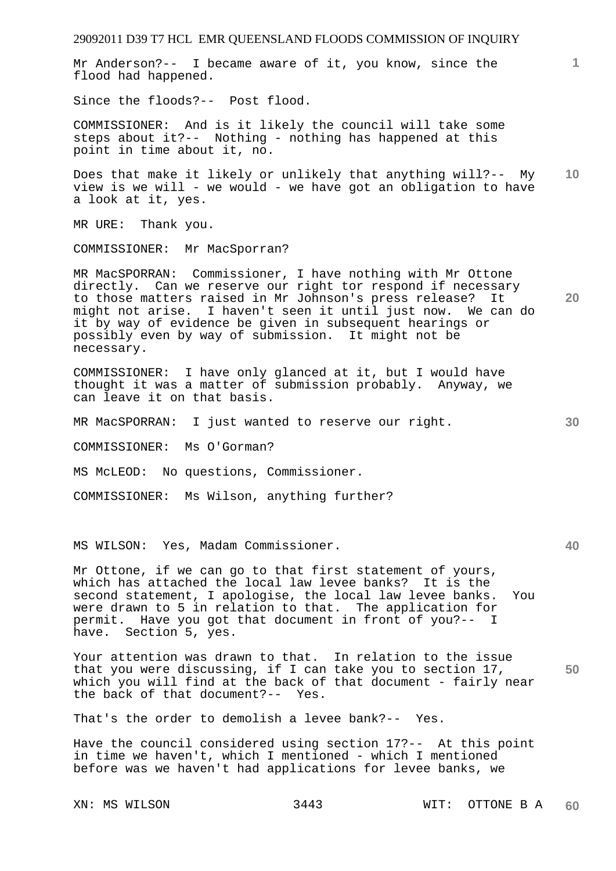29092011 D39 T7 HCL EMR QUEENSLAND FLOODS COMMISSION OF INQUIRY **1 10 20 30 40**  Mr Anderson?-- I became aware of it, you know, since the flood had happened. Since the floods?-- Post flood. COMMISSIONER: And is it likely the council will take some steps about it?-- Nothing - nothing has happened at this point in time about it, no. Does that make it likely or unlikely that anything will?-- My view is we will - we would - we have got an obligation to have a look at it, yes. MR URE: Thank you. COMMISSIONER: Mr MacSporran? MR MacSPORRAN: Commissioner, I have nothing with Mr Ottone directly. Can we reserve our right tor respond if necessary to those matters raised in Mr Johnson's press release? It might not arise. I haven't seen it until just now. We can do it by way of evidence be given in subsequent hearings or possibly even by way of submission. It might not be necessary. COMMISSIONER: I have only glanced at it, but I would have thought it was a matter of submission probably. Anyway, we can leave it on that basis. MR MacSPORRAN: I just wanted to reserve our right. COMMISSIONER: Ms O'Gorman? MS McLEOD: No questions, Commissioner. COMMISSIONER: Ms Wilson, anything further? MS WILSON: Yes, Madam Commissioner. Mr Ottone, if we can go to that first statement of yours, which has attached the local law levee banks? It is the second statement, I apologise, the local law levee banks. You were drawn to 5 in relation to that. The application for permit. Have you got that document in front of you?-- I have. Section 5, yes.

**50**  Your attention was drawn to that. In relation to the issue that you were discussing, if I can take you to section 17, which you will find at the back of that document - fairly near<br>the back of that document?-- Yes. the back of that document? $--$ 

That's the order to demolish a levee bank?-- Yes.

Have the council considered using section 17?-- At this point in time we haven't, which I mentioned - which I mentioned before was we haven't had applications for levee banks, we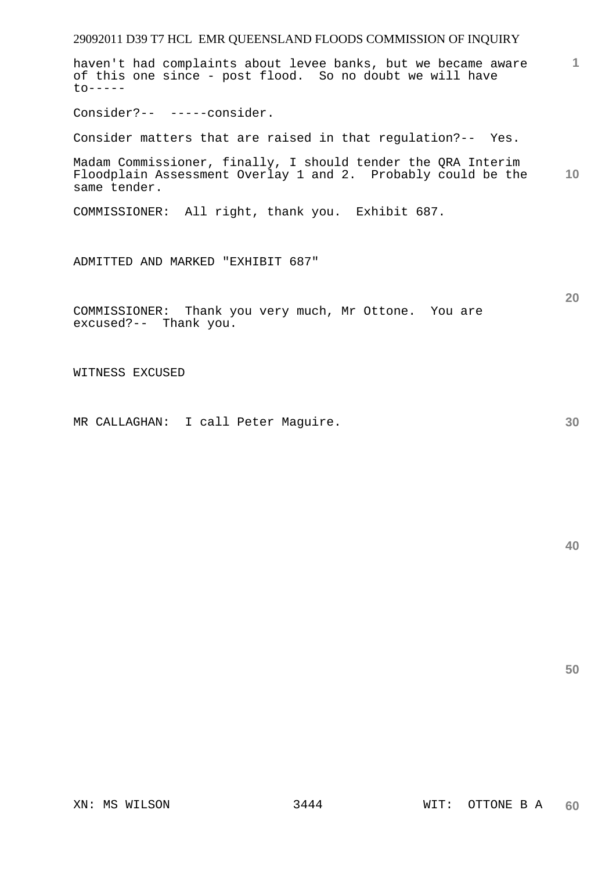haven't had complaints about levee banks, but we became aware of this one since - post flood. So no doubt we will have  $to-----$ 

Consider?-- -----consider.

Consider matters that are raised in that regulation?-- Yes.

**10**  Madam Commissioner, finally, I should tender the QRA Interim Floodplain Assessment Overlay 1 and 2. Probably could be the same tender.

COMMISSIONER: All right, thank you. Exhibit 687.

ADMITTED AND MARKED "EXHIBIT 687"

COMMISSIONER: Thank you very much, Mr Ottone. You are excused?-- Thank you.

WITNESS EXCUSED

MR CALLAGHAN: I call Peter Maguire.

**40** 

**50** 

**1**

**20**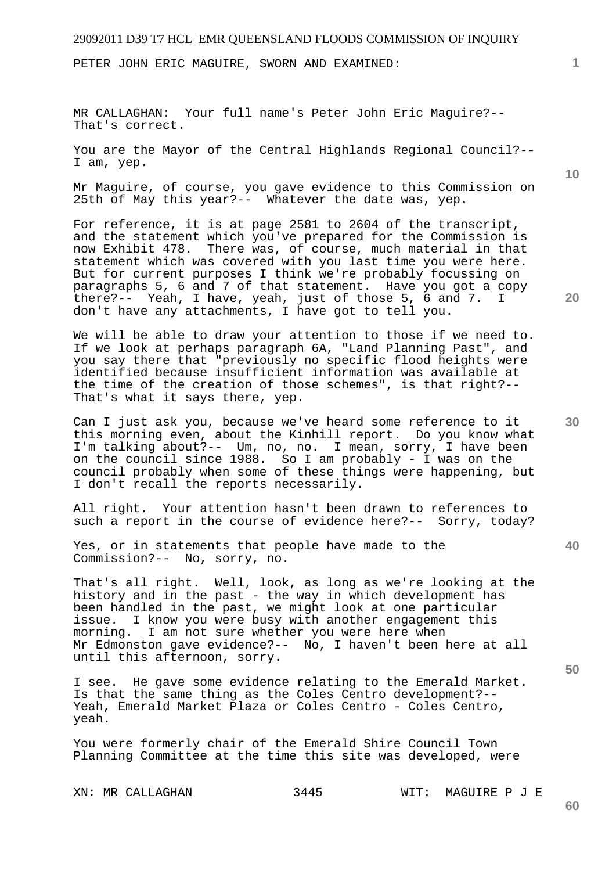PETER JOHN ERIC MAGUIRE, SWORN AND EXAMINED:

MR CALLAGHAN: Your full name's Peter John Eric Maguire?-- That's correct.

You are the Mayor of the Central Highlands Regional Council?-- I am, yep.

Mr Maguire, of course, you gave evidence to this Commission on 25th of May this year?-- Whatever the date was, yep.

For reference, it is at page 2581 to 2604 of the transcript, and the statement which you've prepared for the Commission is now Exhibit 478. There was, of course, much material in that statement which was covered with you last time you were here. But for current purposes I think we're probably focussing on paragraphs 5, 6 and 7 of that statement. Have you got a copy there?-- Yeah, I have, yeah, just of those 5, 6 and 7. I don't have any attachments, I have got to tell you.

We will be able to draw your attention to those if we need to. If we look at perhaps paragraph 6A, "Land Planning Past", and you say there that "previously no specific flood heights were identified because insufficient information was available at the time of the creation of those schemes", is that right?-- That's what it says there, yep.

Can I just ask you, because we've heard some reference to it this morning even, about the Kinhill report. Do you know what I'm talking about?-- Um, no, no. I mean, sorry, I have been on the council since 1988. So I am probably - I was on the council probably when some of these things were happening, but I don't recall the reports necessarily.

All right. Your attention hasn't been drawn to references to such a report in the course of evidence here?-- Sorry, today?

Yes, or in statements that people have made to the Commission?-- No, sorry, no.

That's all right. Well, look, as long as we're looking at the history and in the past - the way in which development has been handled in the past, we might look at one particular issue. I know you were busy with another engagement this morning. I am not sure whether you were here when Mr Edmonston gave evidence?-- No, I haven't been here at all until this afternoon, sorry.

I see. He gave some evidence relating to the Emerald Market. Is that the same thing as the Coles Centro development?-- Yeah, Emerald Market Plaza or Coles Centro - Coles Centro, yeah.

You were formerly chair of the Emerald Shire Council Town Planning Committee at the time this site was developed, were

XN: MR CALLAGHAN 3445 WIT: MAGUIRE P J E

**20** 

**50** 

**60** 

**40** 

**1**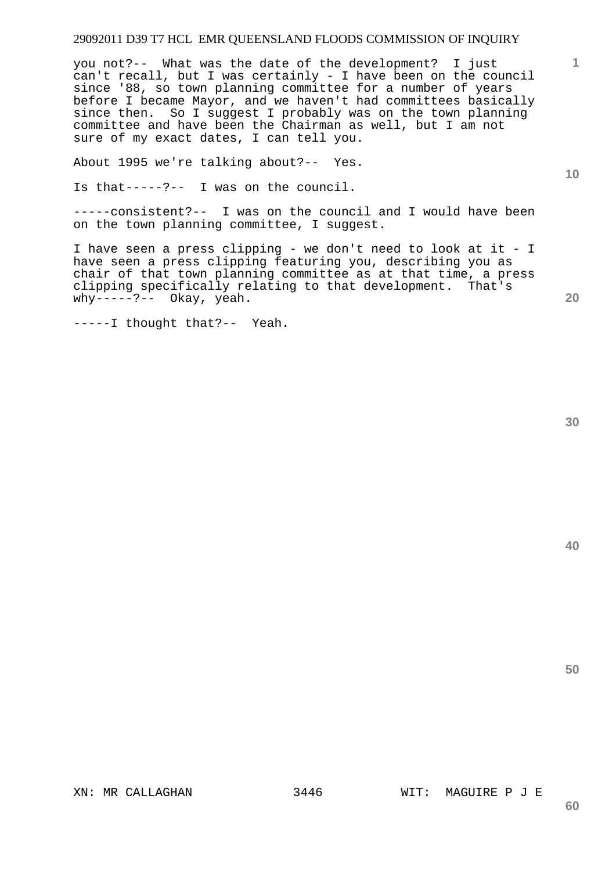you not?-- What was the date of the development? I just can't recall, but I was certainly - I have been on the council since '88, so town planning committee for a number of years before I became Mayor, and we haven't had committees basically since then. So I suggest I probably was on the town planning committee and have been the Chairman as well, but I am not sure of my exact dates, I can tell you.

About 1995 we're talking about?-- Yes.

Is that-----?-- I was on the council.

-----consistent?-- I was on the council and I would have been on the town planning committee, I suggest.

I have seen a press clipping - we don't need to look at it - I have seen a press clipping featuring you, describing you as chair of that town planning committee as at that time, a press clipping specifically relating to that development. That's why-----?-- Okay, yeah.

-----I thought that?-- Yeah.

**40** 

**50** 

XN: MR CALLAGHAN 3446 WIT: MAGUIRE P J E

**60** 

**1**

**10**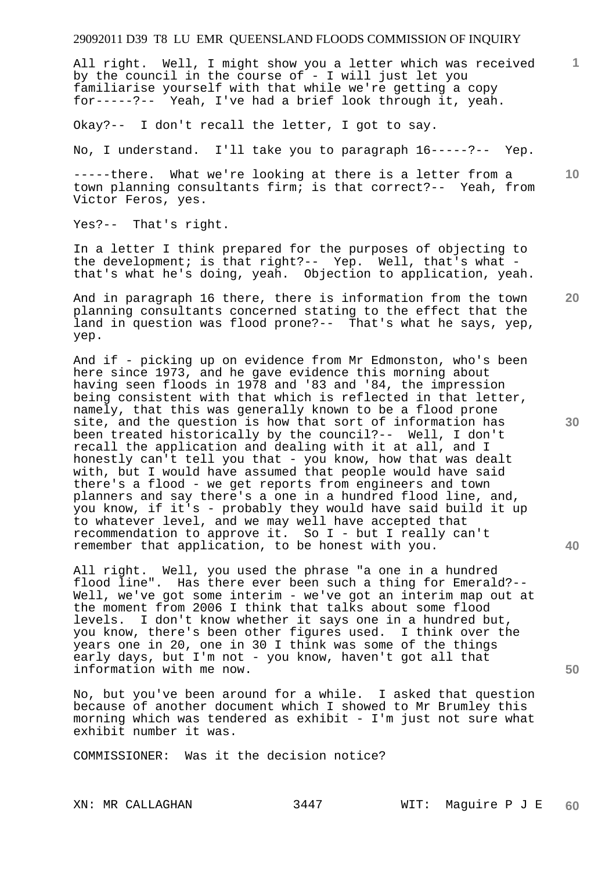All right. Well, I might show you a letter which was received by the council in the course of - I will just let you familiarise yourself with that while we're getting a copy for-----?-- Yeah, I've had a brief look through it, yeah.

Okay?-- I don't recall the letter, I got to say.

No, I understand. I'll take you to paragraph 16-----?-- Yep.

-----there. What we're looking at there is a letter from a town planning consultants firm; is that correct?-- Yeah, from Victor Feros, yes.

Yes?-- That's right.

In a letter I think prepared for the purposes of objecting to the development; is that right?-- Yep. Well, that's what that's what he's doing, yeah. Objection to application, yeah.

And in paragraph 16 there, there is information from the town planning consultants concerned stating to the effect that the land in question was flood prone?-- That's what he says, yep, yep.

And if - picking up on evidence from Mr Edmonston, who's been here since 1973, and he gave evidence this morning about having seen floods in 1978 and '83 and '84, the impression being consistent with that which is reflected in that letter, namely, that this was generally known to be a flood prone site, and the question is how that sort of information has been treated historically by the council?-- Well, I don't recall the application and dealing with it at all, and I honestly can't tell you that - you know, how that was dealt with, but I would have assumed that people would have said there's a flood - we get reports from engineers and town planners and say there's a one in a hundred flood line, and, you know, if it's - probably they would have said build it up to whatever level, and we may well have accepted that recommendation to approve it. So I - but I really can't remember that application, to be honest with you.

All right. Well, you used the phrase "a one in a hundred flood line". Has there ever been such a thing for Emerald?-- Well, we've got some interim - we've got an interim map out at the moment from 2006 I think that talks about some flood levels. I don't know whether it says one in a hundred but, you know, there's been other figures used. I think over the years one in 20, one in 30 I think was some of the things early days, but I'm not - you know, haven't got all that information with me now.

No, but you've been around for a while. I asked that question because of another document which I showed to Mr Brumley this morning which was tendered as exhibit - I'm just not sure what exhibit number it was.

COMMISSIONER: Was it the decision notice?

**30** 

**20** 

**50** 

**10**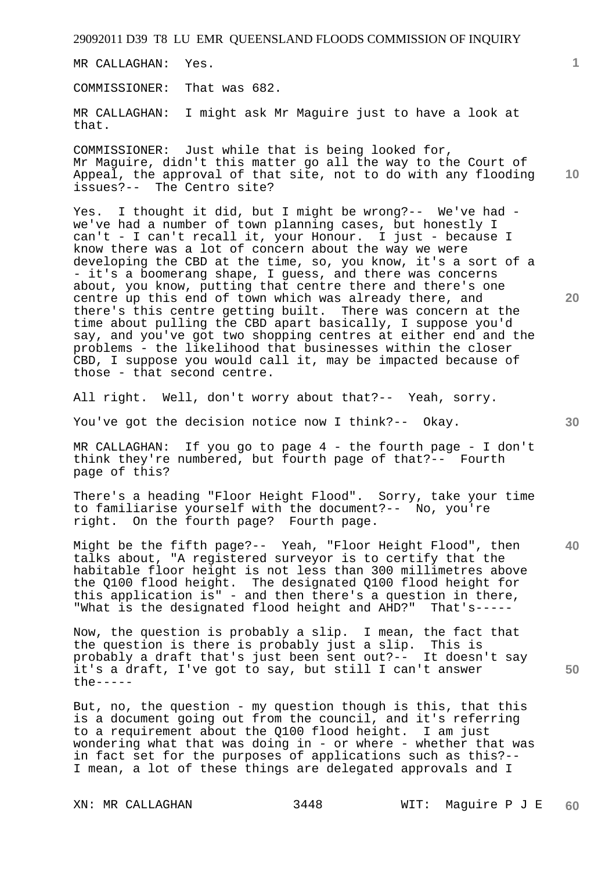MR CALLAGHAN: Yes.

COMMISSIONER: That was 682.

MR CALLAGHAN: I might ask Mr Maguire just to have a look at that.

**10**  COMMISSIONER: Just while that is being looked for, Mr Maguire, didn't this matter go all the way to the Court of Appeal, the approval of that site, not to do with any flooding issues?-- The Centro site?

Yes. I thought it did, but I might be wrong?-- We've had we've had a number of town planning cases, but honestly I can't - I can't recall it, your Honour. I just - because I know there was a lot of concern about the way we were developing the CBD at the time, so, you know, it's a sort of a - it's a boomerang shape, I guess, and there was concerns about, you know, putting that centre there and there's one centre up this end of town which was already there, and there's this centre getting built. There was concern at the time about pulling the CBD apart basically, I suppose you'd say, and you've got two shopping centres at either end and the problems - the likelihood that businesses within the closer CBD, I suppose you would call it, may be impacted because of those - that second centre.

All right. Well, don't worry about that?-- Yeah, sorry.

You've got the decision notice now I think?-- Okay.

MR CALLAGHAN: If you go to page 4 - the fourth page - I don't think they're numbered, but fourth page of that?-- Fourth page of this?

There's a heading "Floor Height Flood". Sorry, take your time to familiarise yourself with the document?-- No, you're right. On the fourth page? Fourth page.

Might be the fifth page?-- Yeah, "Floor Height Flood", then talks about, "A registered surveyor is to certify that the habitable floor height is not less than 300 millimetres above the Q100 flood height. The designated Q100 flood height for this application is" - and then there's a question in there, "What is the designated flood height and AHD?" That's-----

Now, the question is probably a slip. I mean, the fact that the question is there is probably just a slip. This is probably a draft that's just been sent out?-- It doesn't say it's a draft, I've got to say, but still I can't answer the-----

But, no, the question - my question though is this, that this is a document going out from the council, and it's referring to a requirement about the Q100 flood height. I am just wondering what that was doing in - or where - whether that was in fact set for the purposes of applications such as this?-- I mean, a lot of these things are delegated approvals and I

**1**

**30** 

**40** 

**50**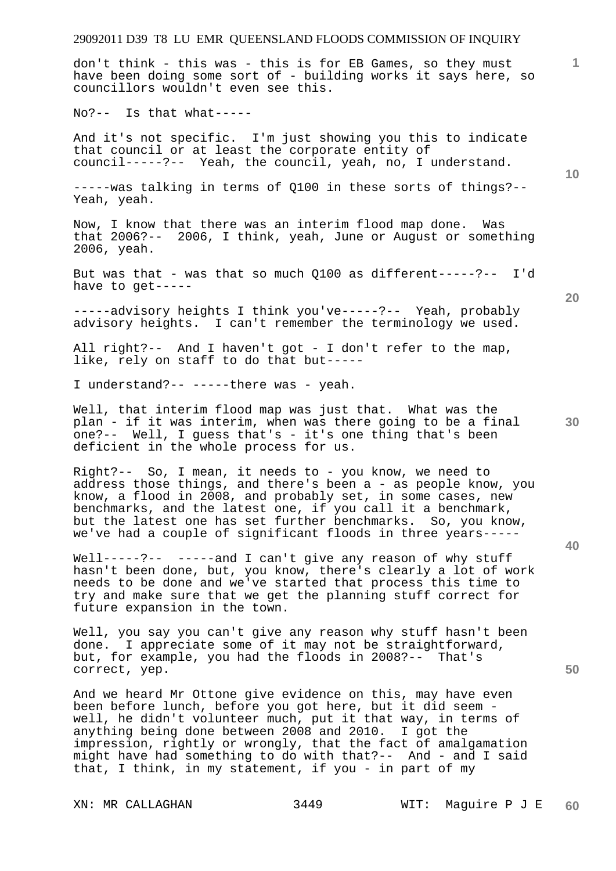don't think - this was - this is for EB Games, so they must have been doing some sort of - building works it says here, so councillors wouldn't even see this.

No?-- Is that what-----

And it's not specific. I'm just showing you this to indicate that council or at least the corporate entity of council-----?-- Yeah, the council, yeah, no, I understand.

-----was talking in terms of Q100 in these sorts of things?-- Yeah, yeah.

Now, I know that there was an interim flood map done. Was that 2006?-- 2006, I think, yeah, June or August or something 2006, yeah.

But was that - was that so much Q100 as different-----?-- I'd have to get-----

-----advisory heights I think you've-----?-- Yeah, probably advisory heights. I can't remember the terminology we used.

All right?-- And I haven't got - I don't refer to the map, like, rely on staff to do that but-----

I understand?-- -----there was - yeah.

Well, that interim flood map was just that. What was the plan - if it was interim, when was there going to be a final one?-- Well, I guess that's - it's one thing that's been deficient in the whole process for us.

Right?-- So, I mean, it needs to - you know, we need to address those things, and there's been a - as people know, you know, a flood in 2008, and probably set, in some cases, new benchmarks, and the latest one, if you call it a benchmark, but the latest one has set further benchmarks. So, you know, we've had a couple of significant floods in three years-----

Well-----?-- -----and I can't give any reason of why stuff hasn't been done, but, you know, there's clearly a lot of work needs to be done and we've started that process this time to try and make sure that we get the planning stuff correct for future expansion in the town.

Well, you say you can't give any reason why stuff hasn't been done. I appreciate some of it may not be straightforward, but, for example, you had the floods in 2008?-- That's correct, yep.

And we heard Mr Ottone give evidence on this, may have even been before lunch, before you got here, but it did seem well, he didn't volunteer much, put it that way, in terms of anything being done between 2008 and 2010. I got the impression, rightly or wrongly, that the fact of amalgamation might have had something to do with that?-- And - and I said that, I think, in my statement, if you - in part of my

**10** 

**1**

**20** 

**30**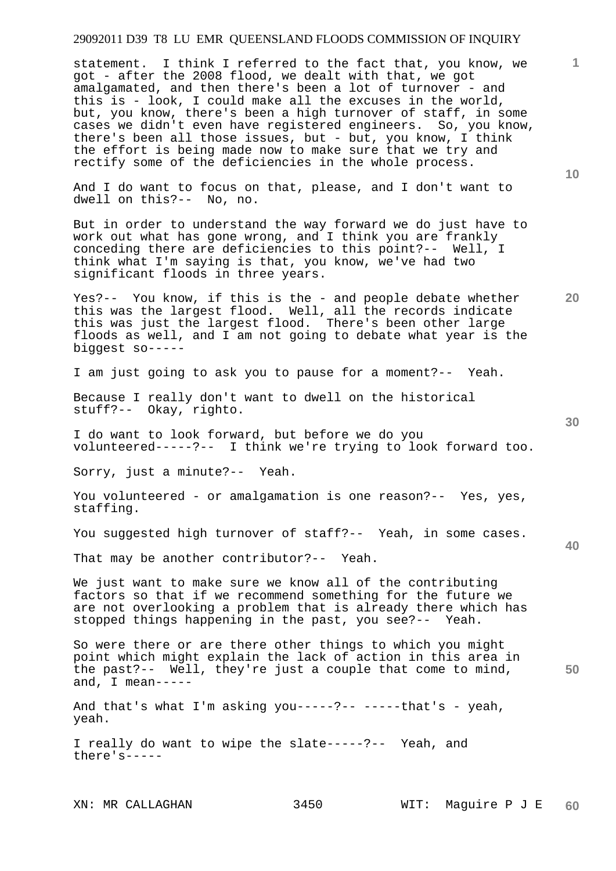statement. I think I referred to the fact that, you know, we got - after the 2008 flood, we dealt with that, we got amalgamated, and then there's been a lot of turnover - and this is - look, I could make all the excuses in the world, but, you know, there's been a high turnover of staff, in some cases we didn't even have registered engineers. So, you know, there's been all those issues, but - but, you know, I think the effort is being made now to make sure that we try and rectify some of the deficiencies in the whole process.

And I do want to focus on that, please, and I don't want to dwell on this?-- No, no.

But in order to understand the way forward we do just have to work out what has gone wrong, and I think you are frankly conceding there are deficiencies to this point?-- Well, I think what I'm saying is that, you know, we've had two significant floods in three years.

Yes?-- You know, if this is the - and people debate whether this was the largest flood. Well, all the records indicate this was just the largest flood. There's been other large floods as well, and I am not going to debate what year is the biggest so-----

I am just going to ask you to pause for a moment?-- Yeah.

Because I really don't want to dwell on the historical stuff?-- Okay, righto.

I do want to look forward, but before we do you volunteered-----?-- I think we're trying to look forward too.

Sorry, just a minute?-- Yeah.

You volunteered - or amalgamation is one reason?-- Yes, yes, staffing.

You suggested high turnover of staff?-- Yeah, in some cases.

That may be another contributor?-- Yeah.

We just want to make sure we know all of the contributing factors so that if we recommend something for the future we are not overlooking a problem that is already there which has stopped things happening in the past, you see?-- Yeah.

So were there or are there other things to which you might point which might explain the lack of action in this area in the past?-- Well, they're just a couple that come to mind, and, I mean-----

And that's what I'm asking  $you---?------that's - year$ , yeah.

I really do want to wipe the slate-----?-- Yeah, and there's-----

**30** 

**20** 

**10** 

**1**

**40**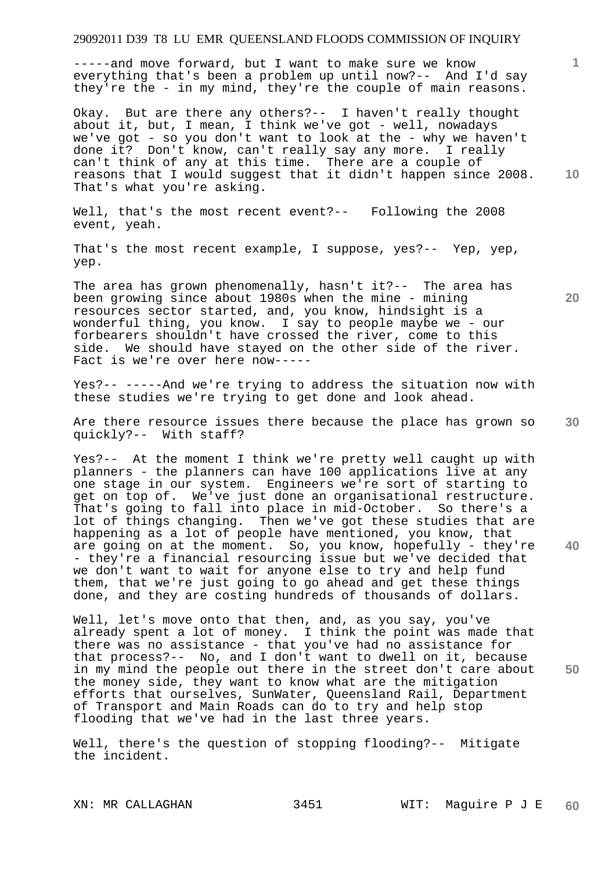-----and move forward, but I want to make sure we know everything that's been a problem up until now?-- And I'd say they're the - in my mind, they're the couple of main reasons.

Okay. But are there any others?-- I haven't really thought about it, but, I mean, I think we've got - well, nowadays we've got - so you don't want to look at the - why we haven't done it? Don't know, can't really say any more. I really can't think of any at this time. There are a couple of reasons that I would suggest that it didn't happen since 2008. That's what you're asking.

Well, that's the most recent event?-- Following the 2008 event, yeah.

That's the most recent example, I suppose, yes?-- Yep, yep, yep.

The area has grown phenomenally, hasn't it?-- The area has been growing since about 1980s when the mine - mining resources sector started, and, you know, hindsight is a wonderful thing, you know. I say to people maybe we - our forbearers shouldn't have crossed the river, come to this side. We should have stayed on the other side of the river. Fact is we're over here now-----

Yes?-- -----And we're trying to address the situation now with these studies we're trying to get done and look ahead.

**30**  Are there resource issues there because the place has grown so quickly?-- With staff?

Yes?-- At the moment I think we're pretty well caught up with planners - the planners can have 100 applications live at any one stage in our system. Engineers we're sort of starting to get on top of. We've just done an organisational restructure. That's going to fall into place in mid-October. So there's a lot of things changing. Then we've got these studies that are happening as a lot of people have mentioned, you know, that are going on at the moment. So, you know, hopefully - they're - they're a financial resourcing issue but we've decided that we don't want to wait for anyone else to try and help fund them, that we're just going to go ahead and get these things done, and they are costing hundreds of thousands of dollars.

Well, let's move onto that then, and, as you say, you've already spent a lot of money. I think the point was made that there was no assistance - that you've had no assistance for that process?-- No, and I don't want to dwell on it, because in my mind the people out there in the street don't care about the money side, they want to know what are the mitigation efforts that ourselves, SunWater, Queensland Rail, Department of Transport and Main Roads can do to try and help stop flooding that we've had in the last three years.

Well, there's the question of stopping flooding?-- Mitigate the incident.

**20** 

**40** 

**50** 

**10**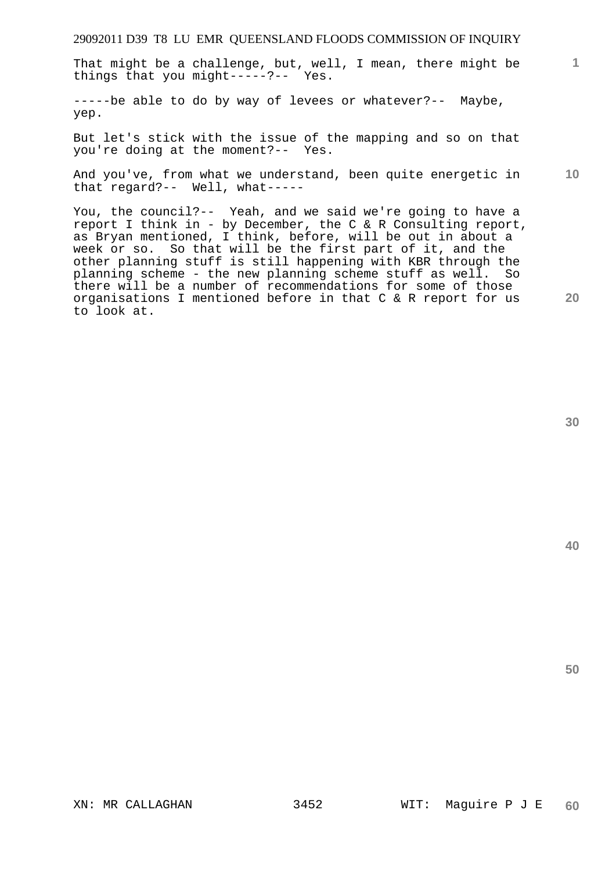That might be a challenge, but, well, I mean, there might be things that you might-----?-- Yes.

-----be able to do by way of levees or whatever?-- Maybe, yep.

But let's stick with the issue of the mapping and so on that you're doing at the moment?-- Yes.

**10**  And you've, from what we understand, been quite energetic in that regard?-- Well, what-----

You, the council?-- Yeah, and we said we're going to have a report I think in - by December, the C & R Consulting report, as Bryan mentioned, I think, before, will be out in about a week or so. So that will be the first part of it, and the other planning stuff is still happening with KBR through the planning scheme - the new planning scheme stuff as well. So there will be a number of recommendations for some of those organisations I mentioned before in that C & R report for us to look at.

**30** 

**20** 

**50**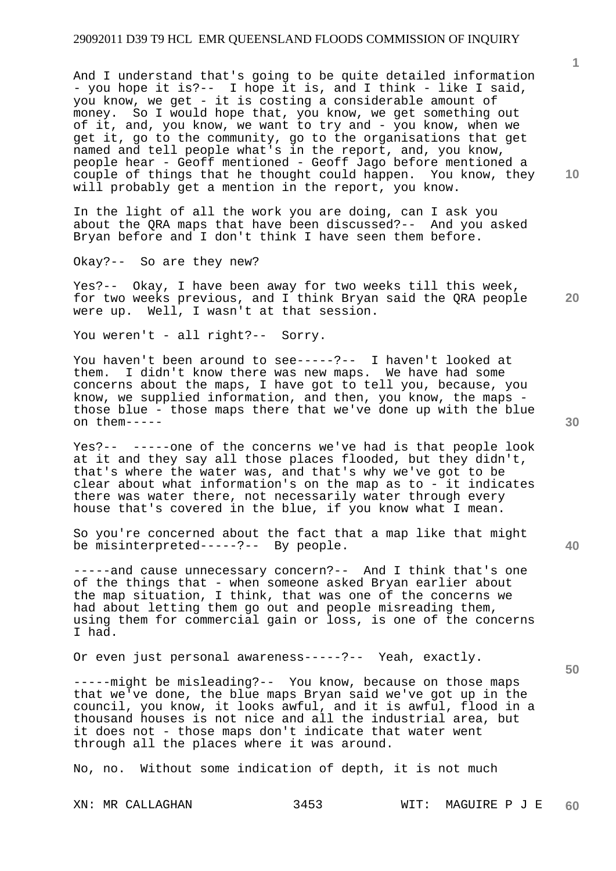And I understand that's going to be quite detailed information - you hope it is?-- I hope it is, and I think - like I said, you know, we get - it is costing a considerable amount of money. So I would hope that, you know, we get something out of it, and, you know, we want to try and - you know, when we get it, go to the community, go to the organisations that get named and tell people what's in the report, and, you know, people hear - Geoff mentioned - Geoff Jago before mentioned a couple of things that he thought could happen. You know, they will probably get a mention in the report, you know.

In the light of all the work you are doing, can I ask you about the QRA maps that have been discussed?-- And you asked Bryan before and I don't think I have seen them before.

Okay?-- So are they new?

Yes?-- Okay, I have been away for two weeks till this week, for two weeks previous, and I think Bryan said the QRA people were up. Well, I wasn't at that session.

You weren't - all right?-- Sorry.

You haven't been around to see-----?-- I haven't looked at them. I didn't know there was new maps. We have had some concerns about the maps, I have got to tell you, because, you know, we supplied information, and then, you know, the maps those blue - those maps there that we've done up with the blue on them-----

Yes?-- -----one of the concerns we've had is that people look at it and they say all those places flooded, but they didn't, that's where the water was, and that's why we've got to be clear about what information's on the map as to - it indicates there was water there, not necessarily water through every house that's covered in the blue, if you know what I mean.

So you're concerned about the fact that a map like that might be misinterpreted-----?-- By people.

-----and cause unnecessary concern?-- And I think that's one of the things that - when someone asked Bryan earlier about the map situation, I think, that was one of the concerns we had about letting them go out and people misreading them, using them for commercial gain or loss, is one of the concerns I had.

Or even just personal awareness-----?-- Yeah, exactly.

-----might be misleading?-- You know, because on those maps that we've done, the blue maps Bryan said we've got up in the council, you know, it looks awful, and it is awful, flood in a thousand houses is not nice and all the industrial area, but it does not - those maps don't indicate that water went through all the places where it was around.

No, no. Without some indication of depth, it is not much

**10** 

**20** 

**40**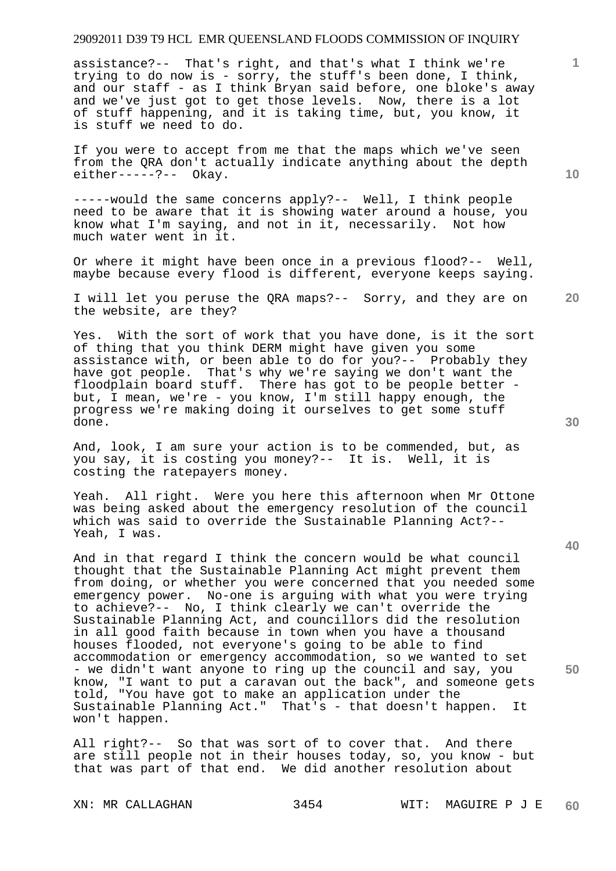assistance?-- That's right, and that's what I think we're trying to do now is - sorry, the stuff's been done, I think, and our staff - as I think Bryan said before, one bloke's away and we've just got to get those levels. Now, there is a lot of stuff happening, and it is taking time, but, you know, it is stuff we need to do.

If you were to accept from me that the maps which we've seen from the QRA don't actually indicate anything about the depth either-----?-- Okay.

-----would the same concerns apply?-- Well, I think people need to be aware that it is showing water around a house, you know what I'm saying, and not in it, necessarily. Not how much water went in it.

Or where it might have been once in a previous flood?-- Well, maybe because every flood is different, everyone keeps saying.

I will let you peruse the QRA maps?-- Sorry, and they are on the website, are they?

Yes. With the sort of work that you have done, is it the sort of thing that you think DERM might have given you some assistance with, or been able to do for you?-- Probably they have got people. That's why we're saying we don't want the floodplain board stuff. There has got to be people better but, I mean, we're - you know, I'm still happy enough, the progress we're making doing it ourselves to get some stuff done.

And, look, I am sure your action is to be commended, but, as you say, it is costing you money?-- It is. Well, it is costing the ratepayers money.

Yeah. All right. Were you here this afternoon when Mr Ottone was being asked about the emergency resolution of the council which was said to override the Sustainable Planning Act?-- Yeah, I was.

And in that regard I think the concern would be what council thought that the Sustainable Planning Act might prevent them from doing, or whether you were concerned that you needed some emergency power. No-one is arguing with what you were trying to achieve?-- No, I think clearly we can't override the Sustainable Planning Act, and councillors did the resolution in all good faith because in town when you have a thousand houses flooded, not everyone's going to be able to find accommodation or emergency accommodation, so we wanted to set - we didn't want anyone to ring up the council and say, you know, "I want to put a caravan out the back", and someone gets told, "You have got to make an application under the Sustainable Planning Act." That's - that doesn't happen. It won't happen.

All right?-- So that was sort of to cover that. And there are still people not in their houses today, so, you know - but that was part of that end. We did another resolution about

**10** 

**1**

**30** 

**20** 

**40**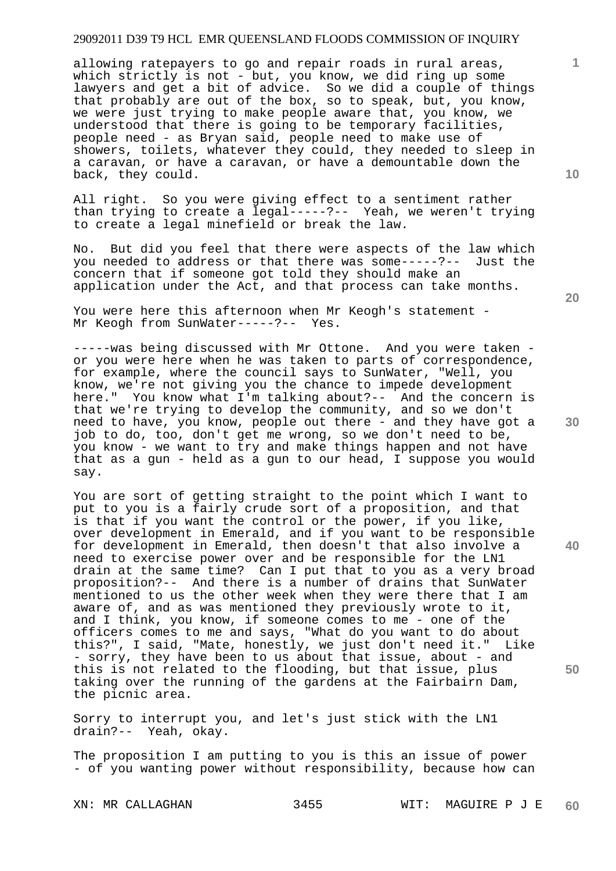allowing ratepayers to go and repair roads in rural areas, which strictly is not - but, you know, we did ring up some lawyers and get a bit of advice. So we did a couple of things that probably are out of the box, so to speak, but, you know, we were just trying to make people aware that, you know, we understood that there is going to be temporary facilities, people need - as Bryan said, people need to make use of showers, toilets, whatever they could, they needed to sleep in a caravan, or have a caravan, or have a demountable down the back, they could.

All right. So you were giving effect to a sentiment rather than trying to create a legal-----?-- Yeah, we weren't trying to create a legal minefield or break the law.

No. But did you feel that there were aspects of the law which you needed to address or that there was some-----?-- Just the concern that if someone got told they should make an application under the Act, and that process can take months.

You were here this afternoon when Mr Keogh's statement -Mr Keogh from SunWater-----?-- Yes.

-----was being discussed with Mr Ottone. And you were taken or you were here when he was taken to parts of correspondence, for example, where the council says to SunWater, "Well, you know, we're not giving you the chance to impede development here." You know what I'm talking about?-- And the concern is that we're trying to develop the community, and so we don't need to have, you know, people out there - and they have got a job to do, too, don't get me wrong, so we don't need to be, you know - we want to try and make things happen and not have that as a gun - held as a gun to our head, I suppose you would say.

You are sort of getting straight to the point which I want to put to you is a fairly crude sort of a proposition, and that is that if you want the control or the power, if you like, over development in Emerald, and if you want to be responsible for development in Emerald, then doesn't that also involve a need to exercise power over and be responsible for the LN1 drain at the same time? Can I put that to you as a very broad proposition?-- And there is a number of drains that SunWater mentioned to us the other week when they were there that I am aware of, and as was mentioned they previously wrote to it, and I think, you know, if someone comes to me - one of the officers comes to me and says, "What do you want to do about this?", I said, "Mate, honestly, we just don't need it." Like - sorry, they have been to us about that issue, about - and this is not related to the flooding, but that issue, plus taking over the running of the gardens at the Fairbairn Dam, the picnic area.

Sorry to interrupt you, and let's just stick with the LN1 drain?-- Yeah, okay.

The proposition I am putting to you is this an issue of power - of you wanting power without responsibility, because how can

**20** 

**10** 



**40** 

**50**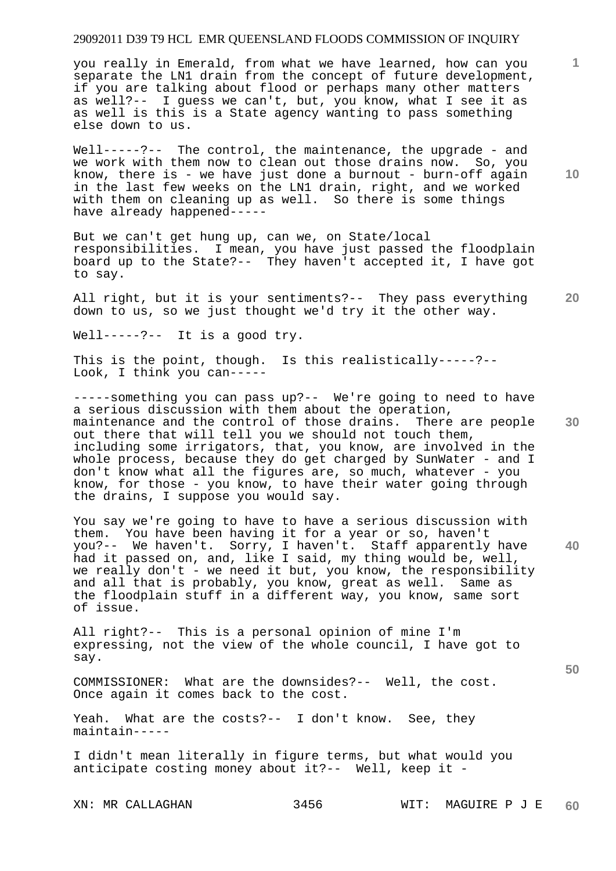you really in Emerald, from what we have learned, how can you separate the LN1 drain from the concept of future development, if you are talking about flood or perhaps many other matters as well?-- I guess we can't, but, you know, what I see it as as well is this is a State agency wanting to pass something else down to us.

Well-----?-- The control, the maintenance, the upgrade - and we work with them now to clean out those drains now. So, you know, there is - we have just done a burnout - burn-off again in the last few weeks on the LN1 drain, right, and we worked with them on cleaning up as well. So there is some things have already happened-----

But we can't get hung up, can we, on State/local responsibilities. I mean, you have just passed the floodplain board up to the State?-- They haven't accepted it, I have got to say.

**20**  All right, but it is your sentiments?-- They pass everything down to us, so we just thought we'd try it the other way.

Well-----?-- It is a good try.

This is the point, though. Is this realistically-----?-- Look, I think you can-----

-----something you can pass up?-- We're going to need to have a serious discussion with them about the operation, maintenance and the control of those drains. There are people out there that will tell you we should not touch them, including some irrigators, that, you know, are involved in the whole process, because they do get charged by SunWater - and I don't know what all the figures are, so much, whatever - you know, for those - you know, to have their water going through the drains, I suppose you would say.

**40**  You say we're going to have to have a serious discussion with them. You have been having it for a year or so, haven't you?-- We haven't. Sorry, I haven't. Staff apparently have had it passed on, and, like I said, my thing would be, well, we really don't - we need it but, you know, the responsibility and all that is probably, you know, great as well. Same as the floodplain stuff in a different way, you know, same sort of issue.

All right?-- This is a personal opinion of mine I'm expressing, not the view of the whole council, I have got to say.

COMMISSIONER: What are the downsides?-- Well, the cost. Once again it comes back to the cost.

Yeah. What are the costs?-- I don't know. See, they maintain-----

I didn't mean literally in figure terms, but what would you anticipate costing money about it?-- Well, keep it -

**10** 

**1**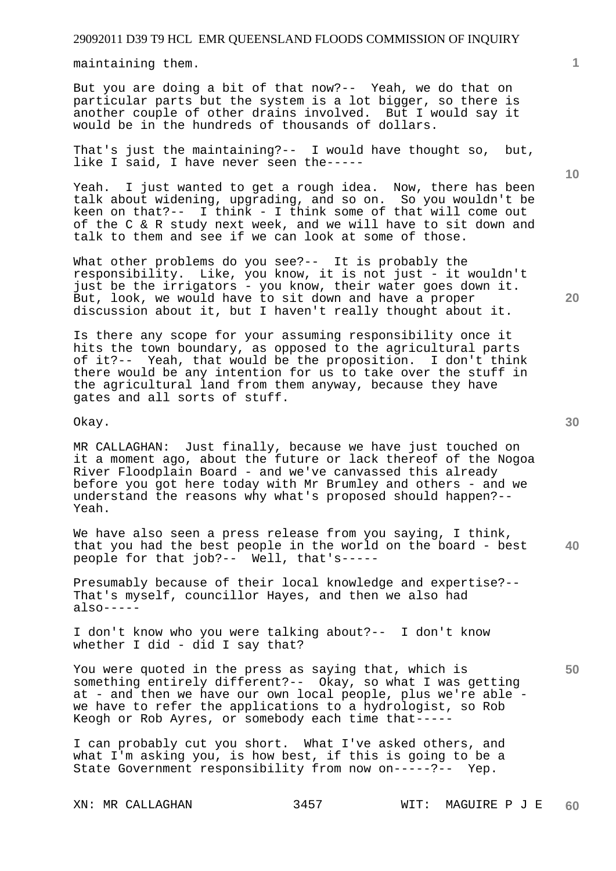maintaining them.

But you are doing a bit of that now?-- Yeah, we do that on particular parts but the system is a lot bigger, so there is another couple of other drains involved. But I would say it would be in the hundreds of thousands of dollars.

That's just the maintaining?-- I would have thought so, but, like I said, I have never seen the-----

Yeah. I just wanted to get a rough idea. Now, there has been talk about widening, upgrading, and so on. So you wouldn't be keen on that?-- I think - I think some of that will come out of the C & R study next week, and we will have to sit down and talk to them and see if we can look at some of those.

What other problems do you see?-- It is probably the responsibility. Like, you know, it is not just - it wouldn't just be the irrigators - you know, their water goes down it. But, look, we would have to sit down and have a proper discussion about it, but I haven't really thought about it.

Is there any scope for your assuming responsibility once it hits the town boundary, as opposed to the agricultural parts of it?-- Yeah, that would be the proposition. I don't think there would be any intention for us to take over the stuff in the agricultural land from them anyway, because they have gates and all sorts of stuff.

Okay.

MR CALLAGHAN: Just finally, because we have just touched on it a moment ago, about the future or lack thereof of the Nogoa River Floodplain Board - and we've canvassed this already before you got here today with Mr Brumley and others - and we understand the reasons why what's proposed should happen?-- Yeah.

**40**  We have also seen a press release from you saying, I think, that you had the best people in the world on the board - best people for that job?-- Well, that's-----

Presumably because of their local knowledge and expertise?-- That's myself, councillor Hayes, and then we also had also-----

I don't know who you were talking about?-- I don't know whether I did - did I say that?

You were quoted in the press as saying that, which is something entirely different?-- Okay, so what I was getting at - and then we have our own local people, plus we're able we have to refer the applications to a hydrologist, so Rob Keogh or Rob Ayres, or somebody each time that-----

I can probably cut you short. What I've asked others, and what I'm asking you, is how best, if this is going to be a State Government responsibility from now on-----?-- Yep.

**20** 

**50** 

**10**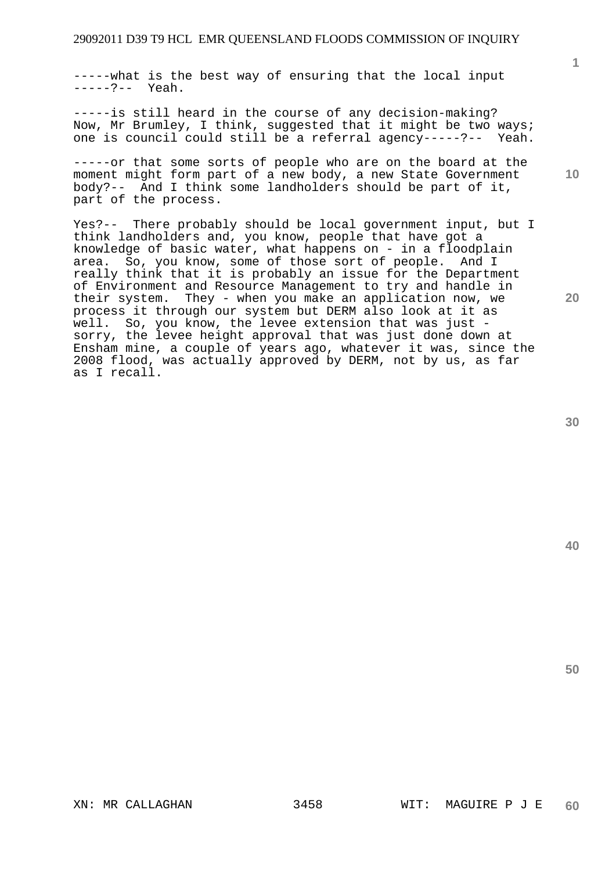-----what is the best way of ensuring that the local input -----?-- Yeah.

-----is still heard in the course of any decision-making? Now, Mr Brumley, I think, suggested that it might be two ways; one is council could still be a referral agency-----?-- Yeah.

-----or that some sorts of people who are on the board at the moment might form part of a new body, a new State Government body?-- And I think some landholders should be part of it, part of the process.

Yes?-- There probably should be local government input, but I think landholders and, you know, people that have got a knowledge of basic water, what happens on - in a floodplain area. So, you know, some of those sort of people. And I really think that it is probably an issue for the Department of Environment and Resource Management to try and handle in their system. They - when you make an application now, we process it through our system but DERM also look at it as well. So, you know, the levee extension that was just sorry, the levee height approval that was just done down at Ensham mine, a couple of years ago, whatever it was, since the 2008 flood, was actually approved by DERM, not by us, as far as I recall.

**40** 

**50** 

**10**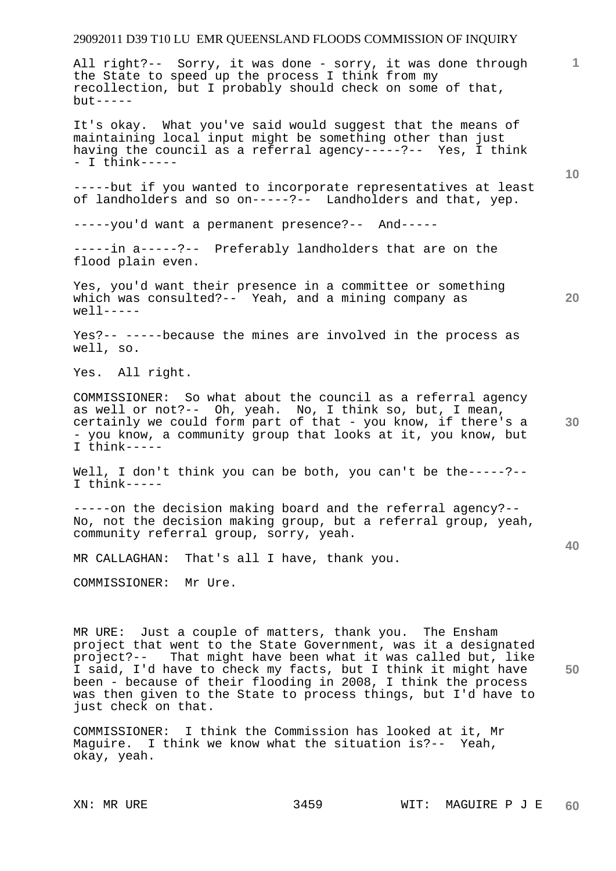All right?-- Sorry, it was done - sorry, it was done through the State to speed up the process I think from my recollection, but I probably should check on some of that,  $but --- -$ 

It's okay. What you've said would suggest that the means of maintaining local input might be something other than just having the council as a referral agency-----?-- Yes, I think - I think-----

-----but if you wanted to incorporate representatives at least of landholders and so on-----?-- Landholders and that, yep.

-----you'd want a permanent presence?-- And-----

-----in a-----?-- Preferably landholders that are on the flood plain even.

Yes, you'd want their presence in a committee or something which was consulted?-- Yeah, and a mining company as  $well$ 

Yes?-- -----because the mines are involved in the process as well, so.

Yes. All right.

COMMISSIONER: So what about the council as a referral agency as well or not?-- Oh, yeah. No, I think so, but, I mean, certainly we could form part of that - you know, if there's a - you know, a community group that looks at it, you know, but I think-----

Well, I don't think you can be both, you can't be the-----?--I think-----

-----on the decision making board and the referral agency?-- No, not the decision making group, but a referral group, yeah, community referral group, sorry, yeah.

MR CALLAGHAN: That's all I have, thank you.

COMMISSIONER: Mr Ure.

**50**  MR URE: Just a couple of matters, thank you. The Ensham project that went to the State Government, was it a designated project?-- That might have been what it was called but, like I said, I'd have to check my facts, but I think it might have been - because of their flooding in 2008, I think the process was then given to the State to process things, but I'd have to just check on that.

COMMISSIONER: I think the Commission has looked at it, Mr Maguire. I think we know what the situation is?-- Yeah, okay, yeah.

**10** 

**1**

**20**